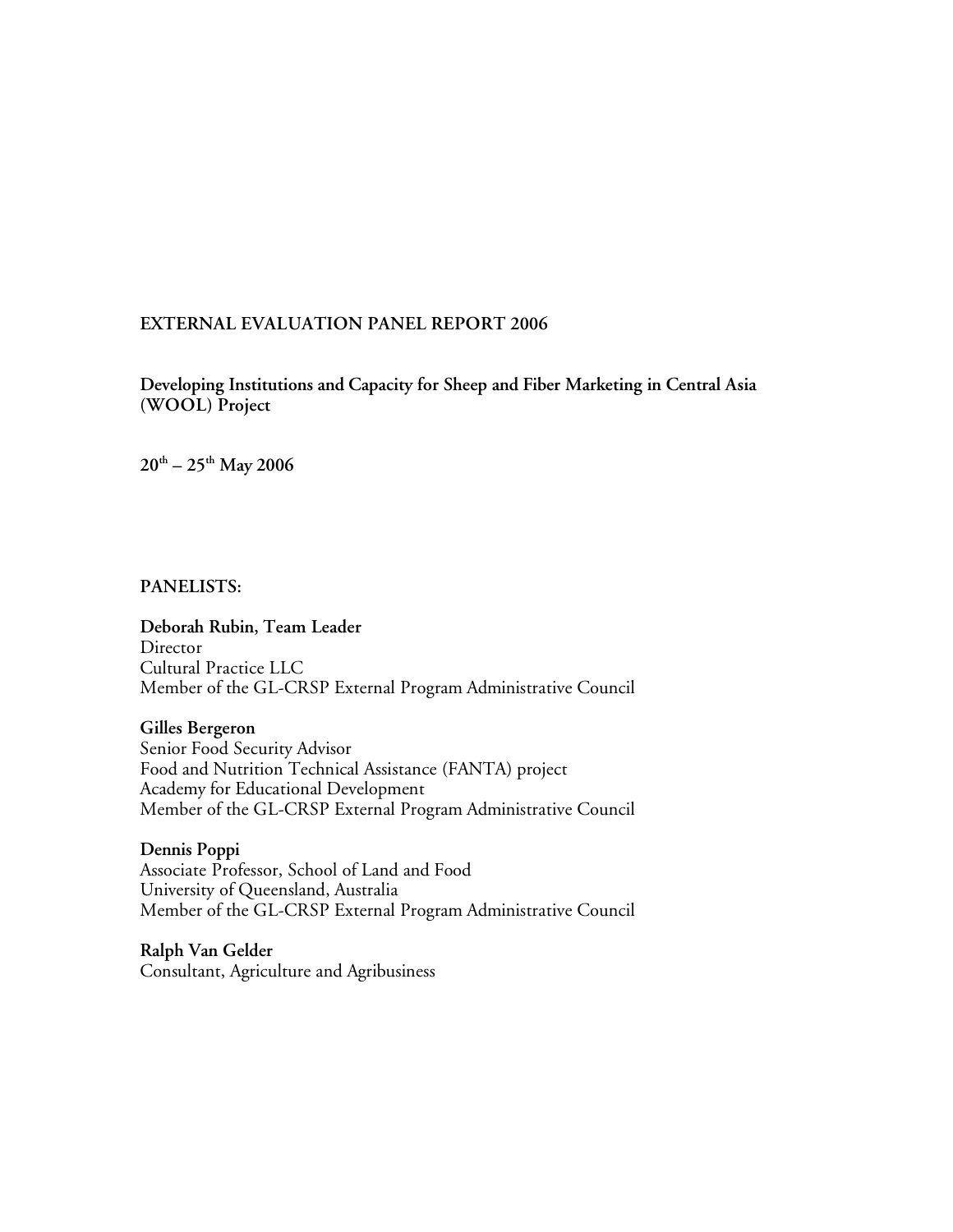#### **EXTERNAL EVALUATION PANEL REPORT 2006**

**Developing Institutions and Capacity for Sheep and Fiber Marketing in Central Asia (WOOL) Project**

**20th – 25th May 2006**

**PANELISTS:**

**Deborah Rubin, Team Leader Director** Cultural Practice LLC Member of the GL-CRSP External Program Administrative Council

**Gilles Bergeron**

Senior Food Security Advisor Food and Nutrition Technical Assistance (FANTA) project Academy for Educational Development Member of the GL-CRSP External Program Administrative Council

**Dennis Poppi** Associate Professor, School of Land and Food University of Queensland, Australia Member of the GL-CRSP External Program Administrative Council

**Ralph Van Gelder** Consultant, Agriculture and Agribusiness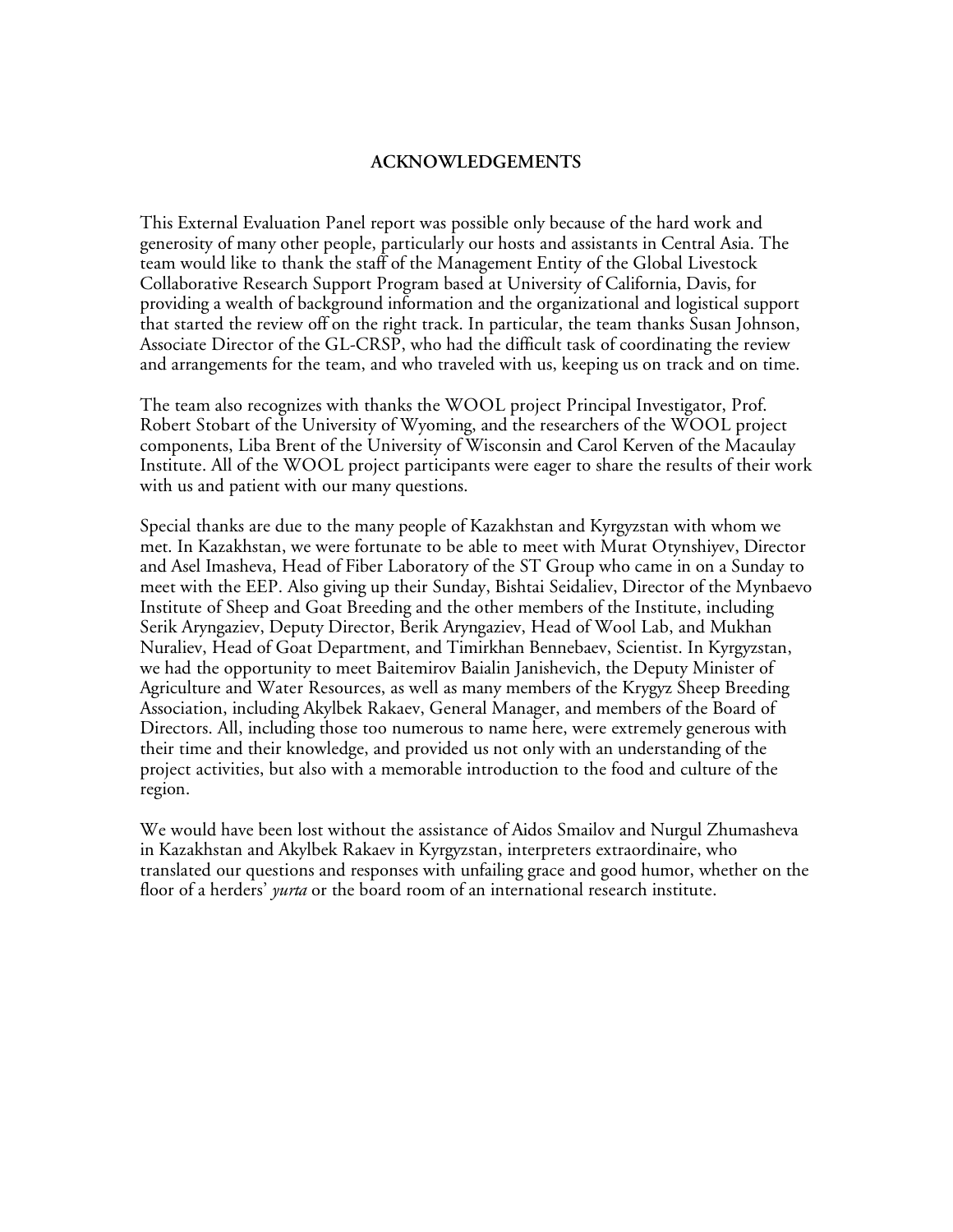#### **ACKNOWLEDGEMENTS**

This External Evaluation Panel report was possible only because of the hard work and generosity of many other people, particularly our hosts and assistants in Central Asia. The team would like to thank the staff of the Management Entity of the Global Livestock Collaborative Research Support Program based at University of California, Davis, for providing a wealth of background information and the organizational and logistical support that started the review off on the right track. In particular, the team thanks Susan Johnson, Associate Director of the GL-CRSP, who had the difficult task of coordinating the review and arrangements for the team, and who traveled with us, keeping us on track and on time.

The team also recognizes with thanks the WOOL project Principal Investigator, Prof. Robert Stobart of the University of Wyoming, and the researchers of the WOOL project components, Liba Brent of the University of Wisconsin and Carol Kerven of the Macaulay Institute. All of the WOOL project participants were eager to share the results of their work with us and patient with our many questions.

Special thanks are due to the many people of Kazakhstan and Kyrgyzstan with whom we met. In Kazakhstan, we were fortunate to be able to meet with Murat Otynshiyev, Director and Asel Imasheva, Head of Fiber Laboratory of the ST Group who came in on a Sunday to meet with the EEP. Also giving up their Sunday, Bishtai Seidaliev, Director of the Mynbaevo Institute of Sheep and Goat Breeding and the other members of the Institute, including Serik Aryngaziev, Deputy Director, Berik Aryngaziev, Head of Wool Lab, and Mukhan Nuraliev, Head of Goat Department, and Timirkhan Bennebaev, Scientist. In Kyrgyzstan, we had the opportunity to meet Baitemirov Baialin Janishevich, the Deputy Minister of Agriculture and Water Resources, as well as many members of the Krygyz Sheep Breeding Association, including Akylbek Rakaev, General Manager, and members of the Board of Directors. All, including those too numerous to name here, were extremely generous with their time and their knowledge, and provided us not only with an understanding of the project activities, but also with a memorable introduction to the food and culture of the region.

We would have been lost without the assistance of Aidos Smailov and Nurgul Zhumasheva in Kazakhstan and Akylbek Rakaev in Kyrgyzstan, interpreters extraordinaire, who translated our questions and responses with unfailing grace and good humor, whether on the floor of a herders' *yurta* or the board room of an international research institute.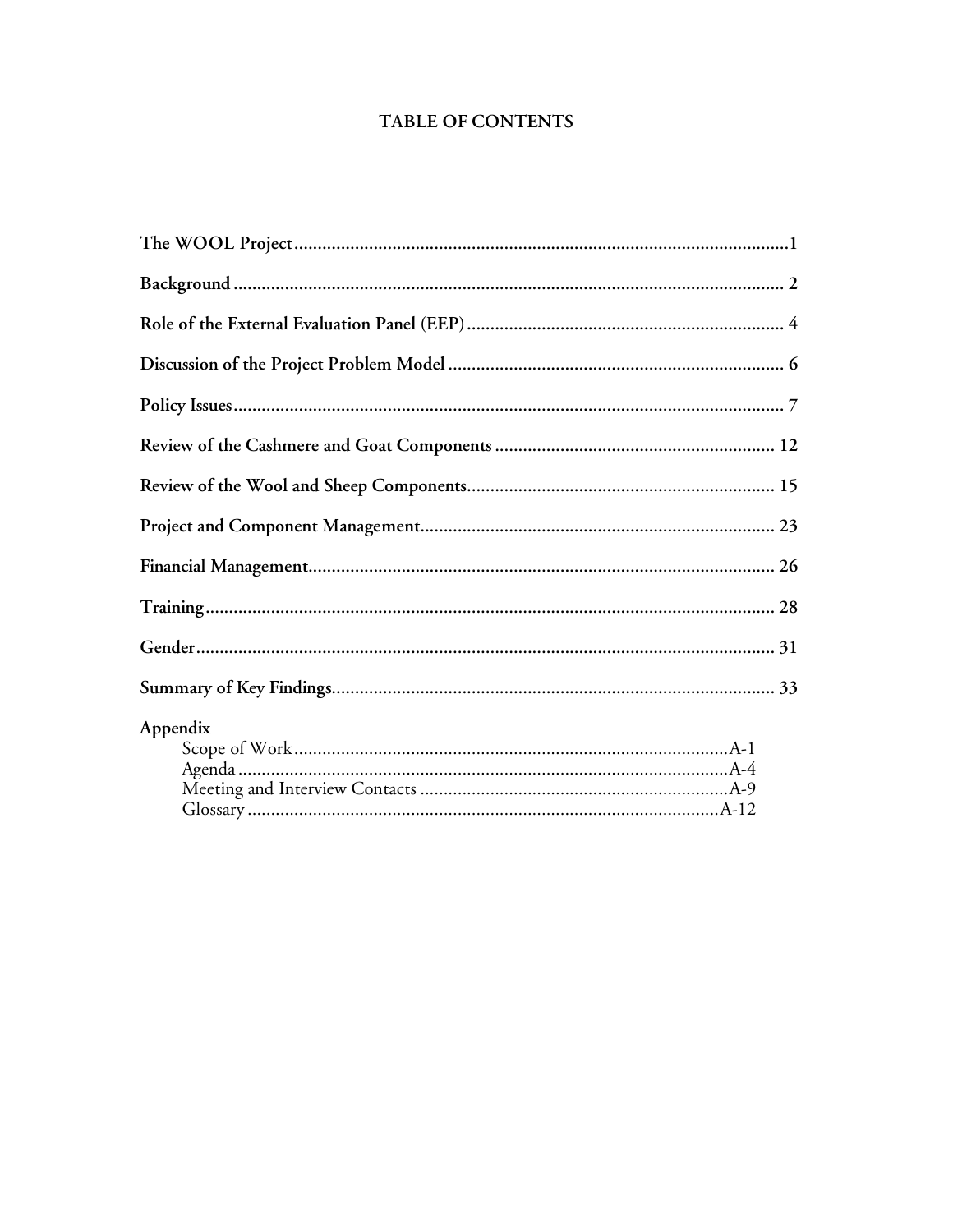## **TABLE OF CONTENTS**

| Appendix |
|----------|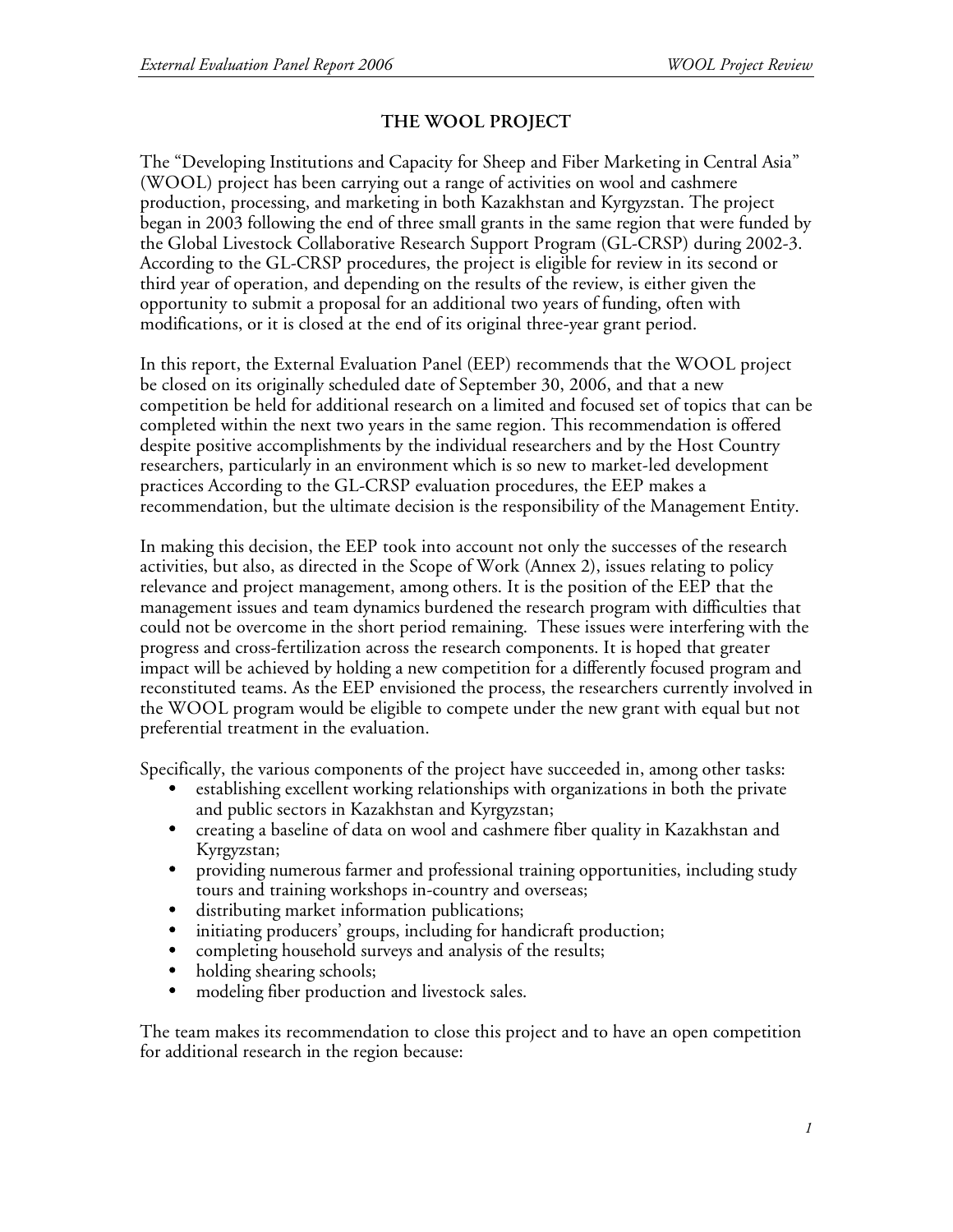# **THE WOOL PROJECT**

The "Developing Institutions and Capacity for Sheep and Fiber Marketing in Central Asia" (WOOL) project has been carrying out a range of activities on wool and cashmere production, processing, and marketing in both Kazakhstan and Kyrgyzstan. The project began in 2003 following the end of three small grants in the same region that were funded by the Global Livestock Collaborative Research Support Program (GL-CRSP) during 2002-3. According to the GL-CRSP procedures, the project is eligible for review in its second or third year of operation, and depending on the results of the review, is either given the opportunity to submit a proposal for an additional two years of funding, often with modifications, or it is closed at the end of its original three-year grant period.

In this report, the External Evaluation Panel (EEP) recommends that the WOOL project be closed on its originally scheduled date of September 30, 2006, and that a new competition be held for additional research on a limited and focused set of topics that can be completed within the next two years in the same region. This recommendation is offered despite positive accomplishments by the individual researchers and by the Host Country researchers, particularly in an environment which is so new to market-led development practices According to the GL-CRSP evaluation procedures, the EEP makes a recommendation, but the ultimate decision is the responsibility of the Management Entity.

In making this decision, the EEP took into account not only the successes of the research activities, but also, as directed in the Scope of Work (Annex 2), issues relating to policy relevance and project management, among others. It is the position of the EEP that the management issues and team dynamics burdened the research program with difficulties that could not be overcome in the short period remaining. These issues were interfering with the progress and cross-fertilization across the research components. It is hoped that greater impact will be achieved by holding a new competition for a differently focused program and reconstituted teams. As the EEP envisioned the process, the researchers currently involved in the WOOL program would be eligible to compete under the new grant with equal but not preferential treatment in the evaluation.

Specifically, the various components of the project have succeeded in, among other tasks:

- establishing excellent working relationships with organizations in both the private and public sectors in Kazakhstan and Kyrgyzstan;
- creating a baseline of data on wool and cashmere fiber quality in Kazakhstan and Kyrgyzstan;
- providing numerous farmer and professional training opportunities, including study tours and training workshops in-country and overseas;
- distributing market information publications;
- initiating producers' groups, including for handicraft production;
- completing household surveys and analysis of the results;
- holding shearing schools;<br>• modeling fiber production
- modeling fiber production and livestock sales.

The team makes its recommendation to close this project and to have an open competition for additional research in the region because: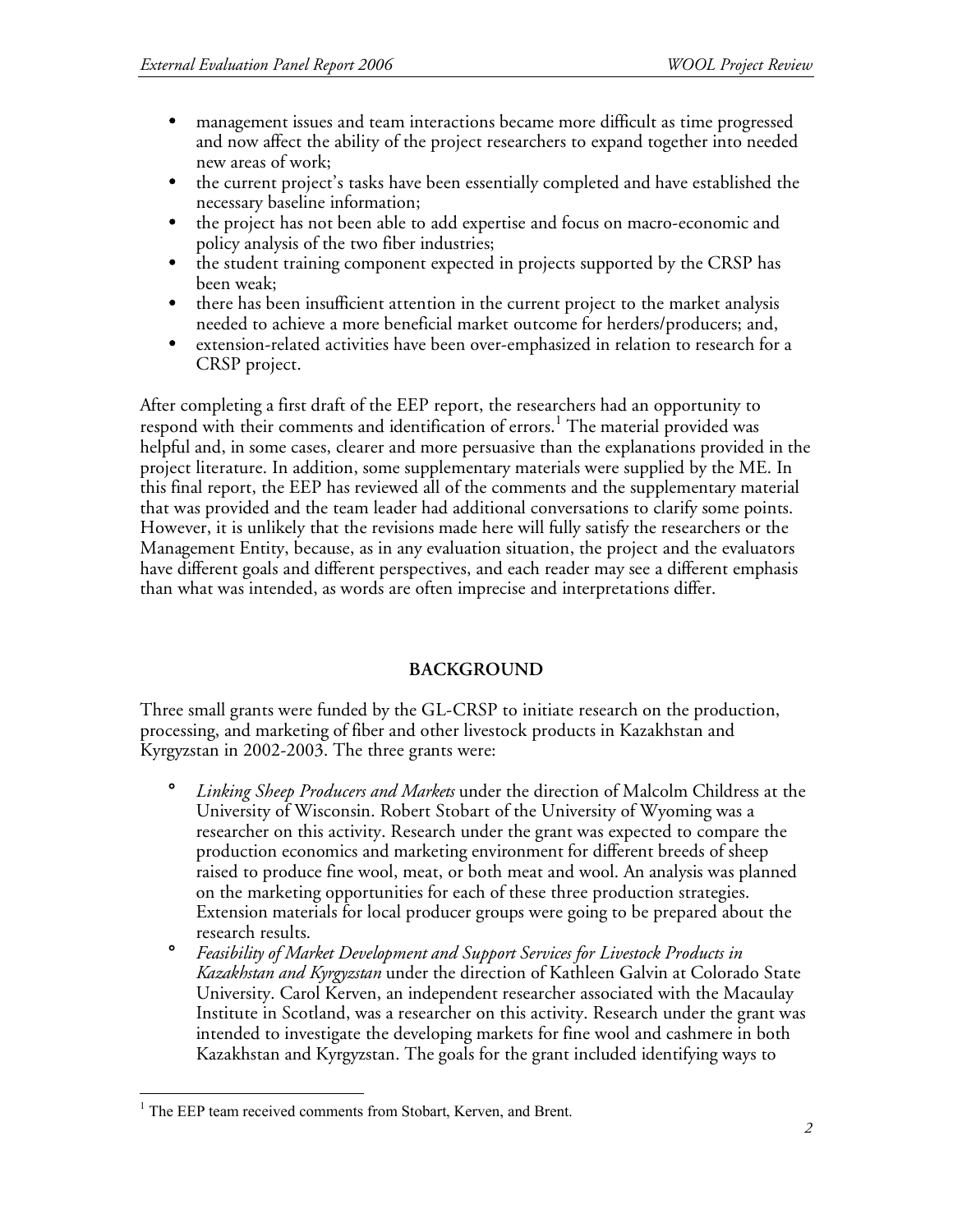- management issues and team interactions became more difficult as time progressed and now affect the ability of the project researchers to expand together into needed new areas of work;
- the current project's tasks have been essentially completed and have established the necessary baseline information;
- the project has not been able to add expertise and focus on macro-economic and policy analysis of the two fiber industries;
- the student training component expected in projects supported by the CRSP has been weak;
- there has been insufficient attention in the current project to the market analysis needed to achieve a more beneficial market outcome for herders/producers; and,
- extension-related activities have been over-emphasized in relation to research for a CRSP project.

After completing a first draft of the EEP report, the researchers had an opportunity to respond with their comments and identification of errors.<sup>1</sup> The material provided was helpful and, in some cases, clearer and more persuasive than the explanations provided in the project literature. In addition, some supplementary materials were supplied by the ME. In this final report, the EEP has reviewed all of the comments and the supplementary material that was provided and the team leader had additional conversations to clarify some points. However, it is unlikely that the revisions made here will fully satisfy the researchers or the Management Entity, because, as in any evaluation situation, the project and the evaluators have different goals and different perspectives, and each reader may see a different emphasis than what was intended, as words are often imprecise and interpretations differ.

# **BACKGROUND**

Three small grants were funded by the GL-CRSP to initiate research on the production, processing, and marketing of fiber and other livestock products in Kazakhstan and Kyrgyzstan in 2002-2003. The three grants were:

- ° *Linking Sheep Producers and Markets* under the direction of Malcolm Childress at the University of Wisconsin. Robert Stobart of the University of Wyoming was a researcher on this activity. Research under the grant was expected to compare the production economics and marketing environment for different breeds of sheep raised to produce fine wool, meat, or both meat and wool. An analysis was planned on the marketing opportunities for each of these three production strategies. Extension materials for local producer groups were going to be prepared about the research results.
- ° *Feasibility of Market Development and Support Services for Livestock Products in Kazakhstan and Kyrgyzstan* under the direction of Kathleen Galvin at Colorado State University. Carol Kerven, an independent researcher associated with the Macaulay Institute in Scotland, was a researcher on this activity. Research under the grant was intended to investigate the developing markets for fine wool and cashmere in both Kazakhstan and Kyrgyzstan. The goals for the grant included identifying ways to

<sup>&</sup>lt;sup>1</sup> The EEP team received comments from Stobart, Kerven, and Brent.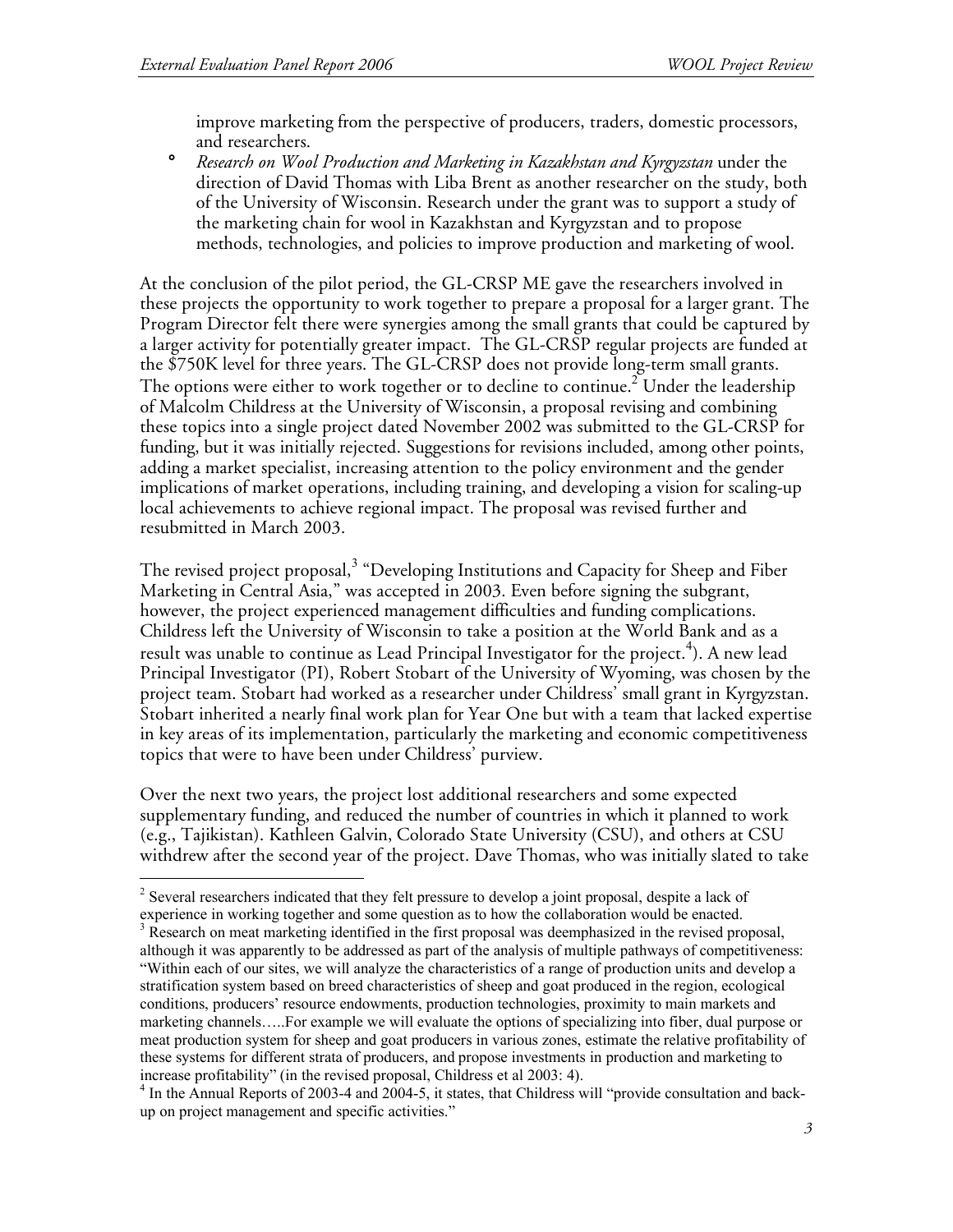improve marketing from the perspective of producers, traders, domestic processors, and researchers.

° *Research on Wool Production and Marketing in Kazakhstan and Kyrgyzstan* under the direction of David Thomas with Liba Brent as another researcher on the study, both of the University of Wisconsin. Research under the grant was to support a study of the marketing chain for wool in Kazakhstan and Kyrgyzstan and to propose methods, technologies, and policies to improve production and marketing of wool.

At the conclusion of the pilot period, the GL-CRSP ME gave the researchers involved in these projects the opportunity to work together to prepare a proposal for a larger grant. The Program Director felt there were synergies among the small grants that could be captured by a larger activity for potentially greater impact. The GL-CRSP regular projects are funded at the \$750K level for three years. The GL-CRSP does not provide long-term small grants. The options were either to work together or to decline to continue.<sup>2</sup> Under the leadership of Malcolm Childress at the University of Wisconsin, a proposal revising and combining these topics into a single project dated November 2002 was submitted to the GL-CRSP for funding, but it was initially rejected. Suggestions for revisions included, among other points, adding a market specialist, increasing attention to the policy environment and the gender implications of market operations, including training, and developing a vision for scaling-up local achievements to achieve regional impact. The proposal was revised further and resubmitted in March 2003.

The revised project proposal,<sup>3</sup> "Developing Institutions and Capacity for Sheep and Fiber Marketing in Central Asia," was accepted in 2003. Even before signing the subgrant, however, the project experienced management difficulties and funding complications. Childress left the University of Wisconsin to take a position at the World Bank and as a result was unable to continue as Lead Principal Investigator for the project. 4 ). A new lead Principal Investigator (PI), Robert Stobart of the University of Wyoming, was chosen by the project team. Stobart had worked as a researcher under Childress' small grant in Kyrgyzstan. Stobart inherited a nearly final work plan for Year One but with a team that lacked expertise in key areas of its implementation, particularly the marketing and economic competitiveness topics that were to have been under Childress' purview.

Over the next two years, the project lost additional researchers and some expected supplementary funding, and reduced the number of countries in which it planned to work (e.g., Tajikistan). Kathleen Galvin, Colorado State University (CSU), and others at CSU withdrew after the second year of the project. Dave Thomas, who was initially slated to take

<sup>&</sup>lt;sup>2</sup> Several researchers indicated that they felt pressure to develop a joint proposal, despite a lack of

experience in working together and some question as to how the collaboration would be enacted.<br><sup>3</sup> Research on meat marketing identified in the first proposal was deemphasized in the revised proposal, although it was apparently to be addressed as part of the analysis of multiple pathways of competitiveness: "Within each of our sites, we will analyze the characteristics of a range of production units and develop a stratification system based on breed characteristics of sheep and goat produced in the region, ecological conditions, producers' resource endowments, production technologies, proximity to main markets and marketing channels…..For example we will evaluate the options of specializing into fiber, dual purpose or meat production system for sheep and goat producers in various zones, estimate the relative profitability of these systems for different strata of producers, and propose investments in production and marketing to

increase profitability" (in the revised proposal, Childress et al 2003: 4).<br><sup>4</sup> In the Annual Reports of 2003-4 and 2004-5, it states, that Childress will "provide consultation and backup on project management and specific activities."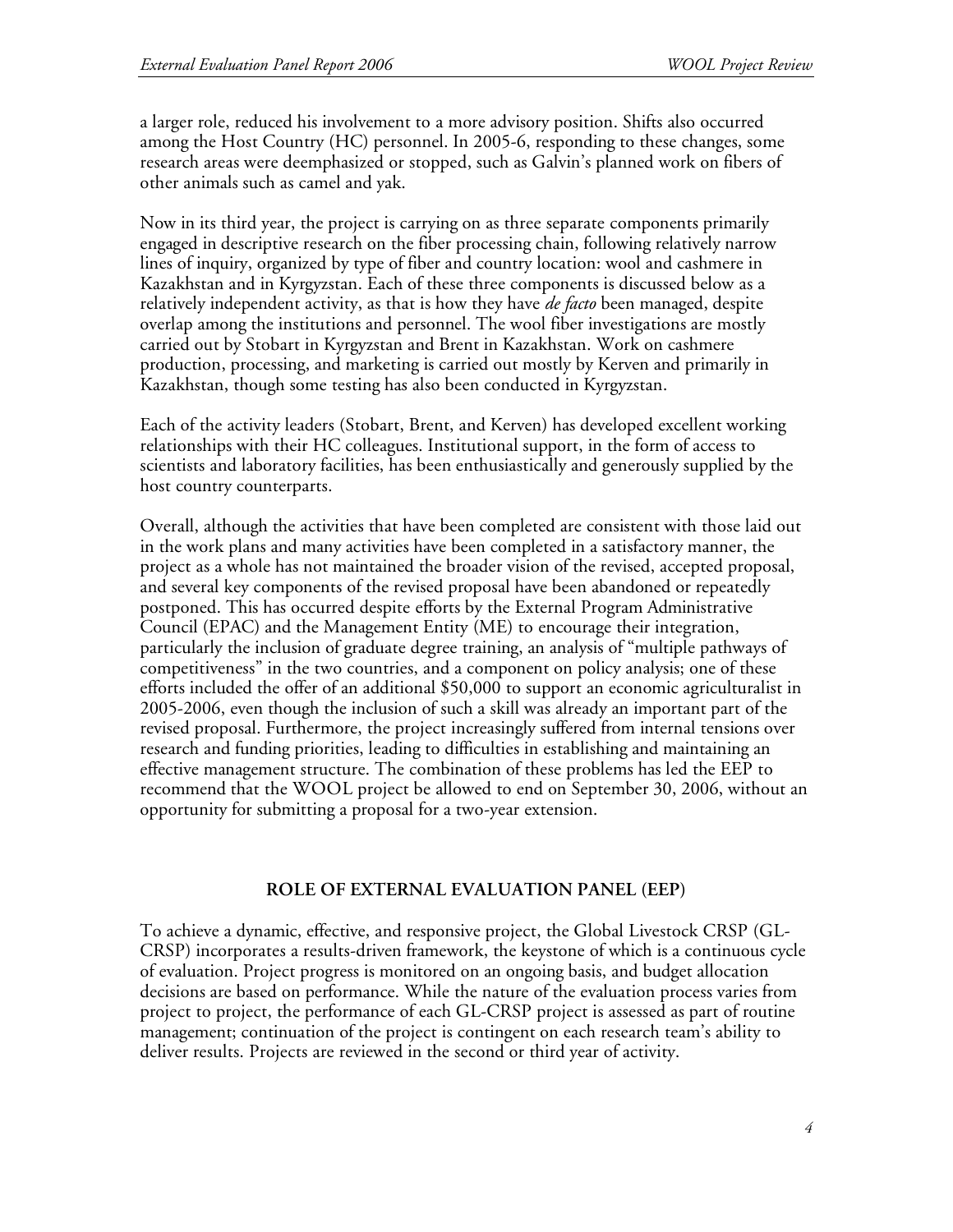a larger role, reduced his involvement to a more advisory position. Shifts also occurred among the Host Country (HC) personnel. In 2005-6, responding to these changes, some research areas were deemphasized or stopped, such as Galvin's planned work on fibers of other animals such as camel and yak.

Now in its third year, the project is carrying on as three separate components primarily engaged in descriptive research on the fiber processing chain, following relatively narrow lines of inquiry, organized by type of fiber and country location: wool and cashmere in Kazakhstan and in Kyrgyzstan. Each of these three components is discussed below as a relatively independent activity, as that is how they have *de facto* been managed, despite overlap among the institutions and personnel. The wool fiber investigations are mostly carried out by Stobart in Kyrgyzstan and Brent in Kazakhstan. Work on cashmere production, processing, and marketing is carried out mostly by Kerven and primarily in Kazakhstan, though some testing has also been conducted in Kyrgyzstan.

Each of the activity leaders (Stobart, Brent, and Kerven) has developed excellent working relationships with their HC colleagues. Institutional support, in the form of access to scientists and laboratory facilities, has been enthusiastically and generously supplied by the host country counterparts.

Overall, although the activities that have been completed are consistent with those laid out in the work plans and many activities have been completed in a satisfactory manner, the project as a whole has not maintained the broader vision of the revised, accepted proposal, and several key components of the revised proposal have been abandoned or repeatedly postponed. This has occurred despite efforts by the External Program Administrative Council (EPAC) and the Management Entity (ME) to encourage their integration, particularly the inclusion of graduate degree training, an analysis of "multiple pathways of competitiveness" in the two countries, and a component on policy analysis; one of these efforts included the offer of an additional \$50,000 to support an economic agriculturalist in 2005-2006, even though the inclusion of such a skill was already an important part of the revised proposal. Furthermore, the project increasingly suffered from internal tensions over research and funding priorities, leading to difficulties in establishing and maintaining an effective management structure. The combination of these problems has led the EEP to recommend that the WOOL project be allowed to end on September 30, 2006, without an opportunity for submitting a proposal for a two-year extension.

#### **ROLE OF EXTERNAL EVALUATION PANEL (EEP)**

To achieve a dynamic, effective, and responsive project, the Global Livestock CRSP (GL-CRSP) incorporates a results-driven framework, the keystone of which is a continuous cycle of evaluation. Project progress is monitored on an ongoing basis, and budget allocation decisions are based on performance. While the nature of the evaluation process varies from project to project, the performance of each GL-CRSP project is assessed as part of routine management; continuation of the project is contingent on each research team's ability to deliver results. Projects are reviewed in the second or third year of activity.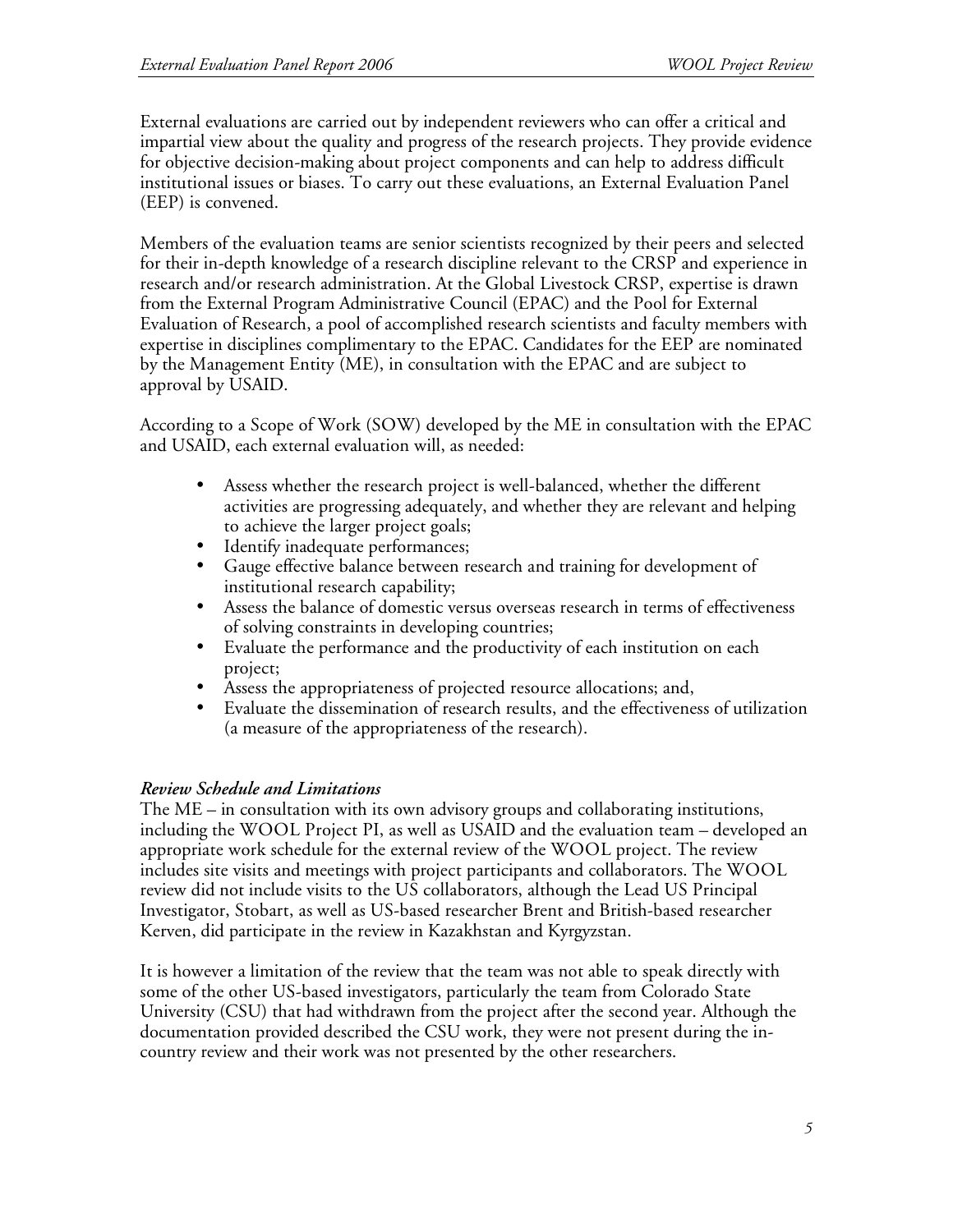External evaluations are carried out by independent reviewers who can offer a critical and impartial view about the quality and progress of the research projects. They provide evidence for objective decision-making about project components and can help to address difficult institutional issues or biases. To carry out these evaluations, an External Evaluation Panel (EEP) is convened.

Members of the evaluation teams are senior scientists recognized by their peers and selected for their in-depth knowledge of a research discipline relevant to the CRSP and experience in research and/or research administration. At the Global Livestock CRSP, expertise is drawn from the External Program Administrative Council (EPAC) and the Pool for External Evaluation of Research, a pool of accomplished research scientists and faculty members with expertise in disciplines complimentary to the EPAC. Candidates for the EEP are nominated by the Management Entity (ME), in consultation with the EPAC and are subject to approval by USAID.

According to a Scope of Work (SOW) developed by the ME in consultation with the EPAC and USAID, each external evaluation will, as needed:

- Assess whether the research project is well-balanced, whether the different activities are progressing adequately, and whether they are relevant and helping to achieve the larger project goals;
- Identify inadequate performances;
- Gauge effective balance between research and training for development of institutional research capability;
- Assess the balance of domestic versus overseas research in terms of effectiveness of solving constraints in developing countries;
- Evaluate the performance and the productivity of each institution on each project;
- Assess the appropriateness of projected resource allocations; and,
- Evaluate the dissemination of research results, and the effectiveness of utilization (a measure of the appropriateness of the research).

#### *Review Schedule and Limitations*

The ME – in consultation with its own advisory groups and collaborating institutions, including the WOOL Project PI, as well as USAID and the evaluation team – developed an appropriate work schedule for the external review of the WOOL project. The review includes site visits and meetings with project participants and collaborators. The WOOL review did not include visits to the US collaborators, although the Lead US Principal Investigator, Stobart, as well as US-based researcher Brent and British-based researcher Kerven, did participate in the review in Kazakhstan and Kyrgyzstan.

It is however a limitation of the review that the team was not able to speak directly with some of the other US-based investigators, particularly the team from Colorado State University (CSU) that had withdrawn from the project after the second year. Although the documentation provided described the CSU work, they were not present during the incountry review and their work was not presented by the other researchers.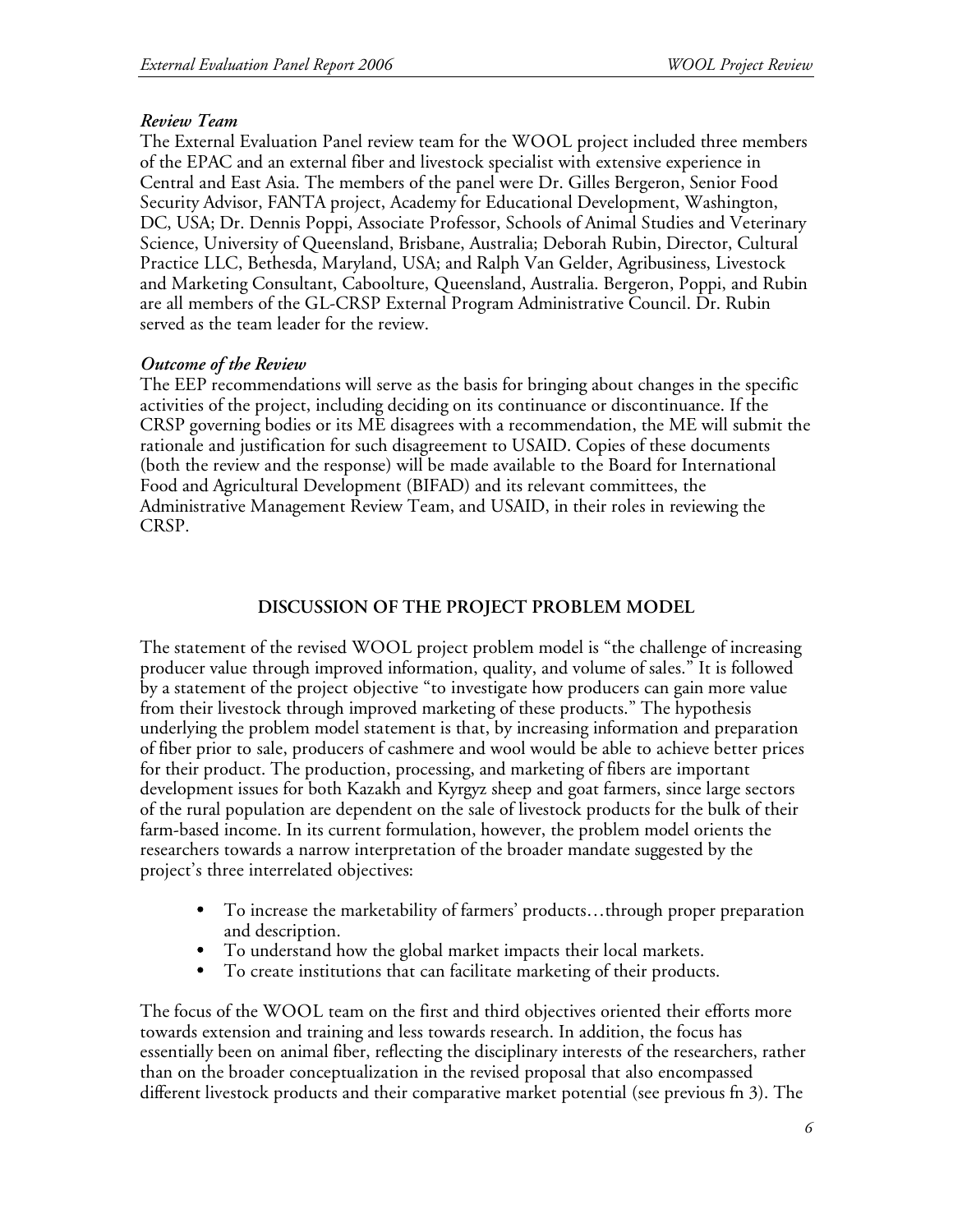#### *Review Team*

The External Evaluation Panel review team for the WOOL project included three members of the EPAC and an external fiber and livestock specialist with extensive experience in Central and East Asia. The members of the panel were Dr. Gilles Bergeron, Senior Food Security Advisor, FANTA project, Academy for Educational Development, Washington, DC, USA; Dr. Dennis Poppi, Associate Professor, Schools of Animal Studies and Veterinary Science, University of Queensland, Brisbane, Australia; Deborah Rubin, Director, Cultural Practice LLC, Bethesda, Maryland, USA; and Ralph Van Gelder, Agribusiness, Livestock and Marketing Consultant, Caboolture, Queensland, Australia. Bergeron, Poppi, and Rubin are all members of the GL-CRSP External Program Administrative Council. Dr. Rubin served as the team leader for the review.

#### *Outcome of the Review*

The EEP recommendations will serve as the basis for bringing about changes in the specific activities of the project, including deciding on its continuance or discontinuance. If the CRSP governing bodies or its ME disagrees with a recommendation, the ME will submit the rationale and justification for such disagreement to USAID. Copies of these documents (both the review and the response) will be made available to the Board for International Food and Agricultural Development (BIFAD) and its relevant committees, the Administrative Management Review Team, and USAID, in their roles in reviewing the CRSP.

### **DISCUSSION OF THE PROJECT PROBLEM MODEL**

The statement of the revised WOOL project problem model is "the challenge of increasing producer value through improved information, quality, and volume of sales." It is followed by a statement of the project objective "to investigate how producers can gain more value from their livestock through improved marketing of these products." The hypothesis underlying the problem model statement is that, by increasing information and preparation of fiber prior to sale, producers of cashmere and wool would be able to achieve better prices for their product. The production, processing, and marketing of fibers are important development issues for both Kazakh and Kyrgyz sheep and goat farmers, since large sectors of the rural population are dependent on the sale of livestock products for the bulk of their farm-based income. In its current formulation, however, the problem model orients the researchers towards a narrow interpretation of the broader mandate suggested by the project's three interrelated objectives:

- To increase the marketability of farmers' products...through proper preparation and description.
- To understand how the global market impacts their local markets.
- To create institutions that can facilitate marketing of their products.

The focus of the WOOL team on the first and third objectives oriented their efforts more towards extension and training and less towards research. In addition, the focus has essentially been on animal fiber, reflecting the disciplinary interests of the researchers, rather than on the broader conceptualization in the revised proposal that also encompassed different livestock products and their comparative market potential (see previous fn 3). The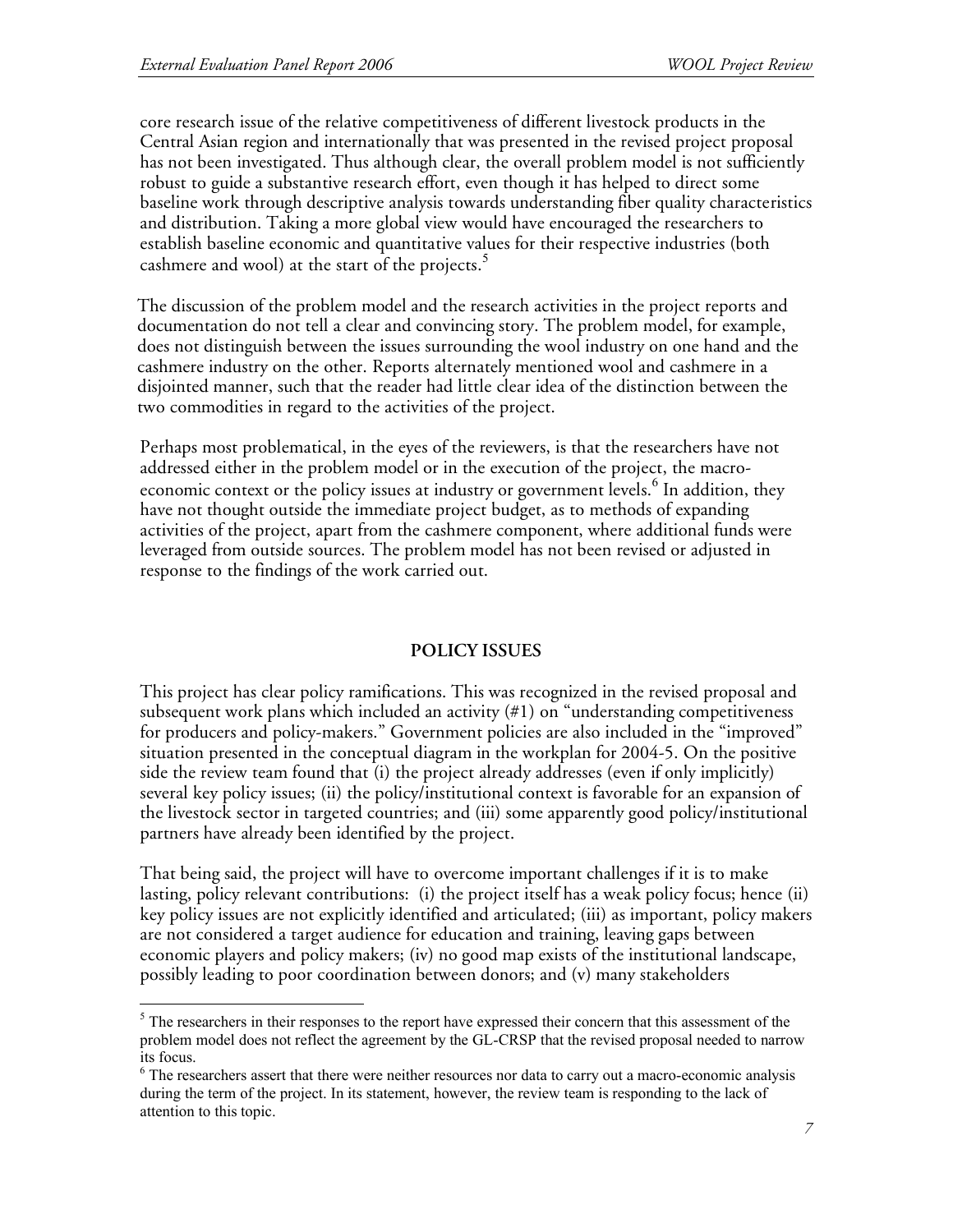core research issue of the relative competitiveness of different livestock products in the Central Asian region and internationally that was presented in the revised project proposal has not been investigated. Thus although clear, the overall problem model is not sufficiently robust to guide a substantive research effort, even though it has helped to direct some baseline work through descriptive analysis towards understanding fiber quality characteristics and distribution. Taking a more global view would have encouraged the researchers to establish baseline economic and quantitative values for their respective industries (both cashmere and wool) at the start of the projects.<sup>5</sup>

The discussion of the problem model and the research activities in the project reports and documentation do not tell a clear and convincing story. The problem model, for example, does not distinguish between the issues surrounding the wool industry on one hand and the cashmere industry on the other. Reports alternately mentioned wool and cashmere in a disjointed manner, such that the reader had little clear idea of the distinction between the two commodities in regard to the activities of the project.

Perhaps most problematical, in the eyes of the reviewers, is that the researchers have not addressed either in the problem model or in the execution of the project, the macroeconomic context or the policy issues at industry or government levels.<sup>6</sup> In addition, they have not thought outside the immediate project budget, as to methods of expanding activities of the project, apart from the cashmere component, where additional funds were leveraged from outside sources. The problem model has not been revised or adjusted in response to the findings of the work carried out.

# **POLICY ISSUES**

This project has clear policy ramifications. This was recognized in the revised proposal and subsequent work plans which included an activity (#1) on "understanding competitiveness for producers and policy-makers." Government policies are also included in the "improved" situation presented in the conceptual diagram in the workplan for 2004-5. On the positive side the review team found that (i) the project already addresses (even if only implicitly) several key policy issues; (ii) the policy/institutional context is favorable for an expansion of the livestock sector in targeted countries; and (iii) some apparently good policy/institutional partners have already been identified by the project.

That being said, the project will have to overcome important challenges if it is to make lasting, policy relevant contributions: (i) the project itself has a weak policy focus; hence (ii) key policy issues are not explicitly identified and articulated; (iii) as important, policy makers are not considered a target audience for education and training, leaving gaps between economic players and policy makers; (iv) no good map exists of the institutional landscape, possibly leading to poor coordination between donors; and (v) many stakeholders

<sup>&</sup>lt;sup>5</sup> The researchers in their responses to the report have expressed their concern that this assessment of the problem model does not reflect the agreement by the GL-CRSP that the revised proposal needed to narrow its focus.<br><sup>6</sup> The researchers assert that there were neither resources nor data to carry out a macro-economic analysis

during the term of the project. In its statement, however, the review team is responding to the lack of attention to this topic.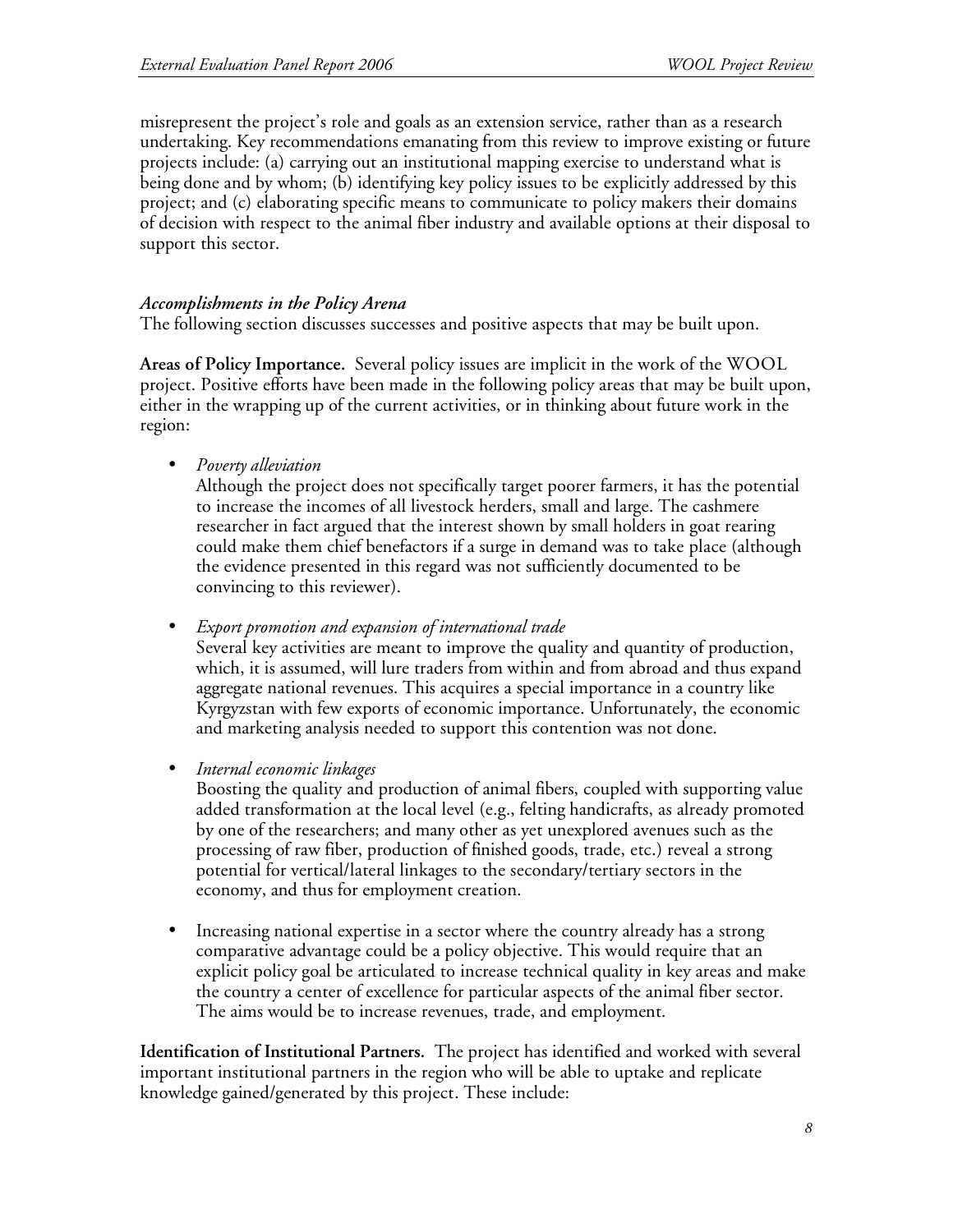misrepresent the project's role and goals as an extension service, rather than as a research undertaking. Key recommendations emanating from this review to improve existing or future projects include: (a) carrying out an institutional mapping exercise to understand what is being done and by whom; (b) identifying key policy issues to be explicitly addressed by this project; and (c) elaborating specific means to communicate to policy makers their domains of decision with respect to the animal fiber industry and available options at their disposal to support this sector.

### *Accomplishments in the Policy Arena*

The following section discusses successes and positive aspects that may be built upon.

**Areas of Policy Importance.** Several policy issues are implicit in the work of the WOOL project. Positive efforts have been made in the following policy areas that may be built upon, either in the wrapping up of the current activities, or in thinking about future work in the region:

• *Poverty alleviation*

Although the project does not specifically target poorer farmers, it has the potential to increase the incomes of all livestock herders, small and large. The cashmere researcher in fact argued that the interest shown by small holders in goat rearing could make them chief benefactors if a surge in demand was to take place (although the evidence presented in this regard was not sufficiently documented to be convincing to this reviewer).

• *Export promotion and expansion of international trade*

Several key activities are meant to improve the quality and quantity of production, which, it is assumed, will lure traders from within and from abroad and thus expand aggregate national revenues. This acquires a special importance in a country like Kyrgyzstan with few exports of economic importance. Unfortunately, the economic and marketing analysis needed to support this contention was not done.

• *Internal economic linkages*

Boosting the quality and production of animal fibers, coupled with supporting value added transformation at the local level (e.g., felting handicrafts, as already promoted by one of the researchers; and many other as yet unexplored avenues such as the processing of raw fiber, production of finished goods, trade, etc.) reveal a strong potential for vertical/lateral linkages to the secondary/tertiary sectors in the economy, and thus for employment creation.

• Increasing national expertise in a sector where the country already has a strong comparative advantage could be a policy objective. This would require that an explicit policy goal be articulated to increase technical quality in key areas and make the country a center of excellence for particular aspects of the animal fiber sector. The aims would be to increase revenues, trade, and employment.

**Identification of Institutional Partners.** The project has identified and worked with several important institutional partners in the region who will be able to uptake and replicate knowledge gained/generated by this project. These include: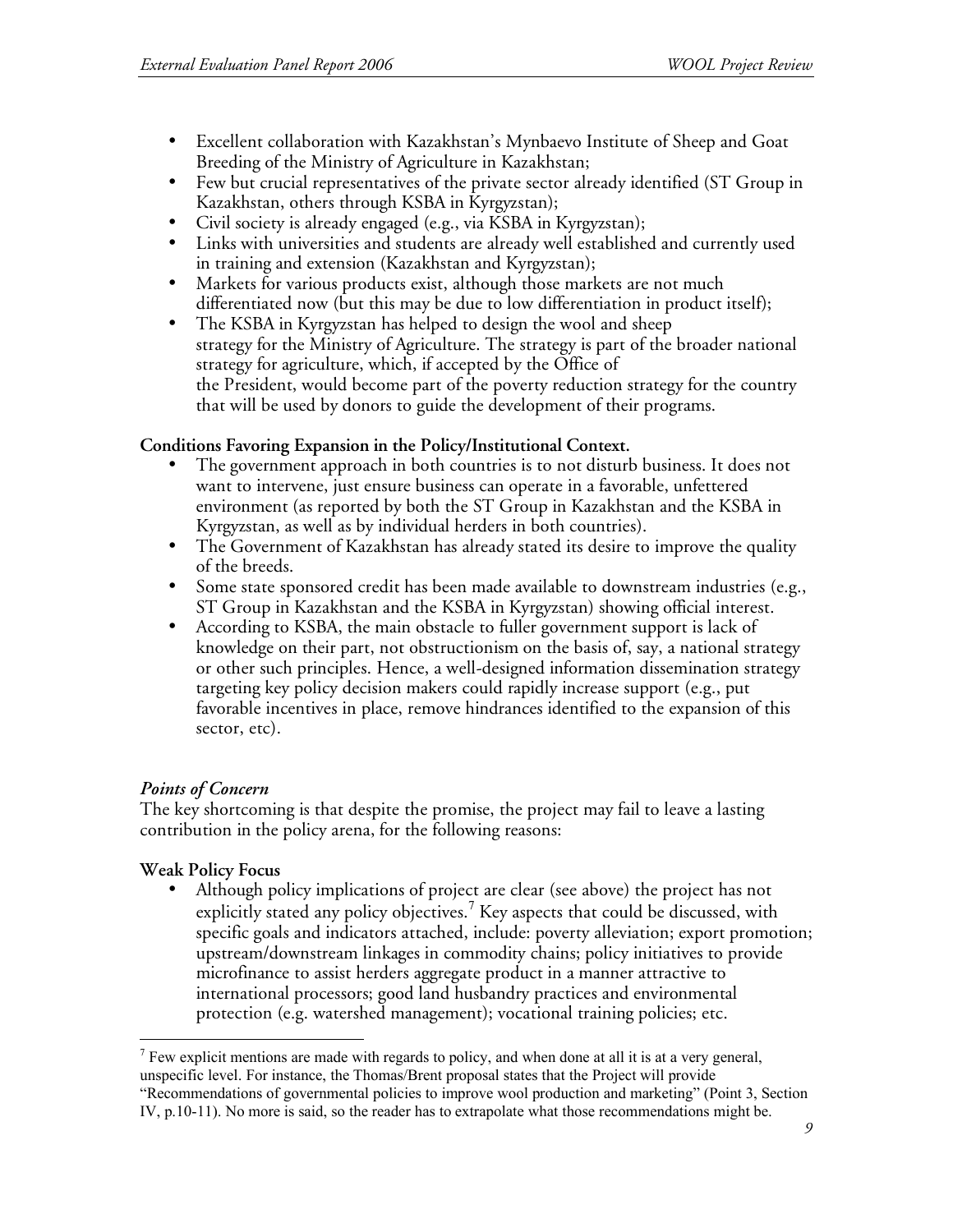- Excellent collaboration with Kazakhstan's Mynbaevo Institute of Sheep and Goat Breeding of the Ministry of Agriculture in Kazakhstan;
- Few but crucial representatives of the private sector already identified (ST Group in Kazakhstan, others through KSBA in Kyrgyzstan);
- Civil society is already engaged (e.g., via KSBA in Kyrgyzstan);
- Links with universities and students are already well established and currently used in training and extension (Kazakhstan and Kyrgyzstan);
- Markets for various products exist, although those markets are not much differentiated now (but this may be due to low differentiation in product itself);
- The KSBA in Kyrgyzstan has helped to design the wool and sheep strategy for the Ministry of Agriculture. The strategy is part of the broader national strategy for agriculture, which, if accepted by the Office of the President, would become part of the poverty reduction strategy for the country that will be used by donors to guide the development of their programs.

### **Conditions Favoring Expansion in the Policy/Institutional Context.**

- The government approach in both countries is to not disturb business. It does not want to intervene, just ensure business can operate in a favorable, unfettered environment (as reported by both the ST Group in Kazakhstan and the KSBA in Kyrgyzstan, as well as by individual herders in both countries).
- The Government of Kazakhstan has already stated its desire to improve the quality of the breeds.
- Some state sponsored credit has been made available to downstream industries (e.g., ST Group in Kazakhstan and the KSBA in Kyrgyzstan) showing official interest.
- According to KSBA, the main obstacle to fuller government support is lack of knowledge on their part, not obstructionism on the basis of, say, a national strategy or other such principles. Hence, a well-designed information dissemination strategy targeting key policy decision makers could rapidly increase support (e.g., put favorable incentives in place, remove hindrances identified to the expansion of this sector, etc).

# *Points of Concern*

The key shortcoming is that despite the promise, the project may fail to leave a lasting contribution in the policy arena, for the following reasons:

# **Weak Policy Focus**

• Although policy implications of project are clear (see above) the project has not explicitly stated any policy objectives.<sup>7</sup> Key aspects that could be discussed, with specific goals and indicators attached, include: poverty alleviation; export promotion; upstream/downstream linkages in commodity chains; policy initiatives to provide microfinance to assist herders aggregate product in a manner attractive to international processors; good land husbandry practices and environmental protection (e.g. watershed management); vocational training policies; etc.

 $<sup>7</sup>$  Few explicit mentions are made with regards to policy, and when done at all it is at a very general,</sup> unspecific level. For instance, the Thomas/Brent proposal states that the Project will provide "Recommendations of governmental policies to improve wool production and marketing" (Point 3, Section IV, p.10-11). No more is said, so the reader has to extrapolate what those recommendations might be.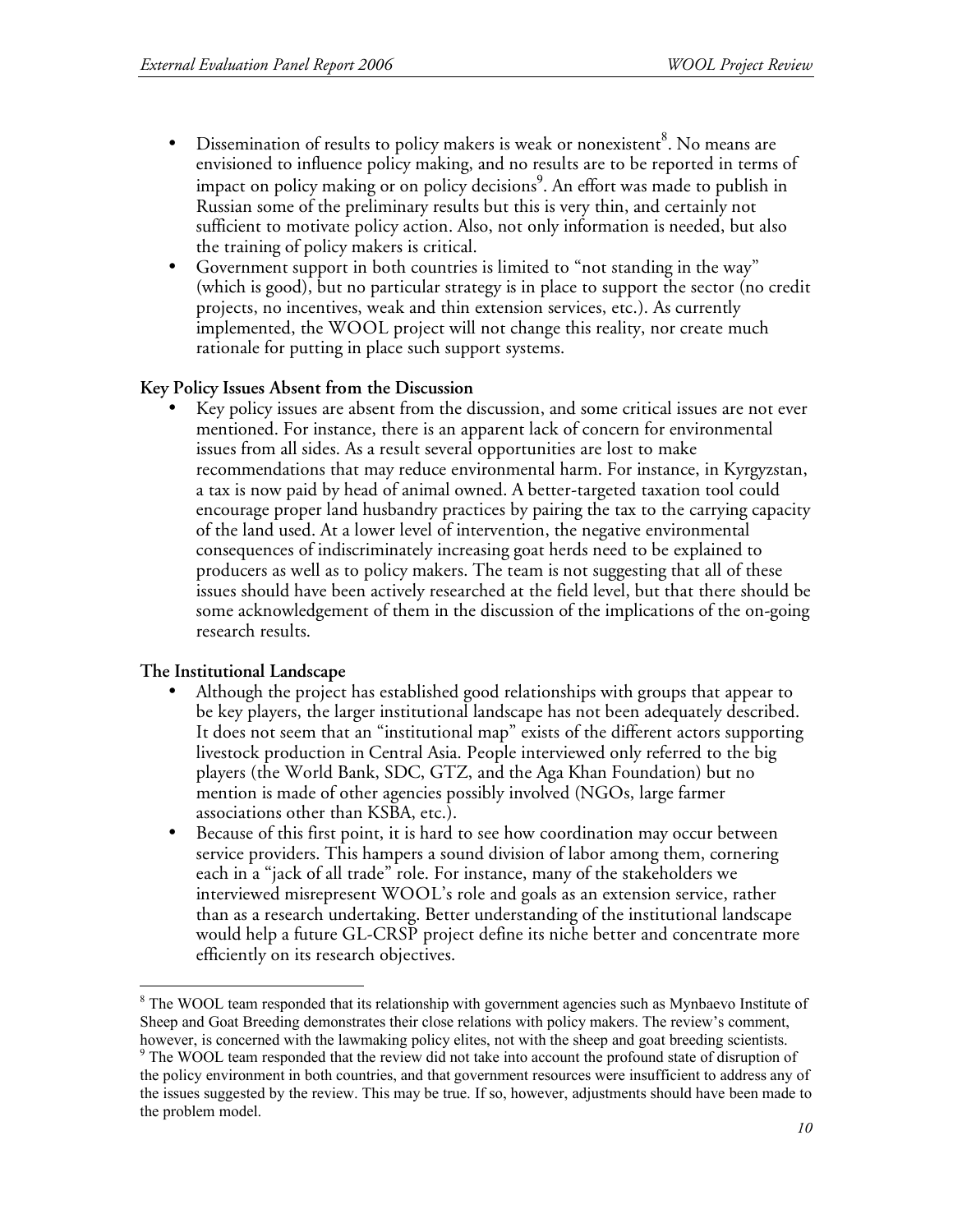- Dissemination of results to policy makers is weak or nonexistent  ${}^{8}$ . No means are envisioned to influence policy making, and no results are to be reported in terms of impact on policy making or on policy decisions 9 . An effort was made to publish in Russian some of the preliminary results but this is very thin, and certainly not sufficient to motivate policy action. Also, not only information is needed, but also the training of policy makers is critical.
- Government support in both countries is limited to "not standing in the way" (which is good), but no particular strategy is in place to support the sector (no credit projects, no incentives, weak and thin extension services, etc.). As currently implemented, the WOOL project will not change this reality, nor create much rationale for putting in place such support systems.

#### **Key Policy Issues Absent from the Discussion**

Key policy issues are absent from the discussion, and some critical issues are not ever mentioned. For instance, there is an apparent lack of concern for environmental issues from all sides. As a result several opportunities are lost to make recommendations that may reduce environmental harm. For instance, in Kyrgyzstan, a tax is now paid by head of animal owned. A better-targeted taxation tool could encourage proper land husbandry practices by pairing the tax to the carrying capacity of the land used. At a lower level of intervention, the negative environmental consequences of indiscriminately increasing goat herds need to be explained to producers as well as to policy makers. The team is not suggesting that all of these issues should have been actively researched at the field level, but that there should be some acknowledgement of them in the discussion of the implications of the on-going research results.

# **The Institutional Landscape**

- Although the project has established good relationships with groups that appear to be key players, the larger institutional landscape has not been adequately described. It does not seem that an "institutional map" exists of the different actors supporting livestock production in Central Asia. People interviewed only referred to the big players (the World Bank, SDC, GTZ, and the Aga Khan Foundation) but no mention is made of other agencies possibly involved (NGOs, large farmer associations other than KSBA, etc.).
- Because of this first point, it is hard to see how coordination may occur between service providers. This hampers a sound division of labor among them, cornering each in a "jack of all trade" role. For instance, many of the stakeholders we interviewed misrepresent WOOL's role and goals as an extension service, rather than as a research undertaking. Better understanding of the institutional landscape would help a future GL-CRSP project define its niche better and concentrate more efficiently on its research objectives.

<sup>&</sup>lt;sup>8</sup> The WOOL team responded that its relationship with government agencies such as Mynbaevo Institute of Sheep and Goat Breeding demonstrates their close relations with policy makers. The review's comment,

however, is concerned with the lawmaking policy elites, not with the sheep and goat breeding scientists. <sup>9</sup> The WOOL team responded that the review did not take into account the profound state of disruption of the policy environment in both countries, and that government resources were insufficient to address any of the issues suggested by the review. This may be true. If so, however, adjustments should have been made to the problem model.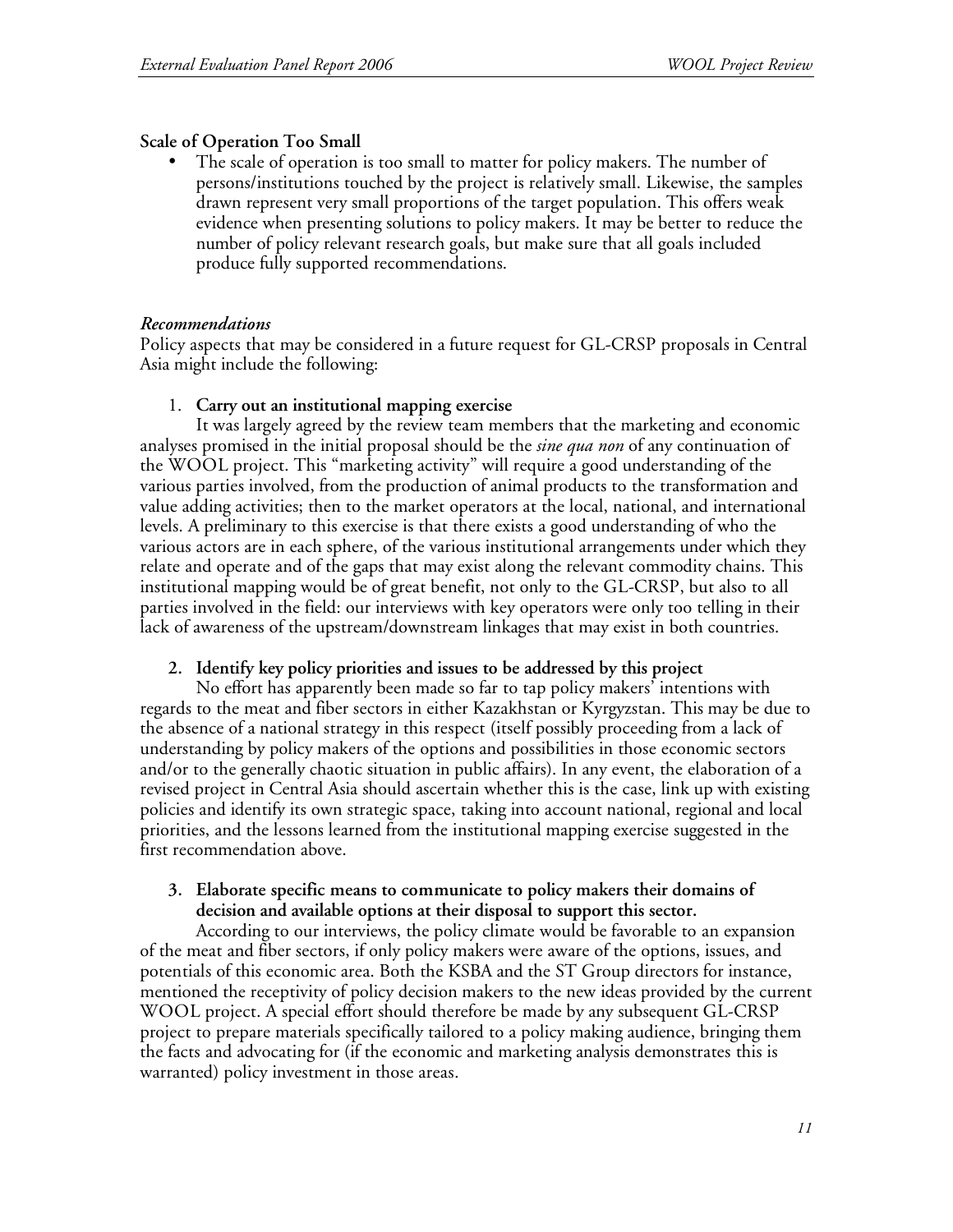#### **Scale of Operation Too Small**

The scale of operation is too small to matter for policy makers. The number of persons/institutions touched by the project is relatively small. Likewise, the samples drawn represent very small proportions of the target population. This offers weak evidence when presenting solutions to policy makers. It may be better to reduce the number of policy relevant research goals, but make sure that all goals included produce fully supported recommendations.

#### *Recommendations*

Policy aspects that may be considered in a future request for GL-CRSP proposals in Central Asia might include the following:

#### 1. **Carry out an institutional mapping exercise**

It was largely agreed by the review team members that the marketing and economic analyses promised in the initial proposal should be the *sine qua non* of any continuation of the WOOL project. This "marketing activity" will require a good understanding of the various parties involved, from the production of animal products to the transformation and value adding activities; then to the market operators at the local, national, and international levels. A preliminary to this exercise is that there exists a good understanding of who the various actors are in each sphere, of the various institutional arrangements under which they relate and operate and of the gaps that may exist along the relevant commodity chains. This institutional mapping would be of great benefit, not only to the GL-CRSP, but also to all parties involved in the field: our interviews with key operators were only too telling in their lack of awareness of the upstream/downstream linkages that may exist in both countries.

#### **2. Identify key policy priorities and issues to be addressed by this project**

No effort has apparently been made so far to tap policy makers' intentions with regards to the meat and fiber sectors in either Kazakhstan or Kyrgyzstan. This may be due to the absence of a national strategy in this respect (itself possibly proceeding from a lack of understanding by policy makers of the options and possibilities in those economic sectors and/or to the generally chaotic situation in public affairs). In any event, the elaboration of a revised project in Central Asia should ascertain whether this is the case, link up with existing policies and identify its own strategic space, taking into account national, regional and local priorities, and the lessons learned from the institutional mapping exercise suggested in the first recommendation above.

#### **3. Elaborate specific means to communicate to policy makers their domains of decision and available options at their disposal to support this sector.**

According to our interviews, the policy climate would be favorable to an expansion of the meat and fiber sectors, if only policy makers were aware of the options, issues, and potentials of this economic area. Both the KSBA and the ST Group directors for instance, mentioned the receptivity of policy decision makers to the new ideas provided by the current WOOL project. A special effort should therefore be made by any subsequent GL-CRSP project to prepare materials specifically tailored to a policy making audience, bringing them the facts and advocating for (if the economic and marketing analysis demonstrates this is warranted) policy investment in those areas.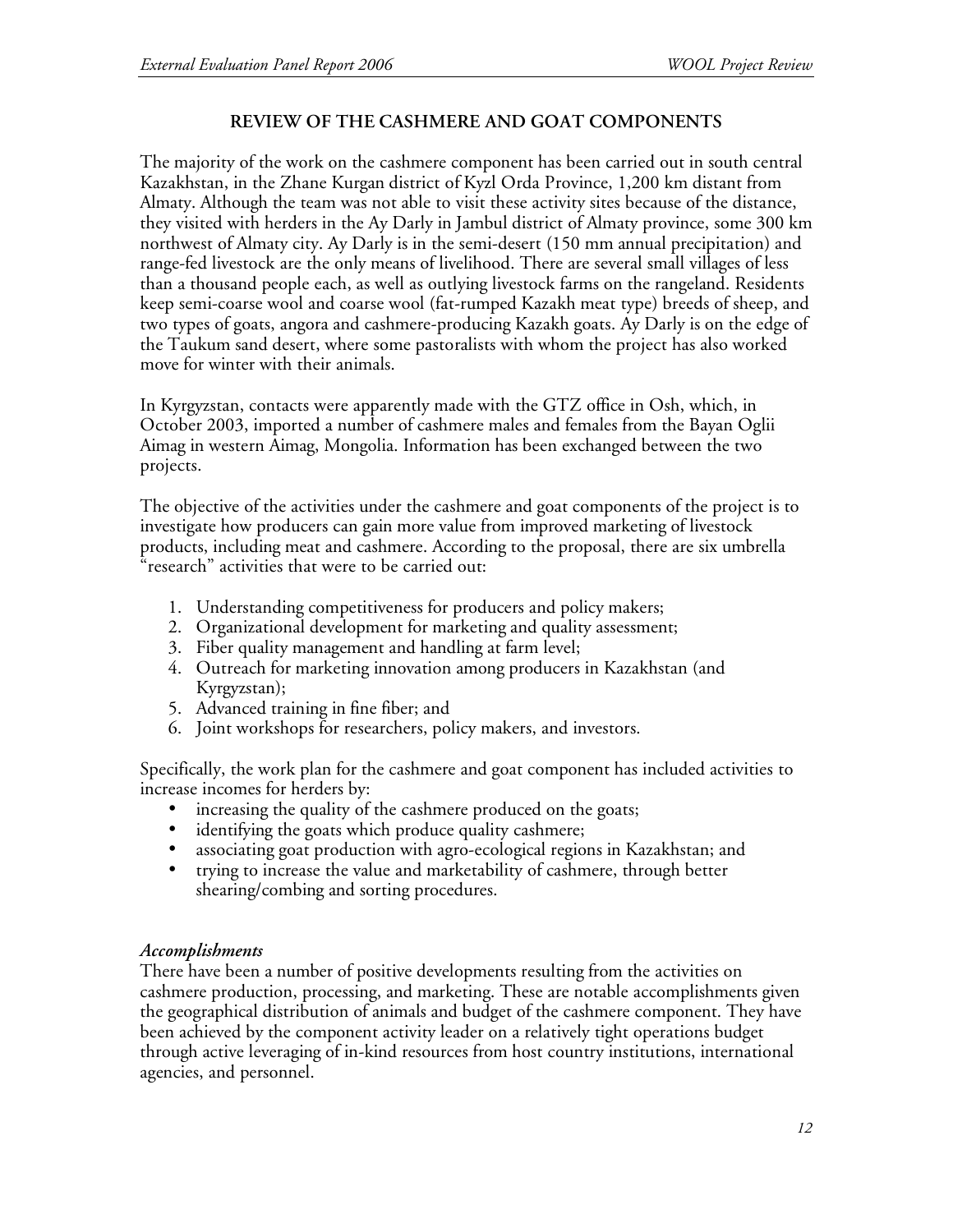### **REVIEW OF THE CASHMERE AND GOAT COMPONENTS**

The majority of the work on the cashmere component has been carried out in south central Kazakhstan, in the Zhane Kurgan district of Kyzl Orda Province, 1,200 km distant from Almaty. Although the team was not able to visit these activity sites because of the distance, they visited with herders in the Ay Darly in Jambul district of Almaty province, some 300 km northwest of Almaty city. Ay Darly is in the semi-desert (150 mm annual precipitation) and range-fed livestock are the only means of livelihood. There are several small villages of less than a thousand people each, as well as outlying livestock farms on the rangeland. Residents keep semi-coarse wool and coarse wool (fat-rumped Kazakh meat type) breeds of sheep, and two types of goats, angora and cashmere-producing Kazakh goats. Ay Darly is on the edge of the Taukum sand desert, where some pastoralists with whom the project has also worked move for winter with their animals.

In Kyrgyzstan, contacts were apparently made with the GTZ office in Osh, which, in October 2003, imported a number of cashmere males and females from the Bayan Oglii Aimag in western Aimag, Mongolia. Information has been exchanged between the two projects.

The objective of the activities under the cashmere and goat components of the project is to investigate how producers can gain more value from improved marketing of livestock products, including meat and cashmere. According to the proposal, there are six umbrella "research" activities that were to be carried out:

- 1. Understanding competitiveness for producers and policy makers;
- 2. Organizational development for marketing and quality assessment;
- 3. Fiber quality management and handling at farm level;
- 4. Outreach for marketing innovation among producers in Kazakhstan (and Kyrgyzstan);
- 5. Advanced training in fine fiber; and
- 6. Joint workshops for researchers, policy makers, and investors.

Specifically, the work plan for the cashmere and goat component has included activities to increase incomes for herders by:

- increasing the quality of the cashmere produced on the goats;
- identifying the goats which produce quality cashmere;<br>• associating goat production with agro-ecological regio
- associating goat production with agro-ecological regions in Kazakhstan; and
- trying to increase the value and marketability of cashmere, through better shearing/combing and sorting procedures.

#### *Accomplishments*

There have been a number of positive developments resulting from the activities on cashmere production, processing, and marketing. These are notable accomplishments given the geographical distribution of animals and budget of the cashmere component. They have been achieved by the component activity leader on a relatively tight operations budget through active leveraging of in-kind resources from host country institutions, international agencies, and personnel.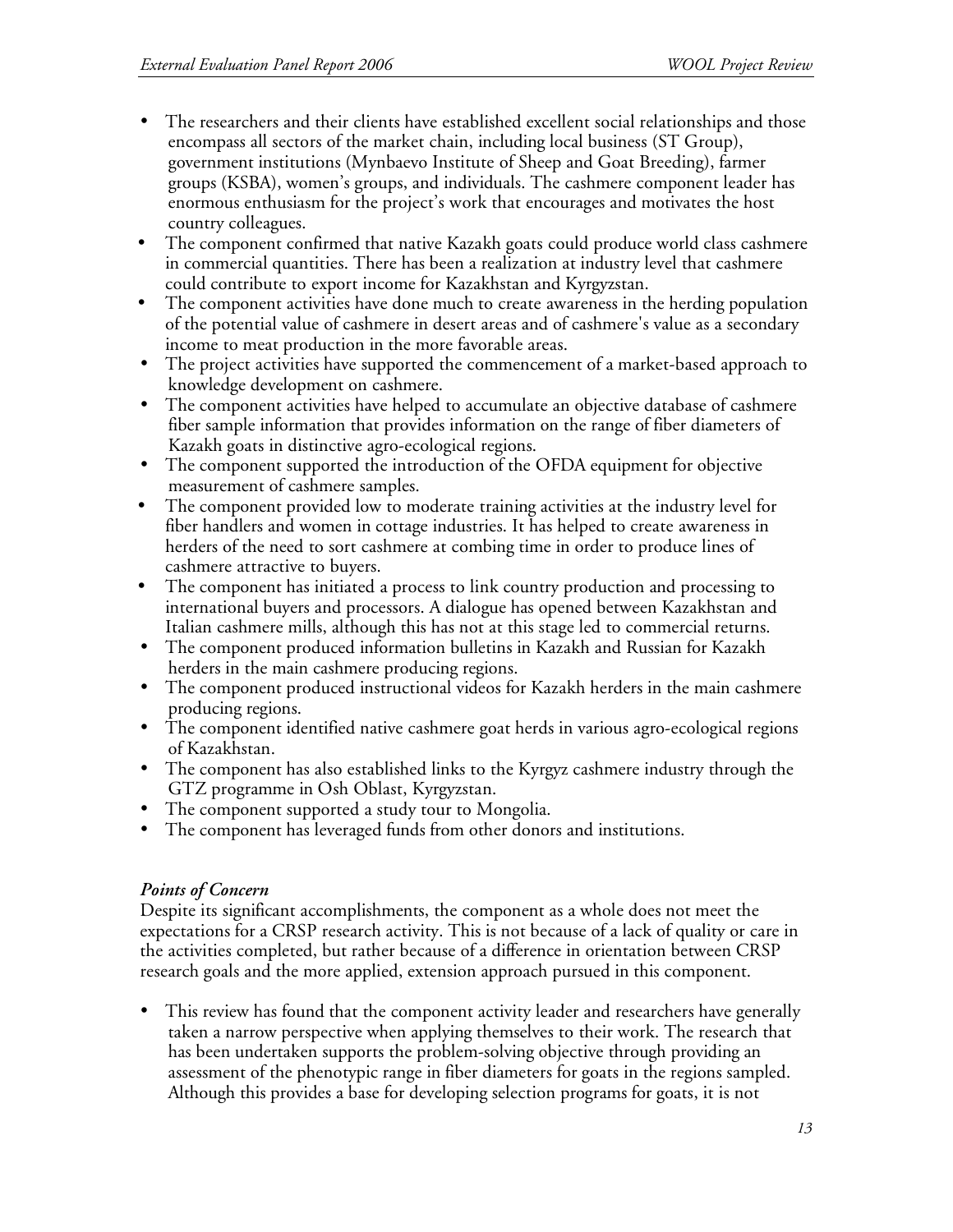- The researchers and their clients have established excellent social relationships and those encompass all sectors of the market chain, including local business (ST Group), government institutions (Mynbaevo Institute of Sheep and Goat Breeding), farmer groups (KSBA), women's groups, and individuals. The cashmere component leader has enormous enthusiasm for the project's work that encourages and motivates the host country colleagues.
- The component confirmed that native Kazakh goats could produce world class cashmere in commercial quantities. There has been a realization at industry level that cashmere could contribute to export income for Kazakhstan and Kyrgyzstan.
- The component activities have done much to create awareness in the herding population of the potential value of cashmere in desert areas and of cashmere's value as a secondary income to meat production in the more favorable areas.
- The project activities have supported the commencement of a market-based approach to knowledge development on cashmere.
- The component activities have helped to accumulate an objective database of cashmere fiber sample information that provides information on the range of fiber diameters of Kazakh goats in distinctive agro-ecological regions.
- The component supported the introduction of the OFDA equipment for objective measurement of cashmere samples.
- The component provided low to moderate training activities at the industry level for fiber handlers and women in cottage industries. It has helped to create awareness in herders of the need to sort cashmere at combing time in order to produce lines of cashmere attractive to buyers.
- The component has initiated a process to link country production and processing to international buyers and processors. A dialogue has opened between Kazakhstan and Italian cashmere mills, although this has not at this stage led to commercial returns.
- The component produced information bulletins in Kazakh and Russian for Kazakh herders in the main cashmere producing regions.
- The component produced instructional videos for Kazakh herders in the main cashmere producing regions.
- The component identified native cashmere goat herds in various agro-ecological regions of Kazakhstan.
- The component has also established links to the Kyrgyz cashmere industry through the GTZ programme in Osh Oblast, Kyrgyzstan.
- The component supported a study tour to Mongolia.
- The component has leveraged funds from other donors and institutions.

# *Points of Concern*

Despite its significant accomplishments, the component as a whole does not meet the expectations for a CRSP research activity. This is not because of a lack of quality or care in the activities completed, but rather because of a difference in orientation between CRSP research goals and the more applied, extension approach pursued in this component.

• This review has found that the component activity leader and researchers have generally taken a narrow perspective when applying themselves to their work. The research that has been undertaken supports the problem-solving objective through providing an assessment of the phenotypic range in fiber diameters for goats in the regions sampled. Although this provides a base for developing selection programs for goats, it is not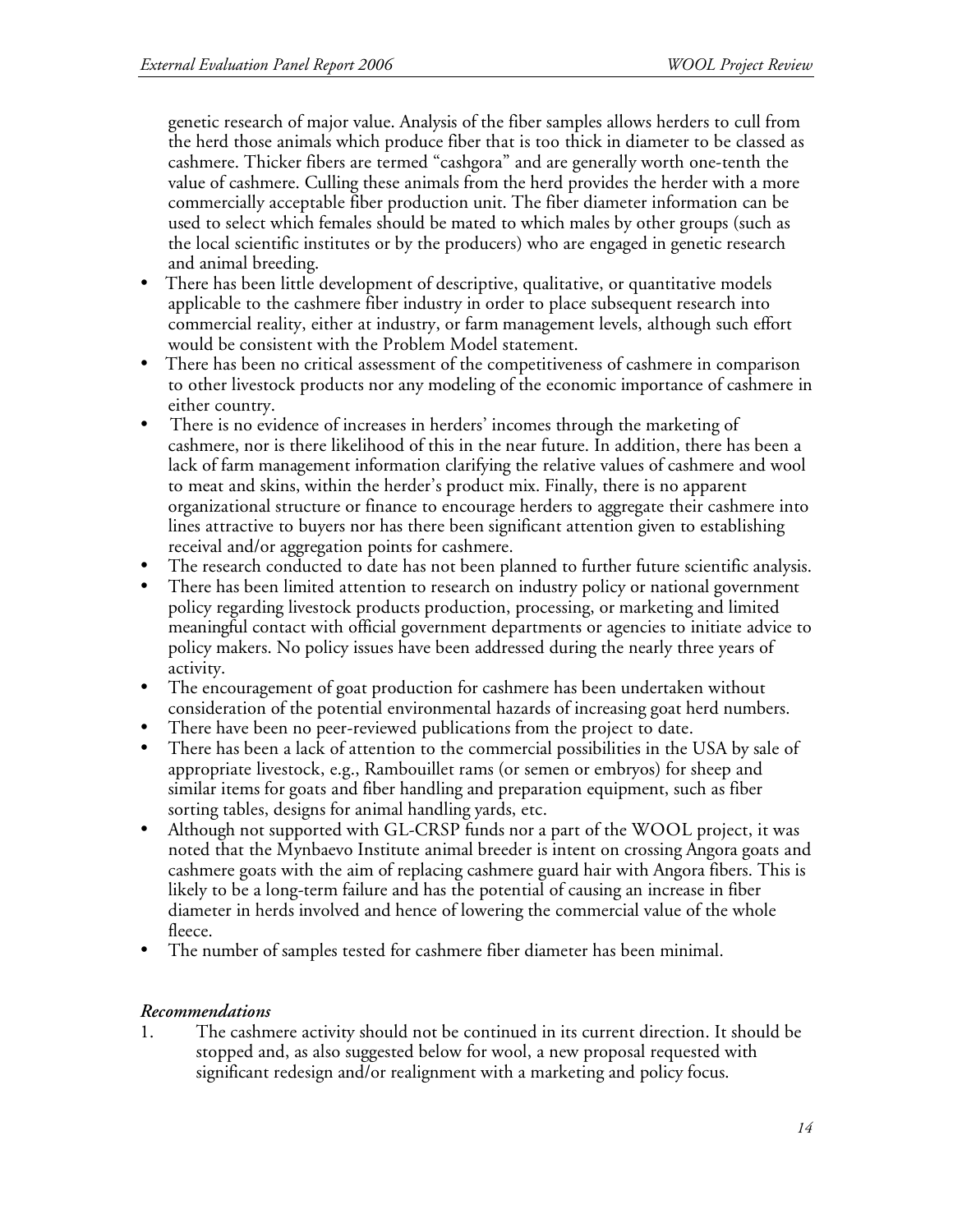genetic research of major value. Analysis of the fiber samples allows herders to cull from the herd those animals which produce fiber that is too thick in diameter to be classed as cashmere. Thicker fibers are termed "cashgora" and are generally worth one-tenth the value of cashmere. Culling these animals from the herd provides the herder with a more commercially acceptable fiber production unit. The fiber diameter information can be used to select which females should be mated to which males by other groups (such as the local scientific institutes or by the producers) who are engaged in genetic research and animal breeding.

- There has been little development of descriptive, qualitative, or quantitative models applicable to the cashmere fiber industry in order to place subsequent research into commercial reality, either at industry, or farm management levels, although such effort would be consistent with the Problem Model statement.
- There has been no critical assessment of the competitiveness of cashmere in comparison to other livestock products nor any modeling of the economic importance of cashmere in either country.
- There is no evidence of increases in herders' incomes through the marketing of cashmere, nor is there likelihood of this in the near future. In addition, there has been a lack of farm management information clarifying the relative values of cashmere and wool to meat and skins, within the herder's product mix. Finally, there is no apparent organizational structure or finance to encourage herders to aggregate their cashmere into lines attractive to buyers nor has there been significant attention given to establishing receival and/or aggregation points for cashmere.
- The research conducted to date has not been planned to further future scientific analysis.
- There has been limited attention to research on industry policy or national government policy regarding livestock products production, processing, or marketing and limited meaningful contact with official government departments or agencies to initiate advice to policy makers. No policy issues have been addressed during the nearly three years of activity.
- The encouragement of goat production for cashmere has been undertaken without consideration of the potential environmental hazards of increasing goat herd numbers.
- There have been no peer-reviewed publications from the project to date.
- There has been a lack of attention to the commercial possibilities in the USA by sale of appropriate livestock, e.g., Rambouillet rams (or semen or embryos) for sheep and similar items for goats and fiber handling and preparation equipment, such as fiber sorting tables, designs for animal handling yards, etc.
- Although not supported with GL-CRSP funds nor a part of the WOOL project, it was noted that the Mynbaevo Institute animal breeder is intent on crossing Angora goats and cashmere goats with the aim of replacing cashmere guard hair with Angora fibers. This is likely to be a long-term failure and has the potential of causing an increase in fiber diameter in herds involved and hence of lowering the commercial value of the whole fleece.
- The number of samples tested for cashmere fiber diameter has been minimal.

# *Recommendations*

1. The cashmere activity should not be continued in its current direction. It should be stopped and, as also suggested below for wool, a new proposal requested with significant redesign and/or realignment with a marketing and policy focus.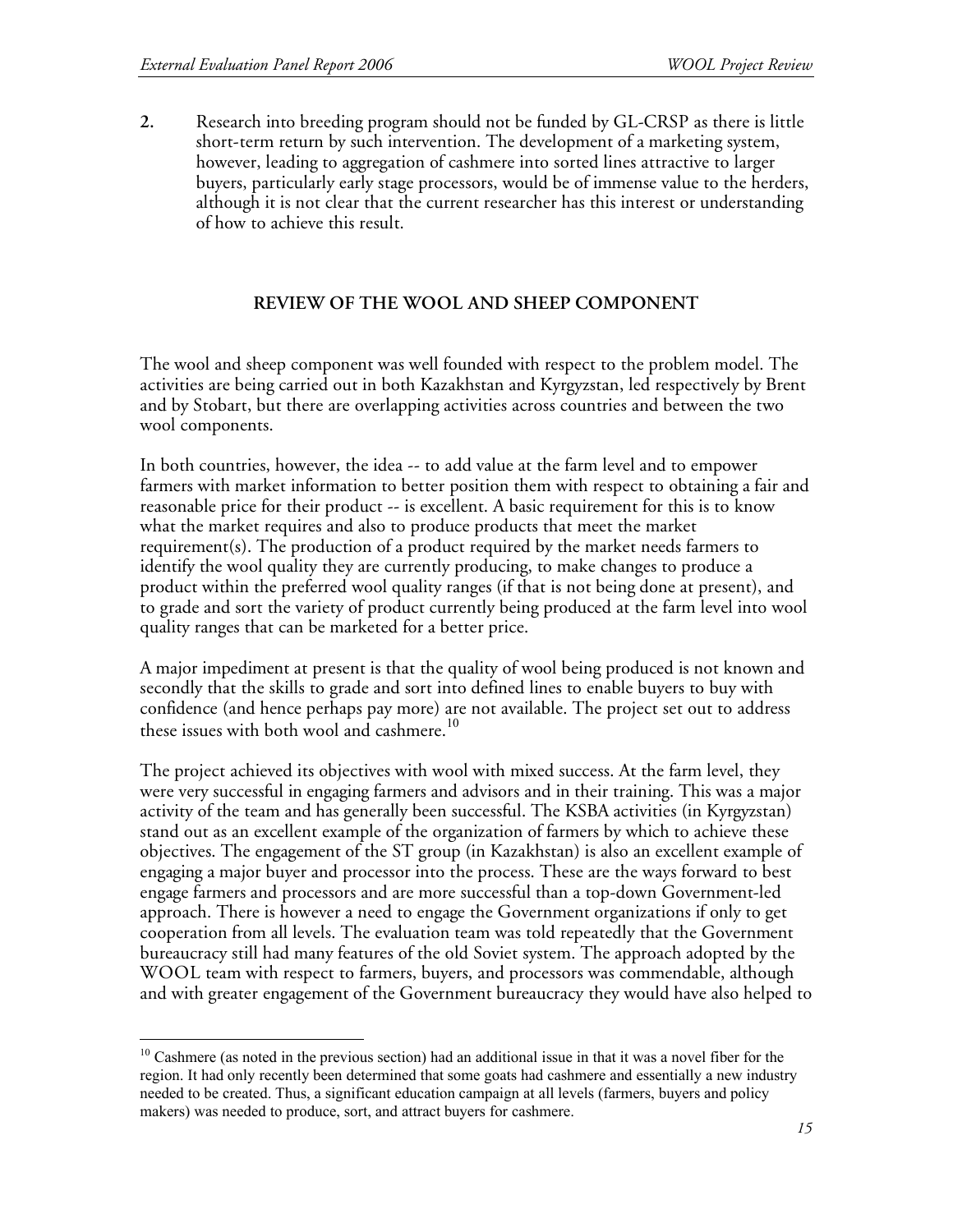**2.** Research into breeding program should not be funded by GL-CRSP as there is little short-term return by such intervention. The development of a marketing system, however, leading to aggregation of cashmere into sorted lines attractive to larger buyers, particularly early stage processors, would be of immense value to the herders, although it is not clear that the current researcher has this interest or understanding of how to achieve this result.

### **REVIEW OF THE WOOL AND SHEEP COMPONENT**

The wool and sheep component was well founded with respect to the problem model. The activities are being carried out in both Kazakhstan and Kyrgyzstan, led respectively by Brent and by Stobart, but there are overlapping activities across countries and between the two wool components.

In both countries, however, the idea -- to add value at the farm level and to empower farmers with market information to better position them with respect to obtaining a fair and reasonable price for their product -- is excellent. A basic requirement for this is to know what the market requires and also to produce products that meet the market requirement(s). The production of a product required by the market needs farmers to identify the wool quality they are currently producing, to make changes to produce a product within the preferred wool quality ranges (if that is not being done at present), and to grade and sort the variety of product currently being produced at the farm level into wool quality ranges that can be marketed for a better price.

A major impediment at present is that the quality of wool being produced is not known and secondly that the skills to grade and sort into defined lines to enable buyers to buy with confidence (and hence perhaps pay more) are not available. The project set out to address these issues with both wool and cashmere.<sup>10</sup>

The project achieved its objectives with wool with mixed success. At the farm level, they were very successful in engaging farmers and advisors and in their training. This was a major activity of the team and has generally been successful. The KSBA activities (in Kyrgyzstan) stand out as an excellent example of the organization of farmers by which to achieve these objectives. The engagement of the ST group (in Kazakhstan) is also an excellent example of engaging a major buyer and processor into the process. These are the ways forward to best engage farmers and processors and are more successful than a top-down Government-led approach. There is however a need to engage the Government organizations if only to get cooperation from all levels. The evaluation team was told repeatedly that the Government bureaucracy still had many features of the old Soviet system. The approach adopted by the WOOL team with respect to farmers, buyers, and processors was commendable, although and with greater engagement of the Government bureaucracy they would have also helped to

 $10$  Cashmere (as noted in the previous section) had an additional issue in that it was a novel fiber for the region. It had only recently been determined that some goats had cashmere and essentially a new industry needed to be created. Thus, a significant education campaign at all levels (farmers, buyers and policy makers) was needed to produce, sort, and attract buyers for cashmere.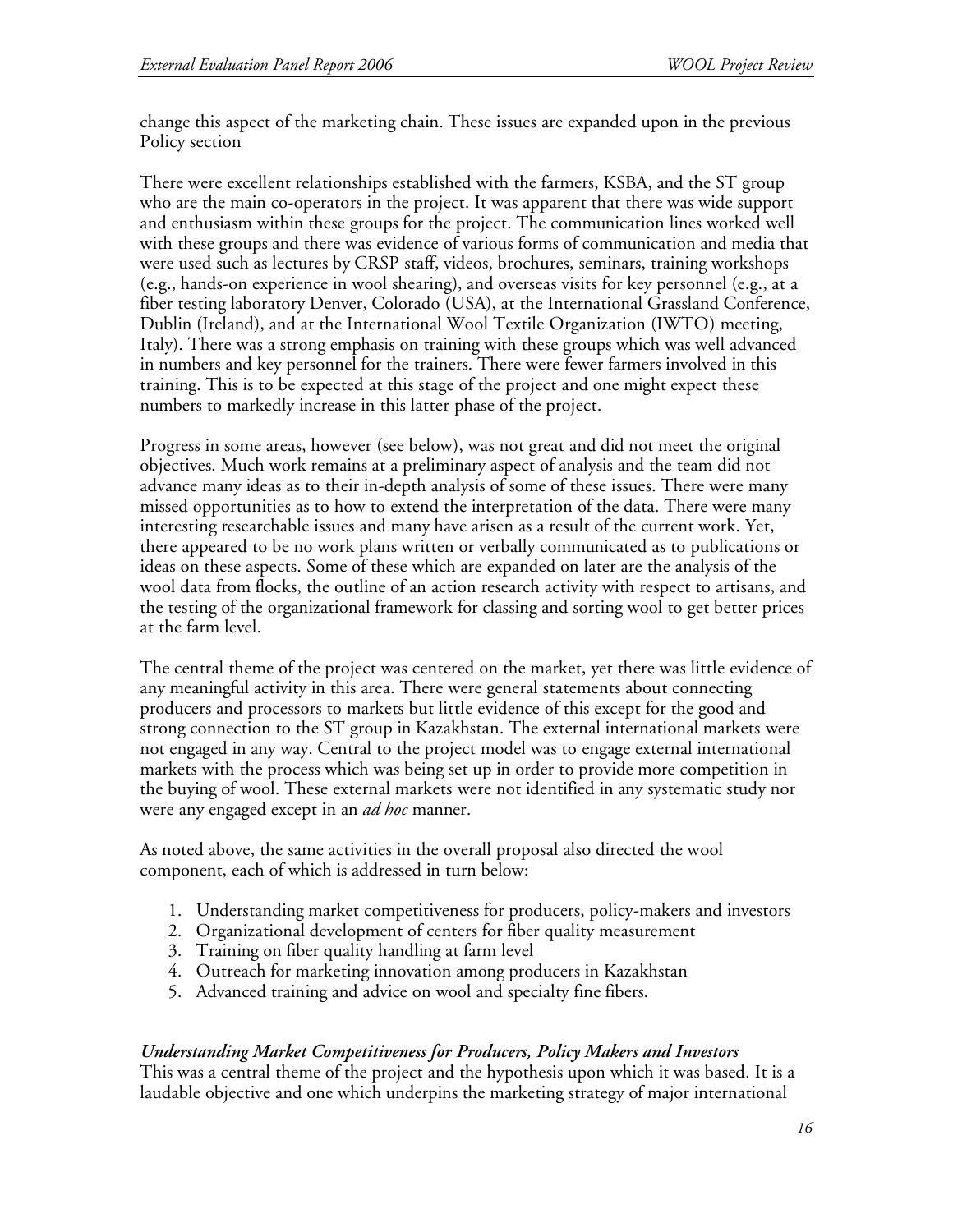change this aspect of the marketing chain. These issues are expanded upon in the previous Policy section

There were excellent relationships established with the farmers, KSBA, and the ST group who are the main co-operators in the project. It was apparent that there was wide support and enthusiasm within these groups for the project. The communication lines worked well with these groups and there was evidence of various forms of communication and media that were used such as lectures by CRSP staff, videos, brochures, seminars, training workshops (e.g., hands-on experience in wool shearing), and overseas visits for key personnel (e.g., at a fiber testing laboratory Denver, Colorado (USA), at the International Grassland Conference, Dublin (Ireland), and at the International Wool Textile Organization (IWTO) meeting, Italy). There was a strong emphasis on training with these groups which was well advanced in numbers and key personnel for the trainers. There were fewer farmers involved in this training. This is to be expected at this stage of the project and one might expect these numbers to markedly increase in this latter phase of the project.

Progress in some areas, however (see below), was not great and did not meet the original objectives. Much work remains at a preliminary aspect of analysis and the team did not advance many ideas as to their in-depth analysis of some of these issues. There were many missed opportunities as to how to extend the interpretation of the data. There were many interesting researchable issues and many have arisen as a result of the current work. Yet, there appeared to be no work plans written or verbally communicated as to publications or ideas on these aspects. Some of these which are expanded on later are the analysis of the wool data from flocks, the outline of an action research activity with respect to artisans, and the testing of the organizational framework for classing and sorting wool to get better prices at the farm level.

The central theme of the project was centered on the market, yet there was little evidence of any meaningful activity in this area. There were general statements about connecting producers and processors to markets but little evidence of this except for the good and strong connection to the ST group in Kazakhstan. The external international markets were not engaged in any way. Central to the project model was to engage external international markets with the process which was being set up in order to provide more competition in the buying of wool. These external markets were not identified in any systematic study nor were any engaged except in an *ad hoc* manner.

As noted above, the same activities in the overall proposal also directed the wool component, each of which is addressed in turn below:

- 1. Understanding market competitiveness for producers, policy-makers and investors
- 2. Organizational development of centers for fiber quality measurement
- 3. Training on fiber quality handling at farm level
- 4. Outreach for marketing innovation among producers in Kazakhstan
- 5. Advanced training and advice on wool and specialty fine fibers.

#### *Understanding Market Competitiveness for Producers, Policy Makers and Investors*

This was a central theme of the project and the hypothesis upon which it was based. It is a laudable objective and one which underpins the marketing strategy of major international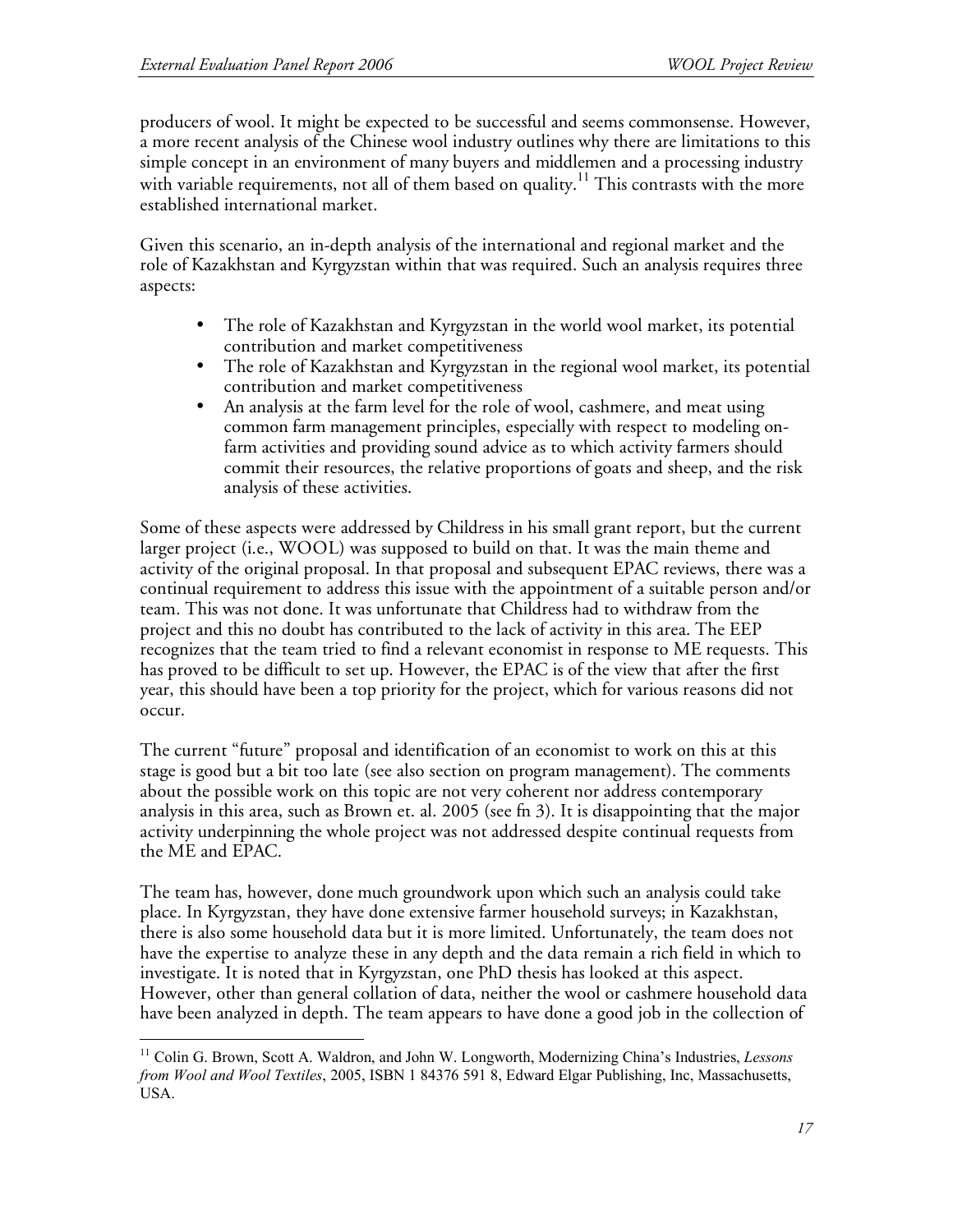producers of wool. It might be expected to be successful and seems commonsense. However, a more recent analysis of the Chinese wool industry outlines why there are limitations to this simple concept in an environment of many buyers and middlemen and a processing industry with variable requirements, not all of them based on quality.<sup>11</sup> This contrasts with the more established international market.

Given this scenario, an in-depth analysis of the international and regional market and the role of Kazakhstan and Kyrgyzstan within that was required. Such an analysis requires three aspects:

- The role of Kazakhstan and Kyrgyzstan in the world wool market, its potential contribution and market competitiveness
- The role of Kazakhstan and Kyrgyzstan in the regional wool market, its potential contribution and market competitiveness
- An analysis at the farm level for the role of wool, cashmere, and meat using common farm management principles, especially with respect to modeling onfarm activities and providing sound advice as to which activity farmers should commit their resources, the relative proportions of goats and sheep, and the risk analysis of these activities.

Some of these aspects were addressed by Childress in his small grant report, but the current larger project (i.e., WOOL) was supposed to build on that. It was the main theme and activity of the original proposal. In that proposal and subsequent EPAC reviews, there was a continual requirement to address this issue with the appointment of a suitable person and/or team. This was not done. It was unfortunate that Childress had to withdraw from the project and this no doubt has contributed to the lack of activity in this area. The EEP recognizes that the team tried to find a relevant economist in response to ME requests. This has proved to be difficult to set up. However, the EPAC is of the view that after the first year, this should have been a top priority for the project, which for various reasons did not occur.

The current "future" proposal and identification of an economist to work on this at this stage is good but a bit too late (see also section on program management). The comments about the possible work on this topic are not very coherent nor address contemporary analysis in this area, such as Brown et. al. 2005 (see fn 3). It is disappointing that the major activity underpinning the whole project was not addressed despite continual requests from the ME and EPAC.

The team has, however, done much groundwork upon which such an analysis could take place. In Kyrgyzstan, they have done extensive farmer household surveys; in Kazakhstan, there is also some household data but it is more limited. Unfortunately, the team does not have the expertise to analyze these in any depth and the data remain a rich field in which to investigate. It is noted that in Kyrgyzstan, one PhD thesis has looked at this aspect. However, other than general collation of data, neither the wool or cashmere household data have been analyzed in depth. The team appears to have done a good job in the collection of

 <sup>11</sup> Colin G. Brown, Scott A. Waldron, and John W. Longworth, Modernizing China's Industries, *Lessons from Wool and Wool Textiles*, 2005, ISBN 1 84376 591 8, Edward Elgar Publishing, Inc, Massachusetts, USA.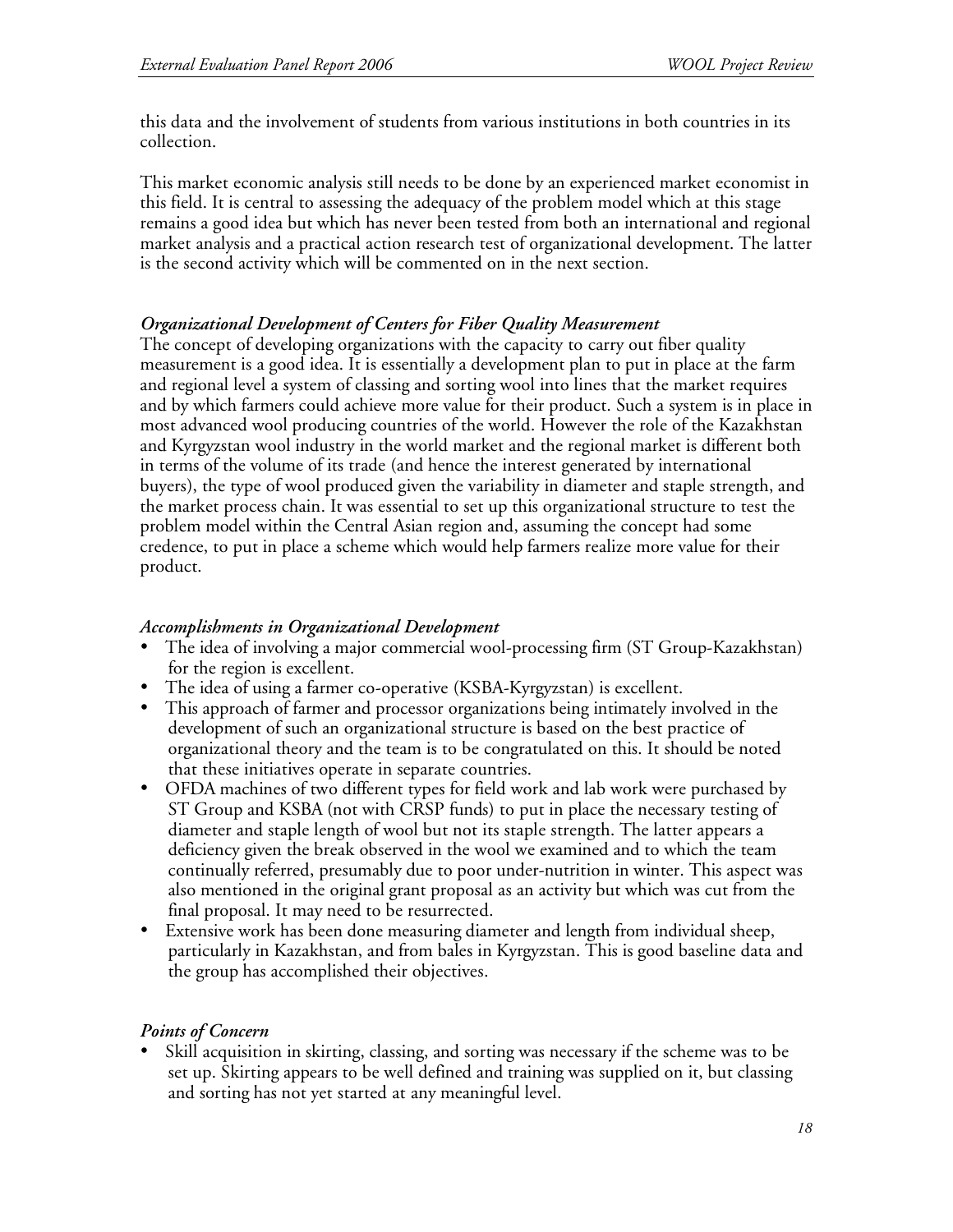this data and the involvement of students from various institutions in both countries in its collection.

This market economic analysis still needs to be done by an experienced market economist in this field. It is central to assessing the adequacy of the problem model which at this stage remains a good idea but which has never been tested from both an international and regional market analysis and a practical action research test of organizational development. The latter is the second activity which will be commented on in the next section.

### *Organizational Development of Centers for Fiber Quality Measurement*

The concept of developing organizations with the capacity to carry out fiber quality measurement is a good idea. It is essentially a development plan to put in place at the farm and regional level a system of classing and sorting wool into lines that the market requires and by which farmers could achieve more value for their product. Such a system is in place in most advanced wool producing countries of the world. However the role of the Kazakhstan and Kyrgyzstan wool industry in the world market and the regional market is different both in terms of the volume of its trade (and hence the interest generated by international buyers), the type of wool produced given the variability in diameter and staple strength, and the market process chain. It was essential to set up this organizational structure to test the problem model within the Central Asian region and, assuming the concept had some credence, to put in place a scheme which would help farmers realize more value for their product.

#### *Accomplishments in Organizational Development*

- The idea of involving a major commercial wool-processing firm (ST Group-Kazakhstan) for the region is excellent.
- The idea of using a farmer co-operative (KSBA-Kyrgyzstan) is excellent.
- This approach of farmer and processor organizations being intimately involved in the development of such an organizational structure is based on the best practice of organizational theory and the team is to be congratulated on this. It should be noted that these initiatives operate in separate countries.
- OFDA machines of two different types for field work and lab work were purchased by ST Group and KSBA (not with CRSP funds) to put in place the necessary testing of diameter and staple length of wool but not its staple strength. The latter appears a deficiency given the break observed in the wool we examined and to which the team continually referred, presumably due to poor under-nutrition in winter. This aspect was also mentioned in the original grant proposal as an activity but which was cut from the final proposal. It may need to be resurrected.
- Extensive work has been done measuring diameter and length from individual sheep, particularly in Kazakhstan, and from bales in Kyrgyzstan. This is good baseline data and the group has accomplished their objectives.

#### *Points of Concern*

• Skill acquisition in skirting, classing, and sorting was necessary if the scheme was to be set up. Skirting appears to be well defined and training was supplied on it, but classing and sorting has not yet started at any meaningful level.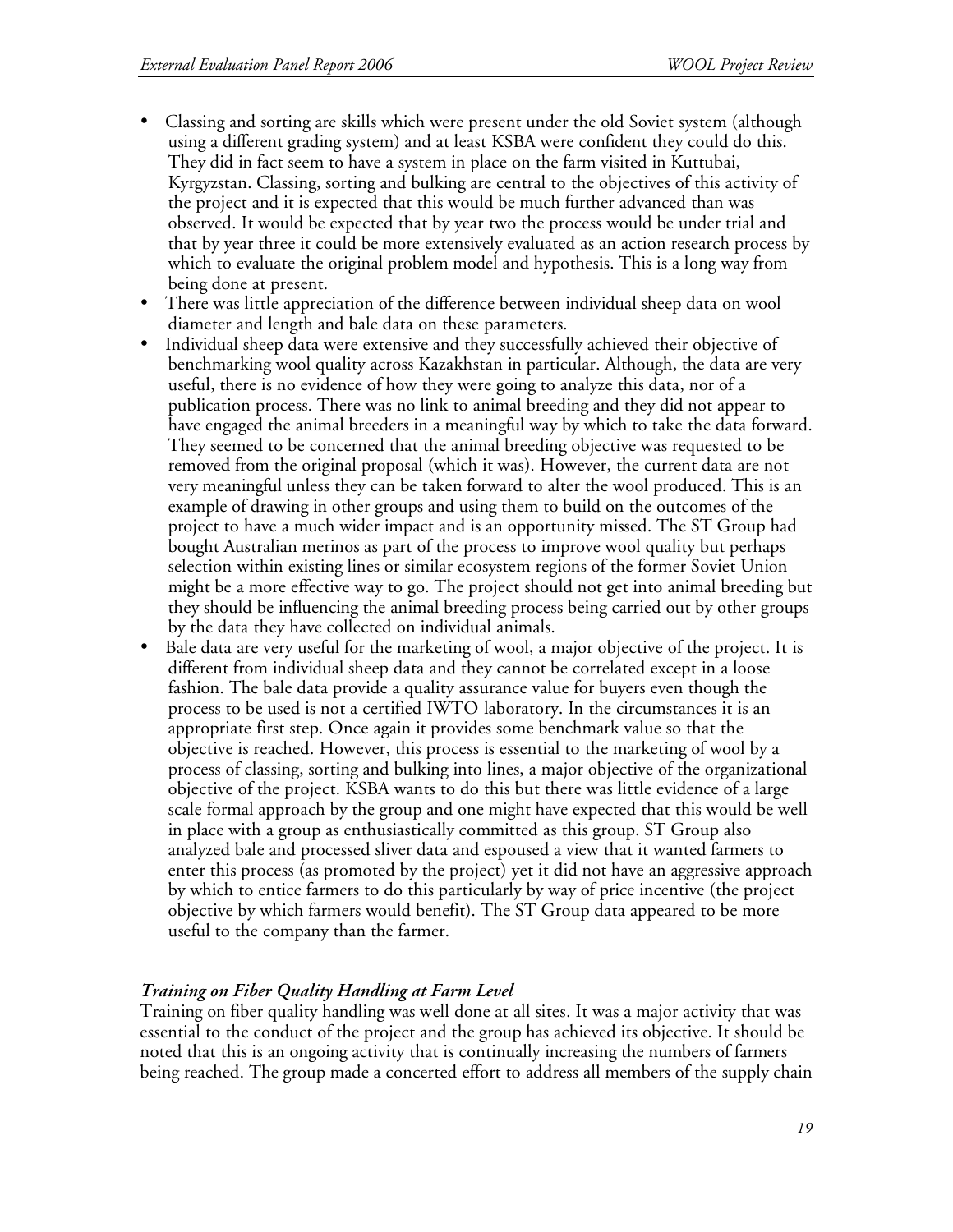- Classing and sorting are skills which were present under the old Soviet system (although using a different grading system) and at least KSBA were confident they could do this. They did in fact seem to have a system in place on the farm visited in Kuttubai, Kyrgyzstan. Classing, sorting and bulking are central to the objectives of this activity of the project and it is expected that this would be much further advanced than was observed. It would be expected that by year two the process would be under trial and that by year three it could be more extensively evaluated as an action research process by which to evaluate the original problem model and hypothesis. This is a long way from being done at present.
- There was little appreciation of the difference between individual sheep data on wool diameter and length and bale data on these parameters.
- Individual sheep data were extensive and they successfully achieved their objective of benchmarking wool quality across Kazakhstan in particular. Although, the data are very useful, there is no evidence of how they were going to analyze this data, nor of a publication process. There was no link to animal breeding and they did not appear to have engaged the animal breeders in a meaningful way by which to take the data forward. They seemed to be concerned that the animal breeding objective was requested to be removed from the original proposal (which it was). However, the current data are not very meaningful unless they can be taken forward to alter the wool produced. This is an example of drawing in other groups and using them to build on the outcomes of the project to have a much wider impact and is an opportunity missed. The ST Group had bought Australian merinos as part of the process to improve wool quality but perhaps selection within existing lines or similar ecosystem regions of the former Soviet Union might be a more effective way to go. The project should not get into animal breeding but they should be influencing the animal breeding process being carried out by other groups by the data they have collected on individual animals.
- Bale data are very useful for the marketing of wool, a major objective of the project. It is different from individual sheep data and they cannot be correlated except in a loose fashion. The bale data provide a quality assurance value for buyers even though the process to be used is not a certified IWTO laboratory. In the circumstances it is an appropriate first step. Once again it provides some benchmark value so that the objective is reached. However, this process is essential to the marketing of wool by a process of classing, sorting and bulking into lines, a major objective of the organizational objective of the project. KSBA wants to do this but there was little evidence of a large scale formal approach by the group and one might have expected that this would be well in place with a group as enthusiastically committed as this group. ST Group also analyzed bale and processed sliver data and espoused a view that it wanted farmers to enter this process (as promoted by the project) yet it did not have an aggressive approach by which to entice farmers to do this particularly by way of price incentive (the project objective by which farmers would benefit). The ST Group data appeared to be more useful to the company than the farmer.

# *Training on Fiber Quality Handling at Farm Level*

Training on fiber quality handling was well done at all sites. It was a major activity that was essential to the conduct of the project and the group has achieved its objective. It should be noted that this is an ongoing activity that is continually increasing the numbers of farmers being reached. The group made a concerted effort to address all members of the supply chain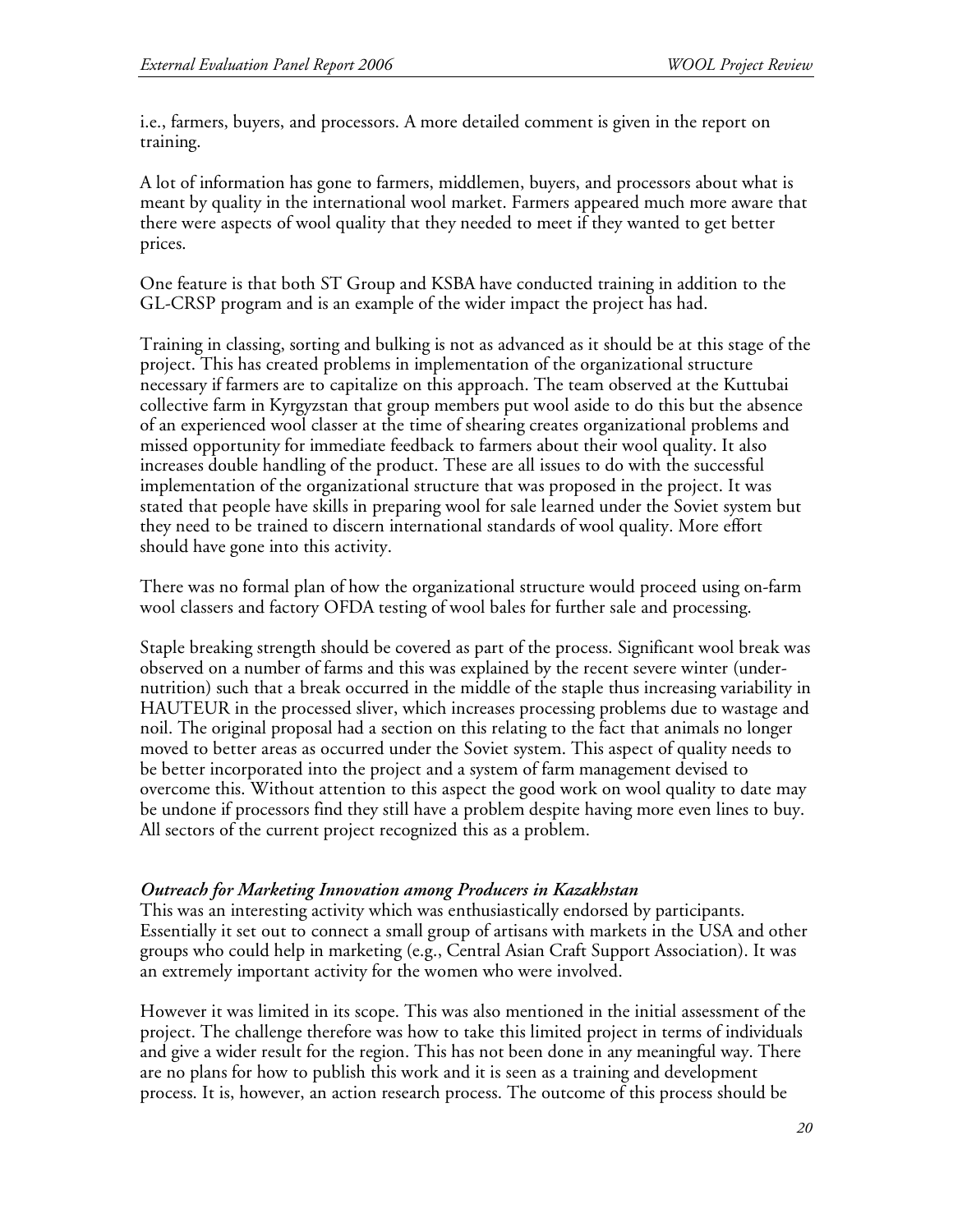i.e., farmers, buyers, and processors. A more detailed comment is given in the report on training.

A lot of information has gone to farmers, middlemen, buyers, and processors about what is meant by quality in the international wool market. Farmers appeared much more aware that there were aspects of wool quality that they needed to meet if they wanted to get better prices.

One feature is that both ST Group and KSBA have conducted training in addition to the GL-CRSP program and is an example of the wider impact the project has had.

Training in classing, sorting and bulking is not as advanced as it should be at this stage of the project. This has created problems in implementation of the organizational structure necessary if farmers are to capitalize on this approach. The team observed at the Kuttubai collective farm in Kyrgyzstan that group members put wool aside to do this but the absence of an experienced wool classer at the time of shearing creates organizational problems and missed opportunity for immediate feedback to farmers about their wool quality. It also increases double handling of the product. These are all issues to do with the successful implementation of the organizational structure that was proposed in the project. It was stated that people have skills in preparing wool for sale learned under the Soviet system but they need to be trained to discern international standards of wool quality. More effort should have gone into this activity.

There was no formal plan of how the organizational structure would proceed using on-farm wool classers and factory OFDA testing of wool bales for further sale and processing.

Staple breaking strength should be covered as part of the process. Significant wool break was observed on a number of farms and this was explained by the recent severe winter (undernutrition) such that a break occurred in the middle of the staple thus increasing variability in HAUTEUR in the processed sliver, which increases processing problems due to wastage and noil. The original proposal had a section on this relating to the fact that animals no longer moved to better areas as occurred under the Soviet system. This aspect of quality needs to be better incorporated into the project and a system of farm management devised to overcome this. Without attention to this aspect the good work on wool quality to date may be undone if processors find they still have a problem despite having more even lines to buy. All sectors of the current project recognized this as a problem.

#### *Outreach for Marketing Innovation among Producers in Kazakhstan*

This was an interesting activity which was enthusiastically endorsed by participants. Essentially it set out to connect a small group of artisans with markets in the USA and other groups who could help in marketing (e.g., Central Asian Craft Support Association). It was an extremely important activity for the women who were involved.

However it was limited in its scope. This was also mentioned in the initial assessment of the project. The challenge therefore was how to take this limited project in terms of individuals and give a wider result for the region. This has not been done in any meaningful way. There are no plans for how to publish this work and it is seen as a training and development process. It is, however, an action research process. The outcome of this process should be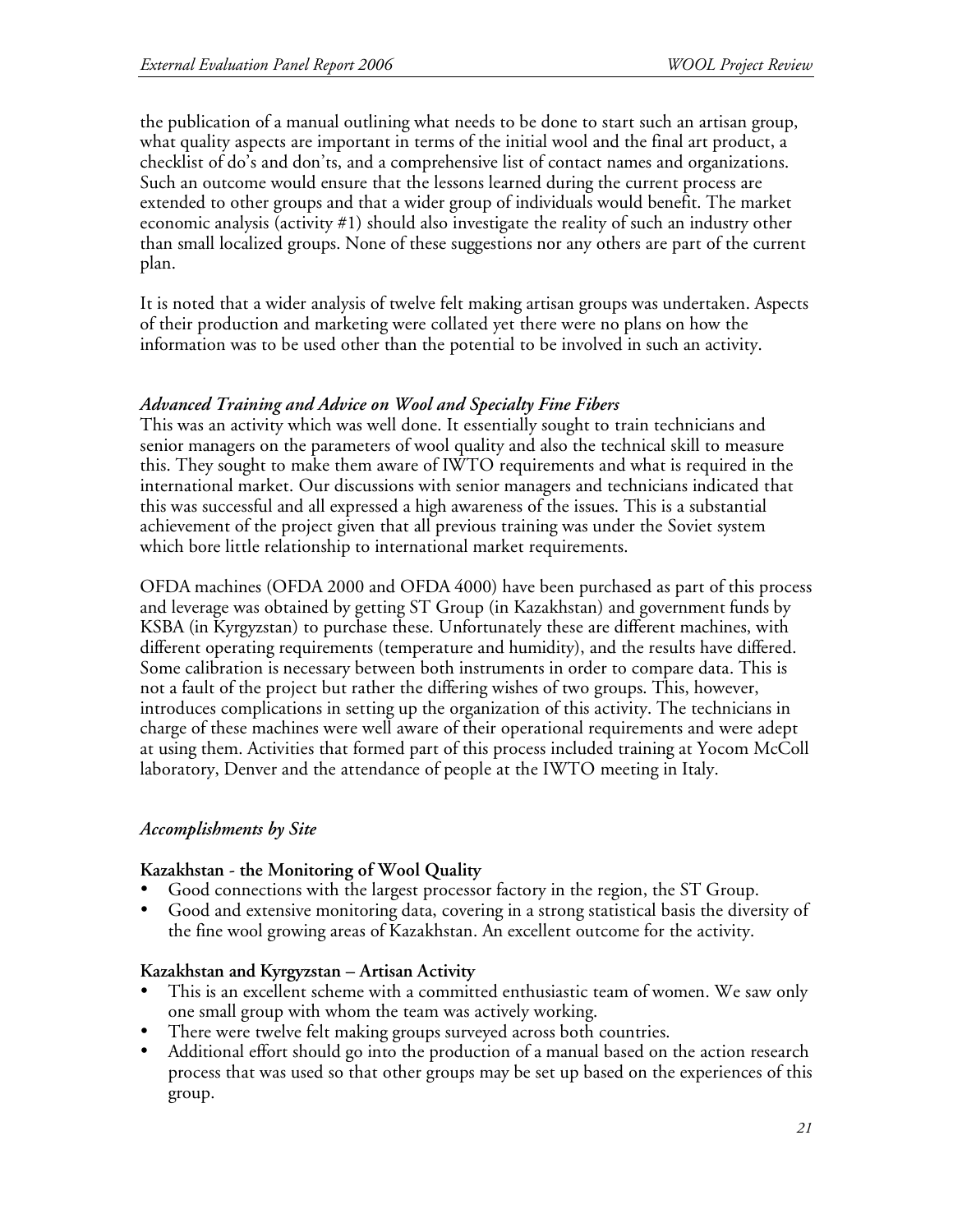the publication of a manual outlining what needs to be done to start such an artisan group, what quality aspects are important in terms of the initial wool and the final art product, a checklist of do's and don'ts, and a comprehensive list of contact names and organizations. Such an outcome would ensure that the lessons learned during the current process are extended to other groups and that a wider group of individuals would benefit. The market economic analysis (activity #1) should also investigate the reality of such an industry other than small localized groups. None of these suggestions nor any others are part of the current plan.

It is noted that a wider analysis of twelve felt making artisan groups was undertaken. Aspects of their production and marketing were collated yet there were no plans on how the information was to be used other than the potential to be involved in such an activity.

### *Advanced Training and Advice on Wool and Specialty Fine Fibers*

This was an activity which was well done. It essentially sought to train technicians and senior managers on the parameters of wool quality and also the technical skill to measure this. They sought to make them aware of IWTO requirements and what is required in the international market. Our discussions with senior managers and technicians indicated that this was successful and all expressed a high awareness of the issues. This is a substantial achievement of the project given that all previous training was under the Soviet system which bore little relationship to international market requirements.

OFDA machines (OFDA 2000 and OFDA 4000) have been purchased as part of this process and leverage was obtained by getting ST Group (in Kazakhstan) and government funds by KSBA (in Kyrgyzstan) to purchase these. Unfortunately these are different machines, with different operating requirements (temperature and humidity), and the results have differed. Some calibration is necessary between both instruments in order to compare data. This is not a fault of the project but rather the differing wishes of two groups. This, however, introduces complications in setting up the organization of this activity. The technicians in charge of these machines were well aware of their operational requirements and were adept at using them. Activities that formed part of this process included training at Yocom McColl laboratory, Denver and the attendance of people at the IWTO meeting in Italy.

#### *Accomplishments by Site*

#### **Kazakhstan - the Monitoring of Wool Quality**

- Good connections with the largest processor factory in the region, the ST Group.
- Good and extensive monitoring data, covering in a strong statistical basis the diversity of the fine wool growing areas of Kazakhstan. An excellent outcome for the activity.

#### **Kazakhstan and Kyrgyzstan – Artisan Activity**

- This is an excellent scheme with a committed enthusiastic team of women. We saw only one small group with whom the team was actively working.
- There were twelve felt making groups surveyed across both countries.
- Additional effort should go into the production of a manual based on the action research process that was used so that other groups may be set up based on the experiences of this group.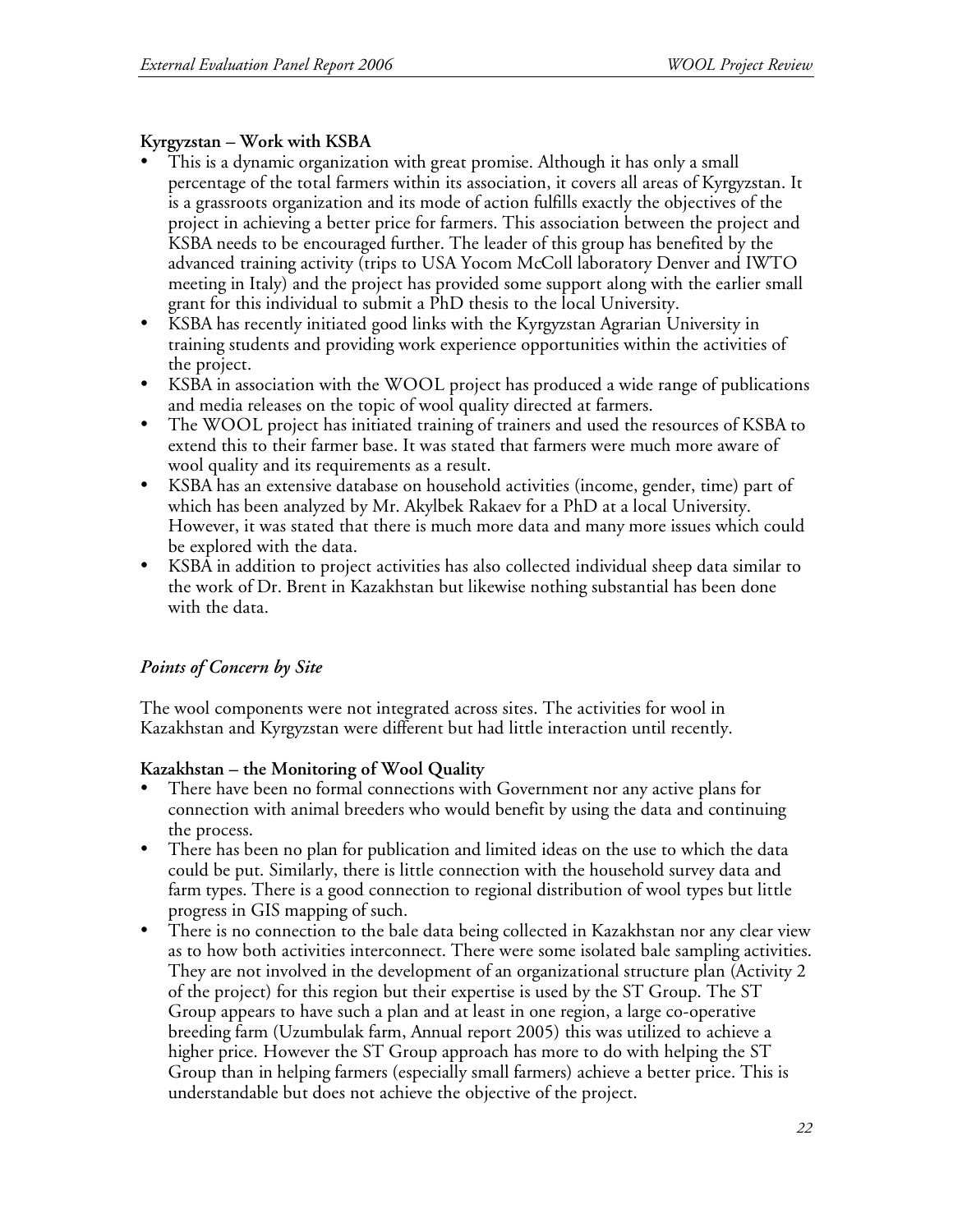# **Kyrgyzstan – Work with KSBA**

- This is a dynamic organization with great promise. Although it has only a small percentage of the total farmers within its association, it covers all areas of Kyrgyzstan. It is a grassroots organization and its mode of action fulfills exactly the objectives of the project in achieving a better price for farmers. This association between the project and KSBA needs to be encouraged further. The leader of this group has benefited by the advanced training activity (trips to USA Yocom McColl laboratory Denver and IWTO meeting in Italy) and the project has provided some support along with the earlier small grant for this individual to submit a PhD thesis to the local University.
- KSBA has recently initiated good links with the Kyrgyzstan Agrarian University in training students and providing work experience opportunities within the activities of the project.
- KSBA in association with the WOOL project has produced a wide range of publications and media releases on the topic of wool quality directed at farmers.
- The WOOL project has initiated training of trainers and used the resources of KSBA to extend this to their farmer base. It was stated that farmers were much more aware of wool quality and its requirements as a result.
- KSBA has an extensive database on household activities (income, gender, time) part of which has been analyzed by Mr. Akylbek Rakaev for a PhD at a local University. However, it was stated that there is much more data and many more issues which could be explored with the data.
- KSBA in addition to project activities has also collected individual sheep data similar to the work of Dr. Brent in Kazakhstan but likewise nothing substantial has been done with the data.

# *Points of Concern by Site*

The wool components were not integrated across sites. The activities for wool in Kazakhstan and Kyrgyzstan were different but had little interaction until recently.

# **Kazakhstan – the Monitoring of Wool Quality**

- There have been no formal connections with Government nor any active plans for connection with animal breeders who would benefit by using the data and continuing the process.
- There has been no plan for publication and limited ideas on the use to which the data could be put. Similarly, there is little connection with the household survey data and farm types. There is a good connection to regional distribution of wool types but little progress in GIS mapping of such.
- There is no connection to the bale data being collected in Kazakhstan nor any clear view as to how both activities interconnect. There were some isolated bale sampling activities. They are not involved in the development of an organizational structure plan (Activity 2 of the project) for this region but their expertise is used by the ST Group. The ST Group appears to have such a plan and at least in one region, a large co-operative breeding farm (Uzumbulak farm, Annual report 2005) this was utilized to achieve a higher price. However the ST Group approach has more to do with helping the ST Group than in helping farmers (especially small farmers) achieve a better price. This is understandable but does not achieve the objective of the project.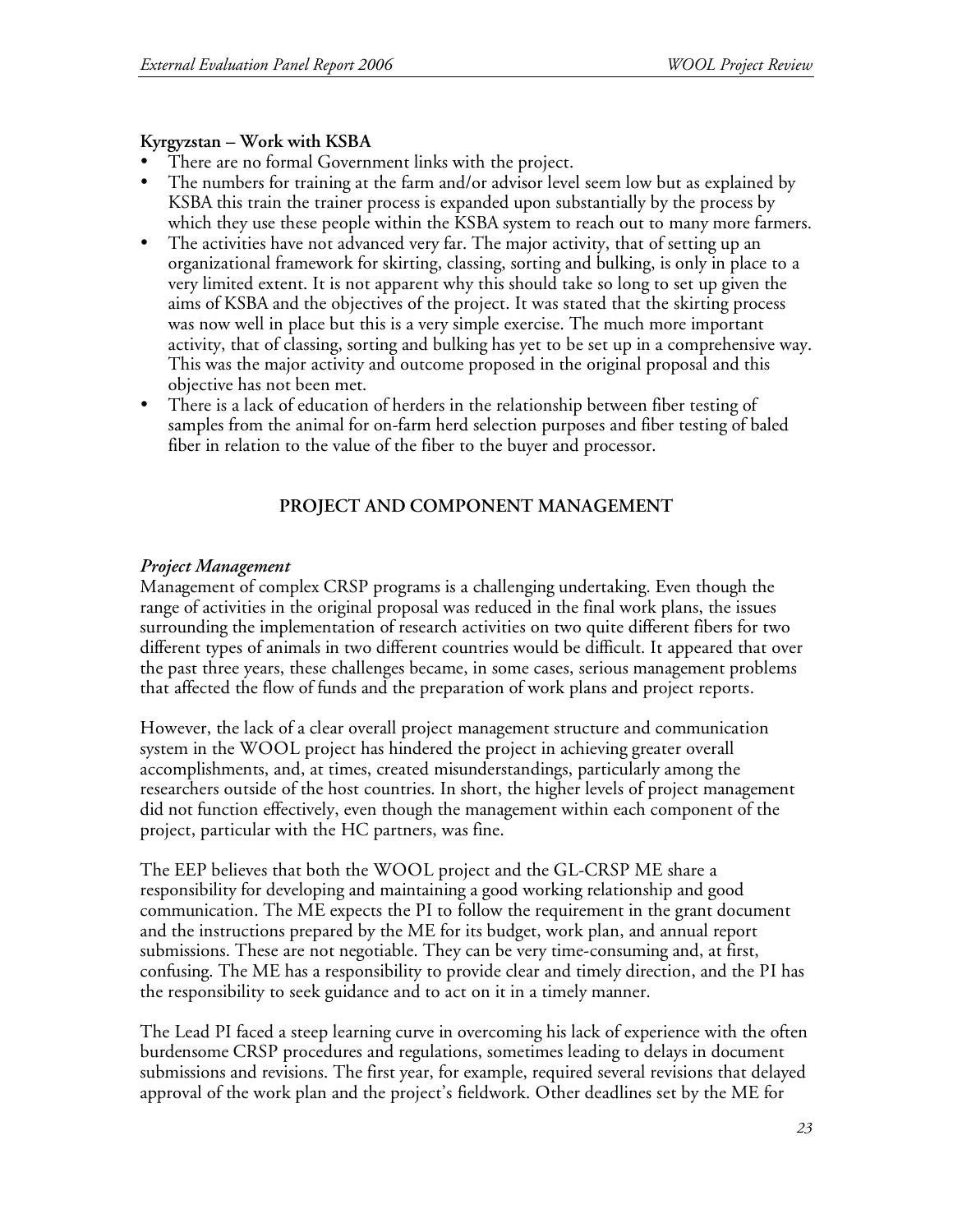### **Kyrgyzstan – Work with KSBA**

- There are no formal Government links with the project.
- The numbers for training at the farm and/or advisor level seem low but as explained by KSBA this train the trainer process is expanded upon substantially by the process by which they use these people within the KSBA system to reach out to many more farmers.
- The activities have not advanced very far. The major activity, that of setting up an organizational framework for skirting, classing, sorting and bulking, is only in place to a very limited extent. It is not apparent why this should take so long to set up given the aims of KSBA and the objectives of the project. It was stated that the skirting process was now well in place but this is a very simple exercise. The much more important activity, that of classing, sorting and bulking has yet to be set up in a comprehensive way. This was the major activity and outcome proposed in the original proposal and this objective has not been met.
- There is a lack of education of herders in the relationship between fiber testing of samples from the animal for on-farm herd selection purposes and fiber testing of baled fiber in relation to the value of the fiber to the buyer and processor.

# **PROJECT AND COMPONENT MANAGEMENT**

### *Project Management*

Management of complex CRSP programs is a challenging undertaking. Even though the range of activities in the original proposal was reduced in the final work plans, the issues surrounding the implementation of research activities on two quite different fibers for two different types of animals in two different countries would be difficult. It appeared that over the past three years, these challenges became, in some cases, serious management problems that affected the flow of funds and the preparation of work plans and project reports.

However, the lack of a clear overall project management structure and communication system in the WOOL project has hindered the project in achieving greater overall accomplishments, and, at times, created misunderstandings, particularly among the researchers outside of the host countries. In short, the higher levels of project management did not function effectively, even though the management within each component of the project, particular with the HC partners, was fine.

The EEP believes that both the WOOL project and the GL-CRSP ME share a responsibility for developing and maintaining a good working relationship and good communication. The ME expects the PI to follow the requirement in the grant document and the instructions prepared by the ME for its budget, work plan, and annual report submissions. These are not negotiable. They can be very time-consuming and, at first, confusing. The ME has a responsibility to provide clear and timely direction, and the PI has the responsibility to seek guidance and to act on it in a timely manner.

The Lead PI faced a steep learning curve in overcoming his lack of experience with the often burdensome CRSP procedures and regulations, sometimes leading to delays in document submissions and revisions. The first year, for example, required several revisions that delayed approval of the work plan and the project's fieldwork. Other deadlines set by the ME for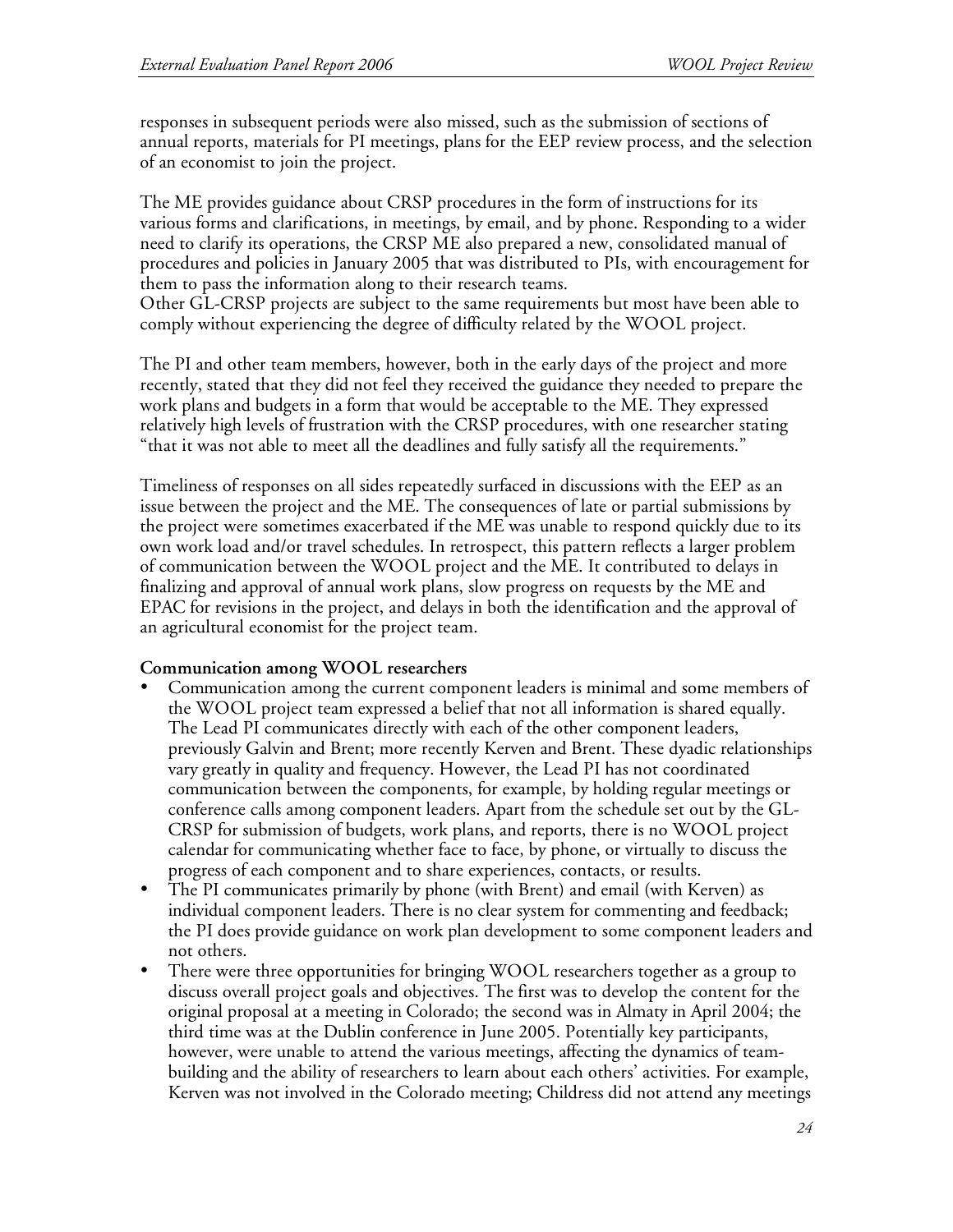responses in subsequent periods were also missed, such as the submission of sections of annual reports, materials for PI meetings, plans for the EEP review process, and the selection of an economist to join the project.

The ME provides guidance about CRSP procedures in the form of instructions for its various forms and clarifications, in meetings, by email, and by phone. Responding to a wider need to clarify its operations, the CRSP ME also prepared a new, consolidated manual of procedures and policies in January 2005 that was distributed to PIs, with encouragement for them to pass the information along to their research teams.

Other GL-CRSP projects are subject to the same requirements but most have been able to comply without experiencing the degree of difficulty related by the WOOL project.

The PI and other team members, however, both in the early days of the project and more recently, stated that they did not feel they received the guidance they needed to prepare the work plans and budgets in a form that would be acceptable to the ME. They expressed relatively high levels of frustration with the CRSP procedures, with one researcher stating "that it was not able to meet all the deadlines and fully satisfy all the requirements."

Timeliness of responses on all sides repeatedly surfaced in discussions with the EEP as an issue between the project and the ME. The consequences of late or partial submissions by the project were sometimes exacerbated if the ME was unable to respond quickly due to its own work load and/or travel schedules. In retrospect, this pattern reflects a larger problem of communication between the WOOL project and the ME. It contributed to delays in finalizing and approval of annual work plans, slow progress on requests by the ME and EPAC for revisions in the project, and delays in both the identification and the approval of an agricultural economist for the project team.

#### **Communication among WOOL researchers**

- Communication among the current component leaders is minimal and some members of the WOOL project team expressed a belief that not all information is shared equally. The Lead PI communicates directly with each of the other component leaders, previously Galvin and Brent; more recently Kerven and Brent. These dyadic relationships vary greatly in quality and frequency. However, the Lead PI has not coordinated communication between the components, for example, by holding regular meetings or conference calls among component leaders. Apart from the schedule set out by the GL-CRSP for submission of budgets, work plans, and reports, there is no WOOL project calendar for communicating whether face to face, by phone, or virtually to discuss the progress of each component and to share experiences, contacts, or results.
- The PI communicates primarily by phone (with Brent) and email (with Kerven) as individual component leaders. There is no clear system for commenting and feedback; the PI does provide guidance on work plan development to some component leaders and not others.
- There were three opportunities for bringing WOOL researchers together as a group to discuss overall project goals and objectives. The first was to develop the content for the original proposal at a meeting in Colorado; the second was in Almaty in April 2004; the third time was at the Dublin conference in June 2005. Potentially key participants, however, were unable to attend the various meetings, affecting the dynamics of teambuilding and the ability of researchers to learn about each others' activities. For example, Kerven was not involved in the Colorado meeting; Childress did not attend any meetings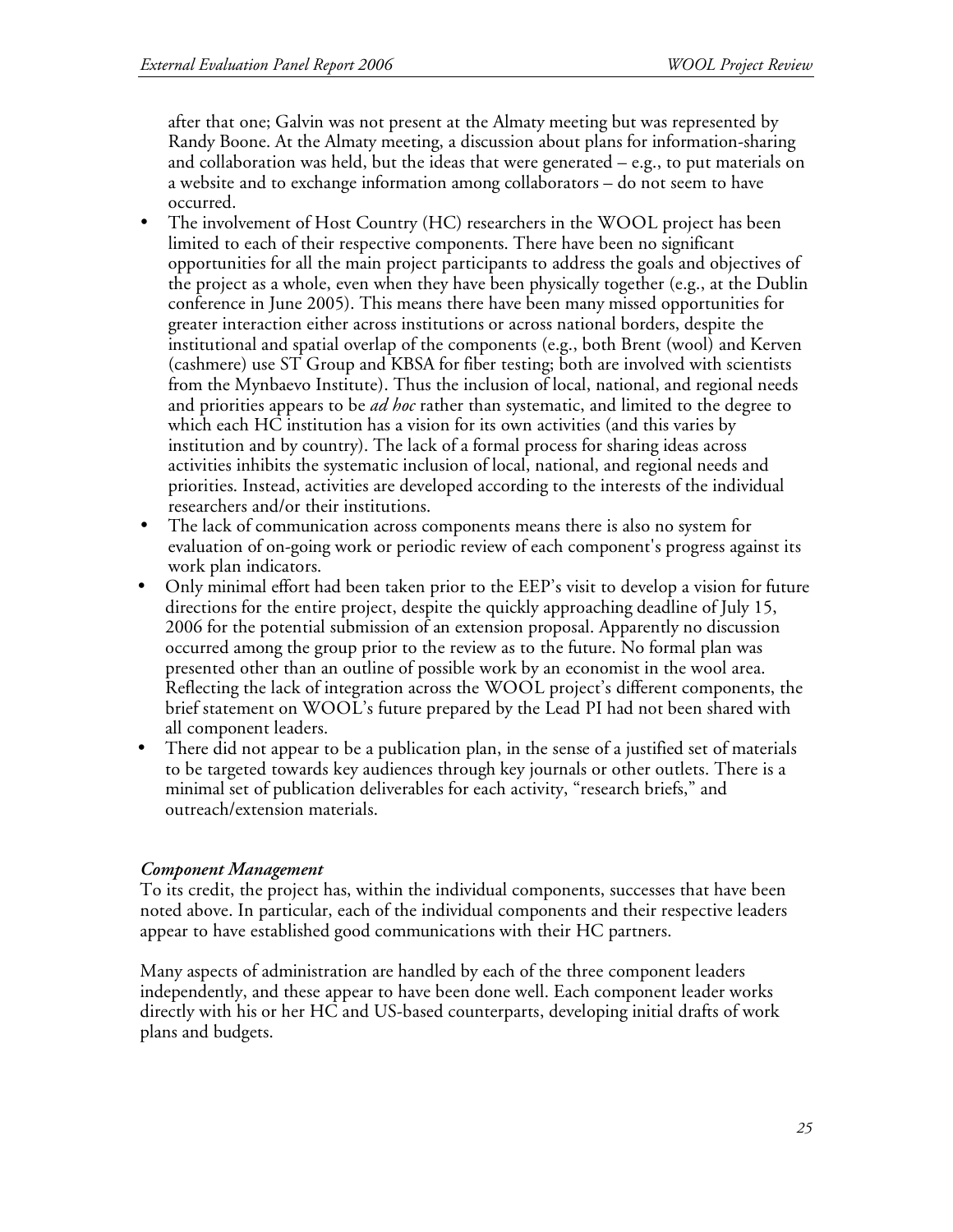after that one; Galvin was not present at the Almaty meeting but was represented by Randy Boone. At the Almaty meeting, a discussion about plans for information-sharing and collaboration was held, but the ideas that were generated – e.g., to put materials on a website and to exchange information among collaborators – do not seem to have occurred.

- The involvement of Host Country (HC) researchers in the WOOL project has been limited to each of their respective components. There have been no significant opportunities for all the main project participants to address the goals and objectives of the project as a whole, even when they have been physically together (e.g., at the Dublin conference in June 2005). This means there have been many missed opportunities for greater interaction either across institutions or across national borders, despite the institutional and spatial overlap of the components (e.g., both Brent (wool) and Kerven (cashmere) use ST Group and KBSA for fiber testing; both are involved with scientists from the Mynbaevo Institute). Thus the inclusion of local, national, and regional needs and priorities appears to be *ad hoc* rather than systematic, and limited to the degree to which each HC institution has a vision for its own activities (and this varies by institution and by country). The lack of a formal process for sharing ideas across activities inhibits the systematic inclusion of local, national, and regional needs and priorities. Instead, activities are developed according to the interests of the individual researchers and/or their institutions.
- The lack of communication across components means there is also no system for evaluation of on-going work or periodic review of each component's progress against its work plan indicators.
- Only minimal effort had been taken prior to the EEP's visit to develop a vision for future directions for the entire project, despite the quickly approaching deadline of July 15, 2006 for the potential submission of an extension proposal. Apparently no discussion occurred among the group prior to the review as to the future. No formal plan was presented other than an outline of possible work by an economist in the wool area. Reflecting the lack of integration across the WOOL project's different components, the brief statement on WOOL's future prepared by the Lead PI had not been shared with all component leaders.
- There did not appear to be a publication plan, in the sense of a justified set of materials to be targeted towards key audiences through key journals or other outlets. There is a minimal set of publication deliverables for each activity, "research briefs," and outreach/extension materials.

# *Component Management*

To its credit, the project has, within the individual components, successes that have been noted above. In particular, each of the individual components and their respective leaders appear to have established good communications with their HC partners.

Many aspects of administration are handled by each of the three component leaders independently, and these appear to have been done well. Each component leader works directly with his or her HC and US-based counterparts, developing initial drafts of work plans and budgets.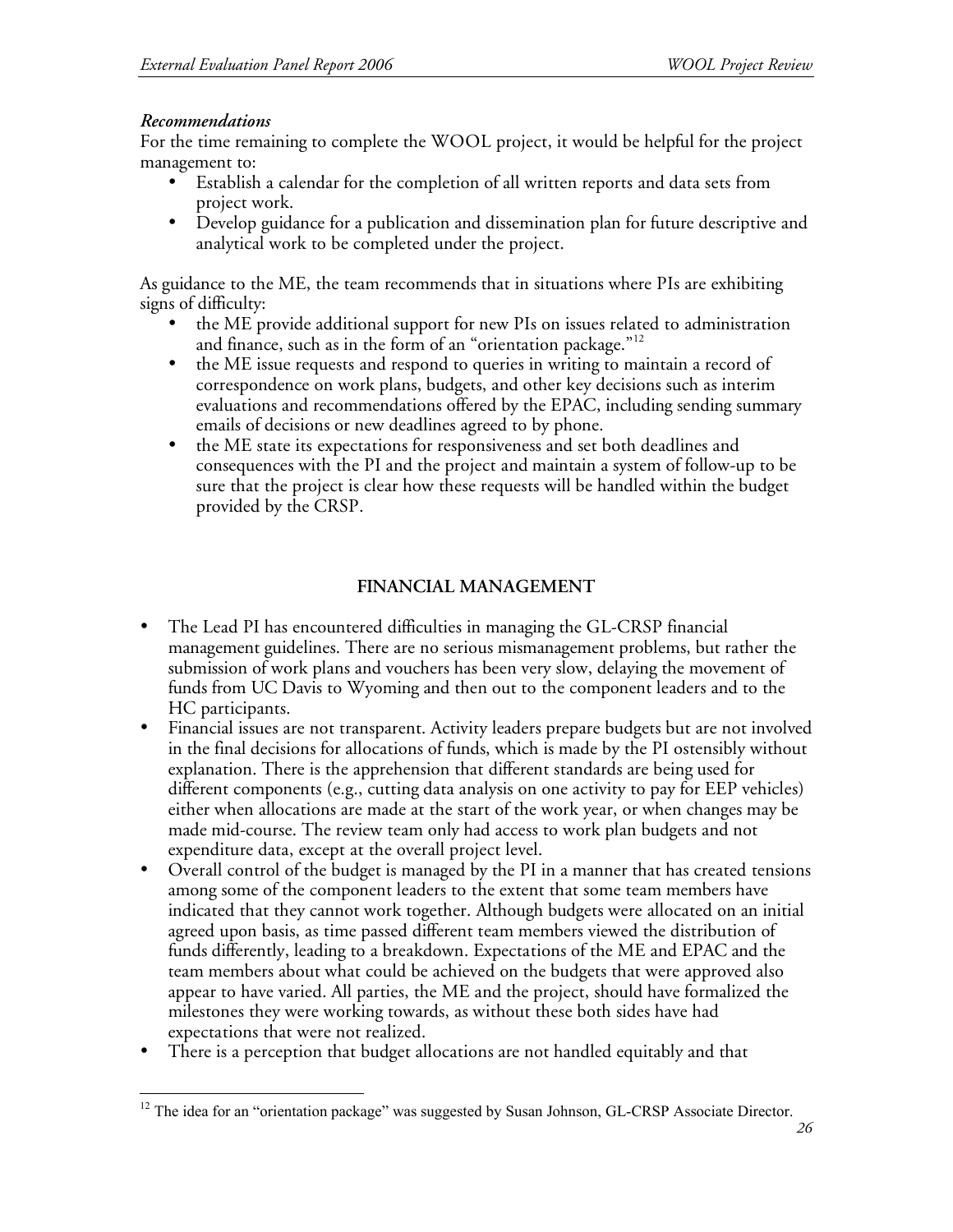### *Recommendations*

For the time remaining to complete the WOOL project, it would be helpful for the project management to:

- Establish a calendar for the completion of all written reports and data sets from project work.
- Develop guidance for a publication and dissemination plan for future descriptive and analytical work to be completed under the project.

As guidance to the ME, the team recommends that in situations where PIs are exhibiting signs of difficulty:

- the ME provide additional support for new PIs on issues related to administration and finance, such as in the form of an "orientation package."<sup>12</sup>
- the ME issue requests and respond to queries in writing to maintain a record of correspondence on work plans, budgets, and other key decisions such as interim evaluations and recommendations offered by the EPAC, including sending summary emails of decisions or new deadlines agreed to by phone.
- the ME state its expectations for responsiveness and set both deadlines and consequences with the PI and the project and maintain a system of follow-up to be sure that the project is clear how these requests will be handled within the budget provided by the CRSP.

# **FINANCIAL MANAGEMENT**

- The Lead PI has encountered difficulties in managing the GL-CRSP financial management guidelines. There are no serious mismanagement problems, but rather the submission of work plans and vouchers has been very slow, delaying the movement of funds from UC Davis to Wyoming and then out to the component leaders and to the HC participants.
- Financial issues are not transparent. Activity leaders prepare budgets but are not involved in the final decisions for allocations of funds, which is made by the PI ostensibly without explanation. There is the apprehension that different standards are being used for different components (e.g., cutting data analysis on one activity to pay for EEP vehicles) either when allocations are made at the start of the work year, or when changes may be made mid-course. The review team only had access to work plan budgets and not expenditure data, except at the overall project level.
- Overall control of the budget is managed by the PI in a manner that has created tensions among some of the component leaders to the extent that some team members have indicated that they cannot work together. Although budgets were allocated on an initial agreed upon basis, as time passed different team members viewed the distribution of funds differently, leading to a breakdown. Expectations of the ME and EPAC and the team members about what could be achieved on the budgets that were approved also appear to have varied. All parties, the ME and the project, should have formalized the milestones they were working towards, as without these both sides have had expectations that were not realized.
- There is a perception that budget allocations are not handled equitably and that

 $12$  The idea for an "orientation package" was suggested by Susan Johnson, GL-CRSP Associate Director.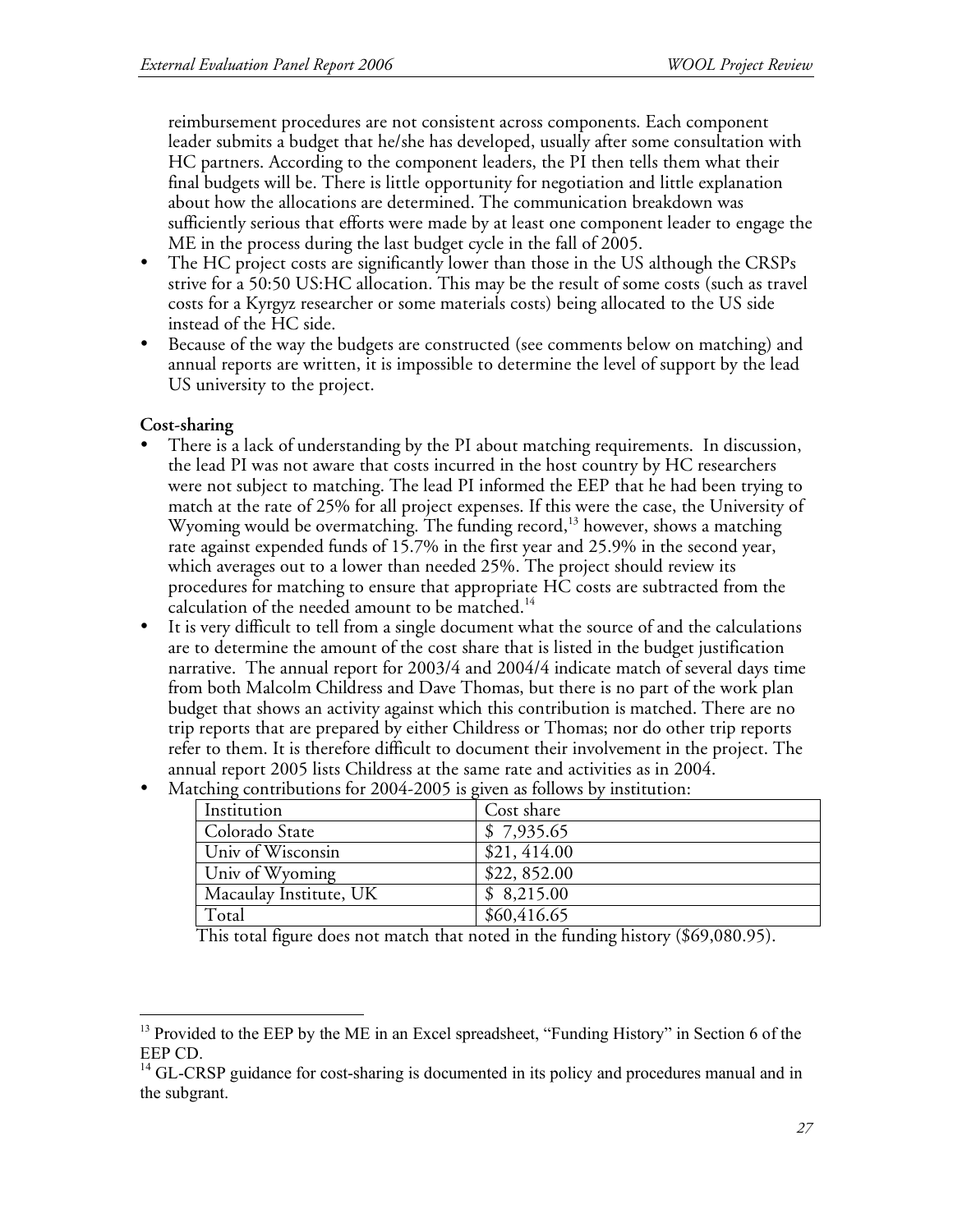reimbursement procedures are not consistent across components. Each component leader submits a budget that he/she has developed, usually after some consultation with HC partners. According to the component leaders, the PI then tells them what their final budgets will be. There is little opportunity for negotiation and little explanation about how the allocations are determined. The communication breakdown was sufficiently serious that efforts were made by at least one component leader to engage the ME in the process during the last budget cycle in the fall of 2005.

- The HC project costs are significantly lower than those in the US although the CRSPs strive for a 50:50 US:HC allocation. This may be the result of some costs (such as travel costs for a Kyrgyz researcher or some materials costs) being allocated to the US side instead of the HC side.
- Because of the way the budgets are constructed (see comments below on matching) and annual reports are written, it is impossible to determine the level of support by the lead US university to the project.

### **Cost-sharing**

- There is a lack of understanding by the PI about matching requirements. In discussion, the lead PI was not aware that costs incurred in the host country by HC researchers were not subject to matching. The lead PI informed the EEP that he had been trying to match at the rate of 25% for all project expenses. If this were the case, the University of Wyoming would be overmatching. The funding record, 13 however, shows a matching rate against expended funds of 15.7% in the first year and 25.9% in the second year, which averages out to a lower than needed 25%. The project should review its procedures for matching to ensure that appropriate HC costs are subtracted from the calculation of the needed amount to be matched.<sup>14</sup>
- It is very difficult to tell from a single document what the source of and the calculations are to determine the amount of the cost share that is listed in the budget justification narrative. The annual report for 2003/4 and 2004/4 indicate match of several days time from both Malcolm Childress and Dave Thomas, but there is no part of the work plan budget that shows an activity against which this contribution is matched. There are no trip reports that are prepared by either Childress or Thomas; nor do other trip reports refer to them. It is therefore difficult to document their involvement in the project. The annual report 2005 lists Childress at the same rate and activities as in 2004.
- Matching contributions for 2004-2005 is given as follows by institution:

| Institution            | Cost share  |
|------------------------|-------------|
| Colorado State         | \$7,935.65  |
| Univ of Wisconsin      | \$21,414.00 |
| Univ of Wyoming        | \$22,852.00 |
| Macaulay Institute, UK | \$8,215.00  |
| Total                  | \$60,416.65 |

This total figure does not match that noted in the funding history (\$69,080.95).

<sup>&</sup>lt;sup>13</sup> Provided to the EEP by the ME in an Excel spreadsheet, "Funding History" in Section 6 of the

EEP CD.<br><sup>14</sup> GL-CRSP guidance for cost-sharing is documented in its policy and procedures manual and in the subgrant.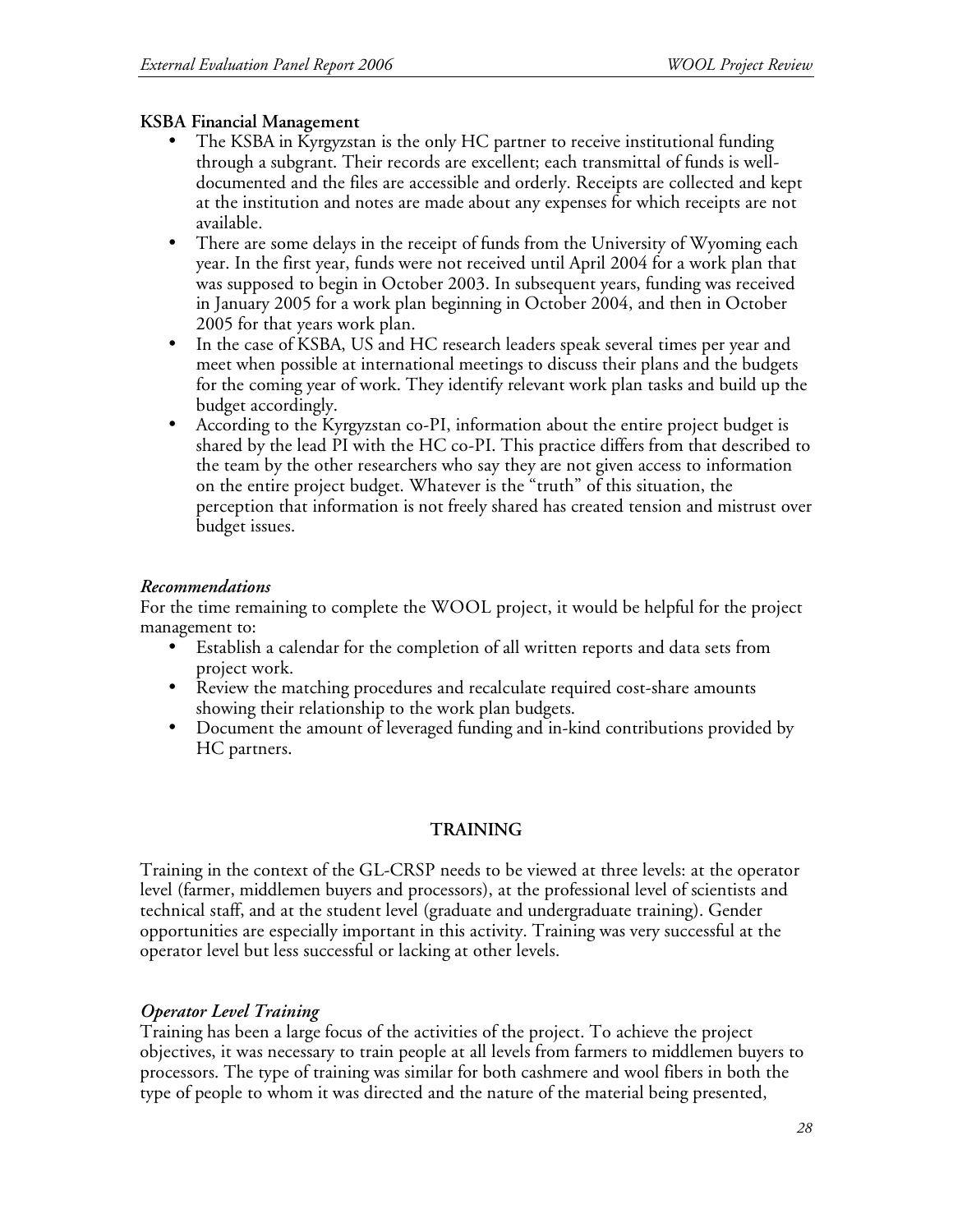## **KSBA Financial Management**

- The KSBA in Kyrgyzstan is the only HC partner to receive institutional funding through a subgrant. Their records are excellent; each transmittal of funds is welldocumented and the files are accessible and orderly. Receipts are collected and kept at the institution and notes are made about any expenses for which receipts are not available.
- There are some delays in the receipt of funds from the University of Wyoming each year. In the first year, funds were not received until April 2004 for a work plan that was supposed to begin in October 2003. In subsequent years, funding was received in January 2005 for a work plan beginning in October 2004, and then in October 2005 for that years work plan.
- In the case of KSBA, US and HC research leaders speak several times per year and meet when possible at international meetings to discuss their plans and the budgets for the coming year of work. They identify relevant work plan tasks and build up the budget accordingly.
- According to the Kyrgyzstan co-PI, information about the entire project budget is shared by the lead PI with the HC co-PI. This practice differs from that described to the team by the other researchers who say they are not given access to information on the entire project budget. Whatever is the "truth" of this situation, the perception that information is not freely shared has created tension and mistrust over budget issues.

### *Recommendations*

For the time remaining to complete the WOOL project, it would be helpful for the project management to:

- Establish a calendar for the completion of all written reports and data sets from project work.
- Review the matching procedures and recalculate required cost-share amounts showing their relationship to the work plan budgets.
- Document the amount of leveraged funding and in-kind contributions provided by HC partners.

# **TRAINING**

Training in the context of the GL-CRSP needs to be viewed at three levels: at the operator level (farmer, middlemen buyers and processors), at the professional level of scientists and technical staff, and at the student level (graduate and undergraduate training). Gender opportunities are especially important in this activity. Training was very successful at the operator level but less successful or lacking at other levels.

# *Operator Level Training*

Training has been a large focus of the activities of the project. To achieve the project objectives, it was necessary to train people at all levels from farmers to middlemen buyers to processors. The type of training was similar for both cashmere and wool fibers in both the type of people to whom it was directed and the nature of the material being presented,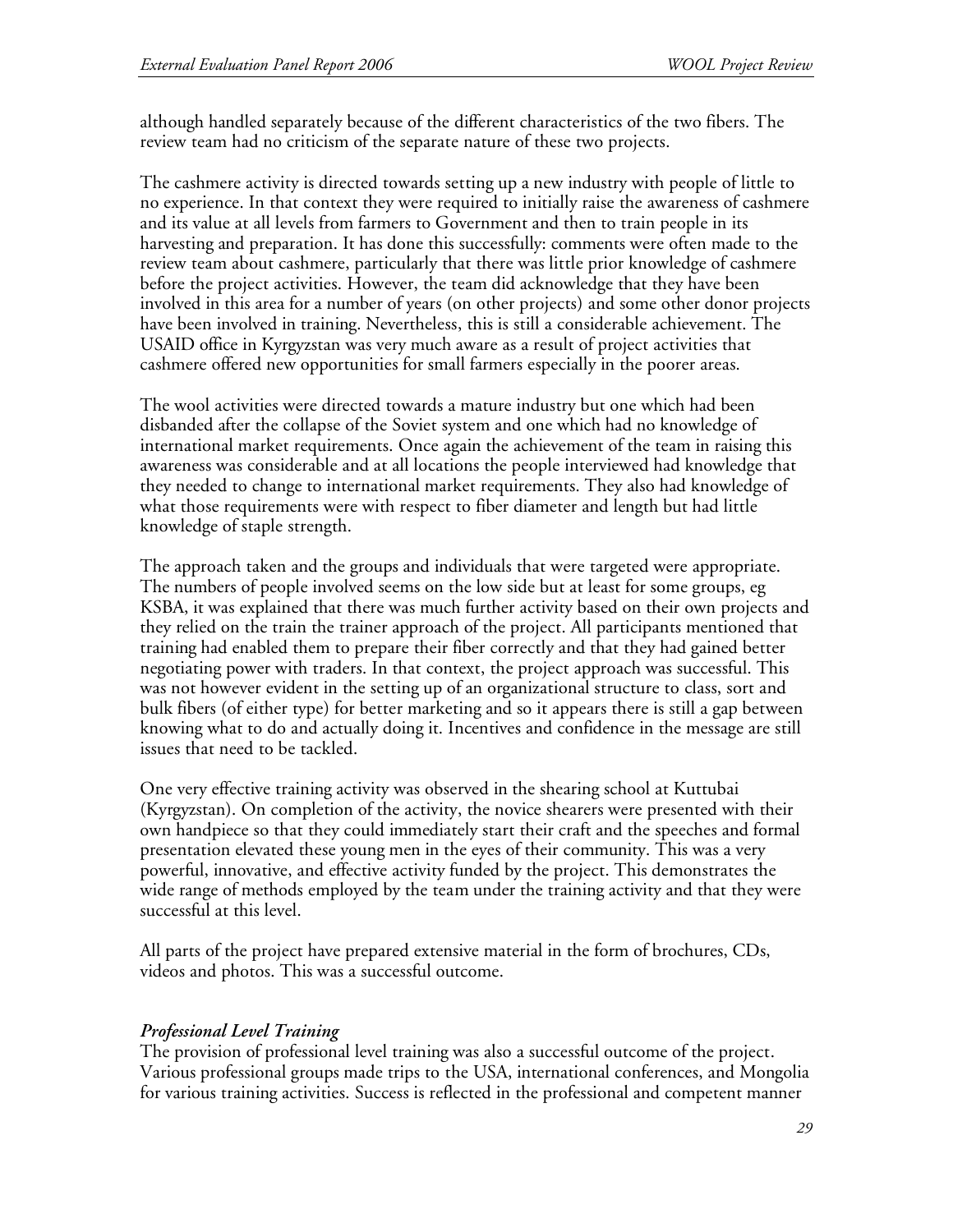although handled separately because of the different characteristics of the two fibers. The review team had no criticism of the separate nature of these two projects.

The cashmere activity is directed towards setting up a new industry with people of little to no experience. In that context they were required to initially raise the awareness of cashmere and its value at all levels from farmers to Government and then to train people in its harvesting and preparation. It has done this successfully: comments were often made to the review team about cashmere, particularly that there was little prior knowledge of cashmere before the project activities. However, the team did acknowledge that they have been involved in this area for a number of years (on other projects) and some other donor projects have been involved in training. Nevertheless, this is still a considerable achievement. The USAID office in Kyrgyzstan was very much aware as a result of project activities that cashmere offered new opportunities for small farmers especially in the poorer areas.

The wool activities were directed towards a mature industry but one which had been disbanded after the collapse of the Soviet system and one which had no knowledge of international market requirements. Once again the achievement of the team in raising this awareness was considerable and at all locations the people interviewed had knowledge that they needed to change to international market requirements. They also had knowledge of what those requirements were with respect to fiber diameter and length but had little knowledge of staple strength.

The approach taken and the groups and individuals that were targeted were appropriate. The numbers of people involved seems on the low side but at least for some groups, eg KSBA, it was explained that there was much further activity based on their own projects and they relied on the train the trainer approach of the project. All participants mentioned that training had enabled them to prepare their fiber correctly and that they had gained better negotiating power with traders. In that context, the project approach was successful. This was not however evident in the setting up of an organizational structure to class, sort and bulk fibers (of either type) for better marketing and so it appears there is still a gap between knowing what to do and actually doing it. Incentives and confidence in the message are still issues that need to be tackled.

One very effective training activity was observed in the shearing school at Kuttubai (Kyrgyzstan). On completion of the activity, the novice shearers were presented with their own handpiece so that they could immediately start their craft and the speeches and formal presentation elevated these young men in the eyes of their community. This was a very powerful, innovative, and effective activity funded by the project. This demonstrates the wide range of methods employed by the team under the training activity and that they were successful at this level.

All parts of the project have prepared extensive material in the form of brochures, CDs, videos and photos. This was a successful outcome.

#### *Professional Level Training*

The provision of professional level training was also a successful outcome of the project. Various professional groups made trips to the USA, international conferences, and Mongolia for various training activities. Success is reflected in the professional and competent manner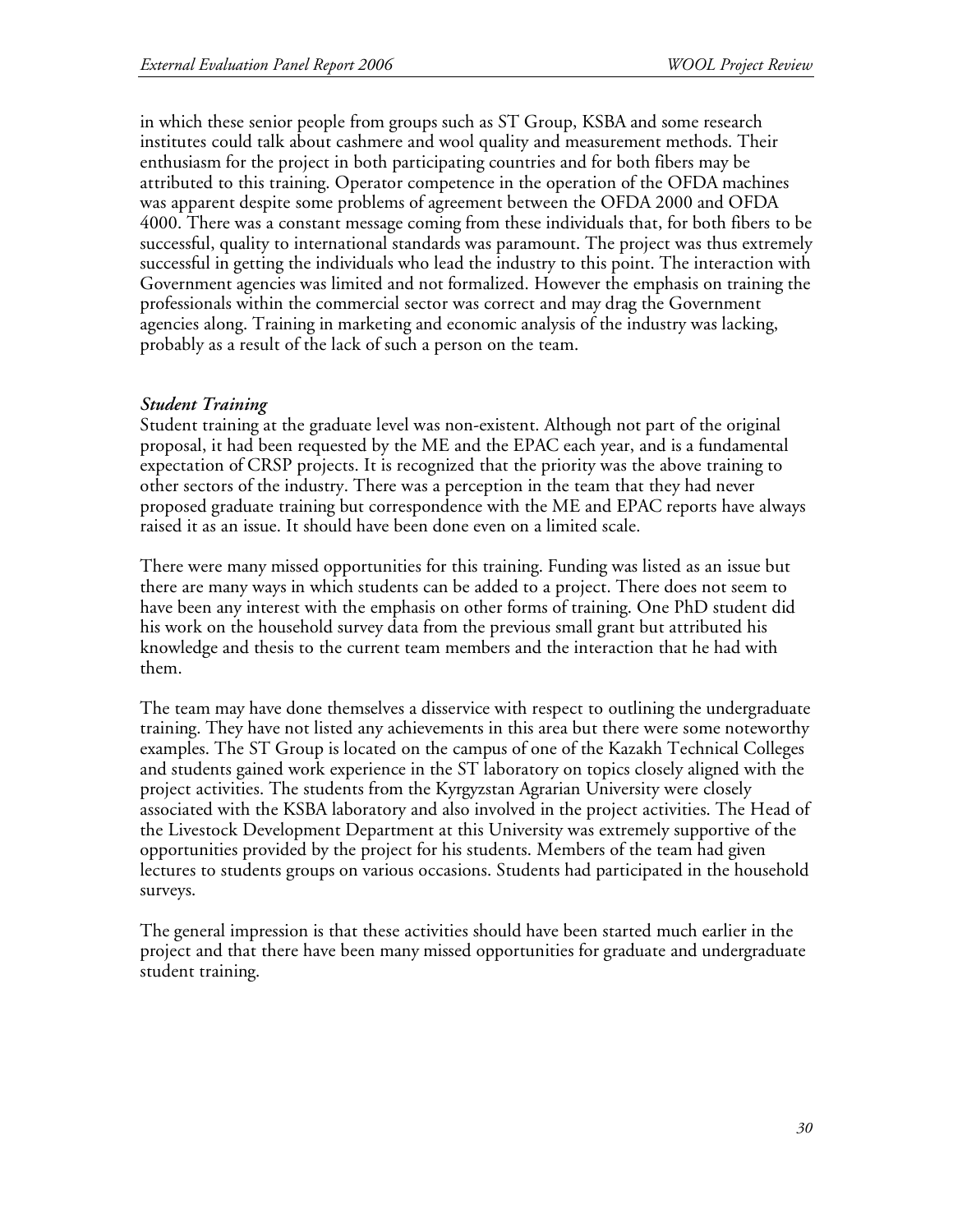in which these senior people from groups such as ST Group, KSBA and some research institutes could talk about cashmere and wool quality and measurement methods. Their enthusiasm for the project in both participating countries and for both fibers may be attributed to this training. Operator competence in the operation of the OFDA machines was apparent despite some problems of agreement between the OFDA 2000 and OFDA 4000. There was a constant message coming from these individuals that, for both fibers to be successful, quality to international standards was paramount. The project was thus extremely successful in getting the individuals who lead the industry to this point. The interaction with Government agencies was limited and not formalized. However the emphasis on training the professionals within the commercial sector was correct and may drag the Government agencies along. Training in marketing and economic analysis of the industry was lacking, probably as a result of the lack of such a person on the team.

#### *Student Training*

Student training at the graduate level was non-existent. Although not part of the original proposal, it had been requested by the ME and the EPAC each year, and is a fundamental expectation of CRSP projects. It is recognized that the priority was the above training to other sectors of the industry. There was a perception in the team that they had never proposed graduate training but correspondence with the ME and EPAC reports have always raised it as an issue. It should have been done even on a limited scale.

There were many missed opportunities for this training. Funding was listed as an issue but there are many ways in which students can be added to a project. There does not seem to have been any interest with the emphasis on other forms of training. One PhD student did his work on the household survey data from the previous small grant but attributed his knowledge and thesis to the current team members and the interaction that he had with them.

The team may have done themselves a disservice with respect to outlining the undergraduate training. They have not listed any achievements in this area but there were some noteworthy examples. The ST Group is located on the campus of one of the Kazakh Technical Colleges and students gained work experience in the ST laboratory on topics closely aligned with the project activities. The students from the Kyrgyzstan Agrarian University were closely associated with the KSBA laboratory and also involved in the project activities. The Head of the Livestock Development Department at this University was extremely supportive of the opportunities provided by the project for his students. Members of the team had given lectures to students groups on various occasions. Students had participated in the household surveys.

The general impression is that these activities should have been started much earlier in the project and that there have been many missed opportunities for graduate and undergraduate student training.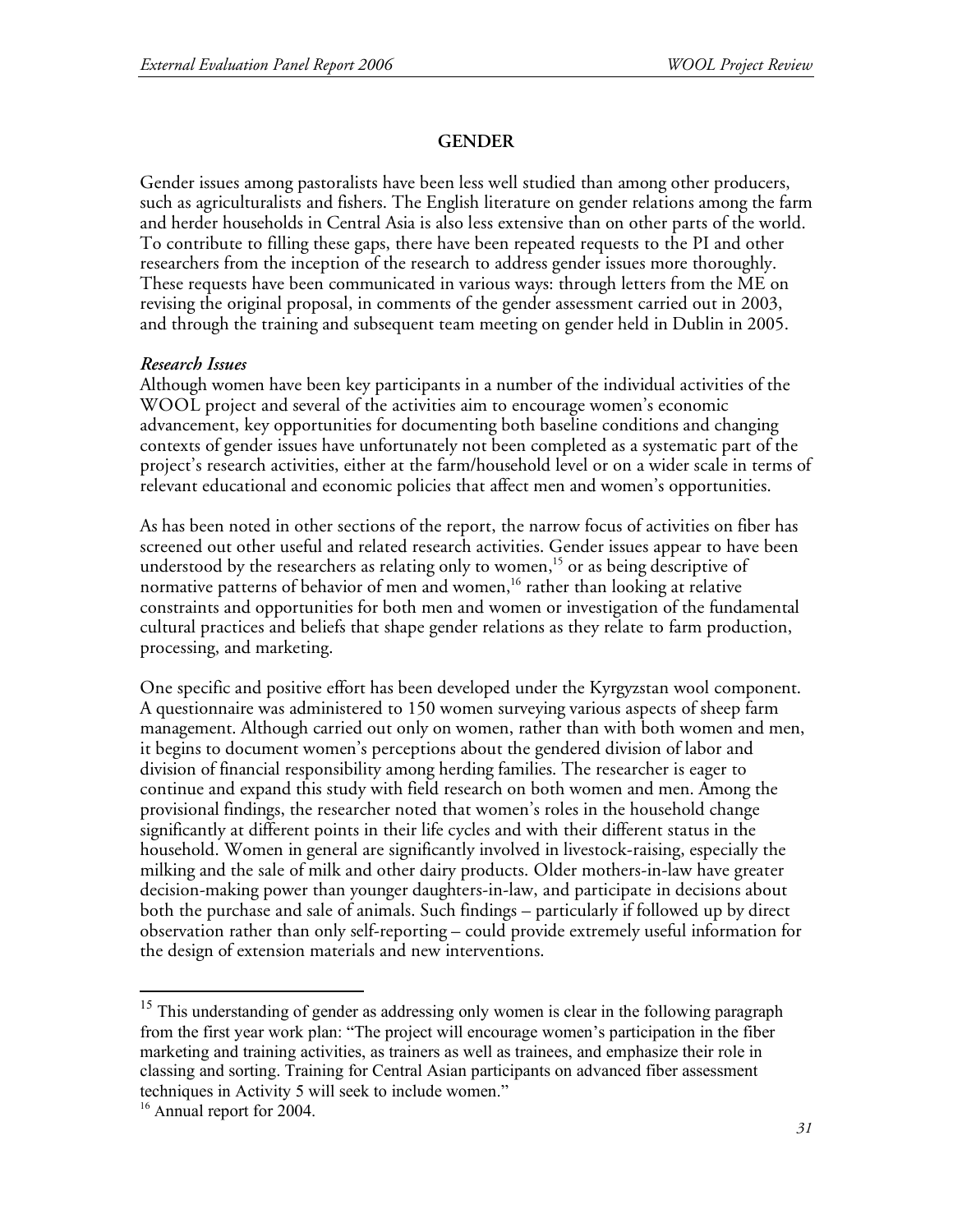### **GENDER**

Gender issues among pastoralists have been less well studied than among other producers, such as agriculturalists and fishers. The English literature on gender relations among the farm and herder households in Central Asia is also less extensive than on other parts of the world. To contribute to filling these gaps, there have been repeated requests to the PI and other researchers from the inception of the research to address gender issues more thoroughly. These requests have been communicated in various ways: through letters from the ME on revising the original proposal, in comments of the gender assessment carried out in 2003, and through the training and subsequent team meeting on gender held in Dublin in 2005.

#### *Research Issues*

Although women have been key participants in a number of the individual activities of the WOOL project and several of the activities aim to encourage women's economic advancement, key opportunities for documenting both baseline conditions and changing contexts of gender issues have unfortunately not been completed as a systematic part of the project's research activities, either at the farm/household level or on a wider scale in terms of relevant educational and economic policies that affect men and women's opportunities.

As has been noted in other sections of the report, the narrow focus of activities on fiber has screened out other useful and related research activities. Gender issues appear to have been understood by the researchers as relating only to women, 15 or as being descriptive of normative patterns of behavior of men and women, 16 rather than looking at relative constraints and opportunities for both men and women or investigation of the fundamental cultural practices and beliefs that shape gender relations as they relate to farm production, processing, and marketing.

One specific and positive effort has been developed under the Kyrgyzstan wool component. A questionnaire was administered to 150 women surveying various aspects of sheep farm management. Although carried out only on women, rather than with both women and men, it begins to document women's perceptions about the gendered division of labor and division of financial responsibility among herding families. The researcher is eager to continue and expand this study with field research on both women and men. Among the provisional findings, the researcher noted that women's roles in the household change significantly at different points in their life cycles and with their different status in the household. Women in general are significantly involved in livestock-raising, especially the milking and the sale of milk and other dairy products. Older mothers-in-law have greater decision-making power than younger daughters-in-law, and participate in decisions about both the purchase and sale of animals. Such findings – particularly if followed up by direct observation rather than only self-reporting – could provide extremely useful information for the design of extension materials and new interventions.

<sup>&</sup>lt;sup>15</sup> This understanding of gender as addressing only women is clear in the following paragraph from the first year work plan: "The project will encourage women's participation in the fiber marketing and training activities, as trainers as well as trainees, and emphasize their role in classing and sorting. Training for Central Asian participants on advanced fiber assessment techniques in Activity 5 will seek to include women."

<sup>&</sup>lt;sup>16</sup> Annual report for 2004.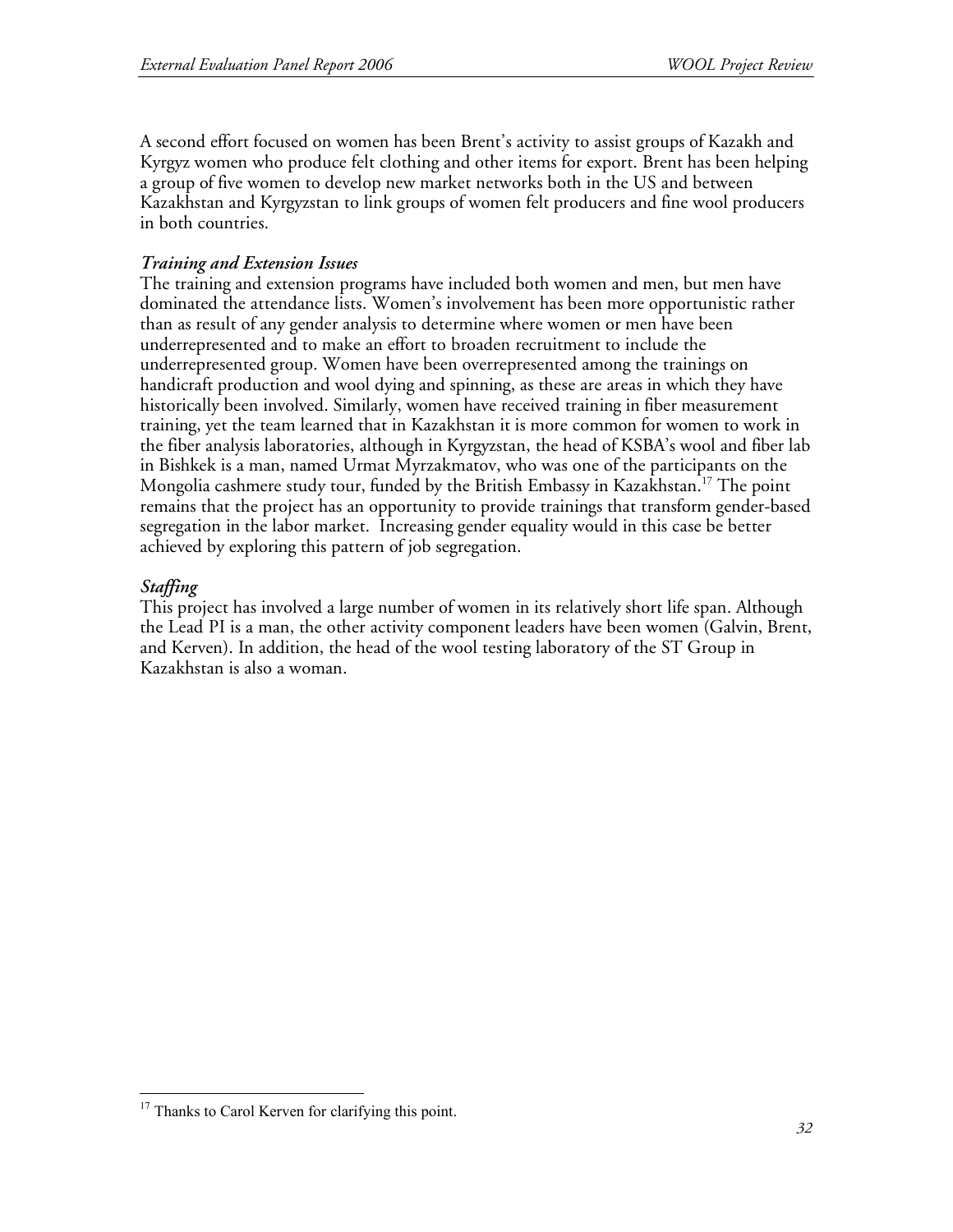A second effort focused on women has been Brent's activity to assist groups of Kazakh and Kyrgyz women who produce felt clothing and other items for export. Brent has been helping a group of five women to develop new market networks both in the US and between Kazakhstan and Kyrgyzstan to link groups of women felt producers and fine wool producers in both countries.

### *Training and Extension Issues*

The training and extension programs have included both women and men, but men have dominated the attendance lists. Women's involvement has been more opportunistic rather than as result of any gender analysis to determine where women or men have been underrepresented and to make an effort to broaden recruitment to include the underrepresented group. Women have been overrepresented among the trainings on handicraft production and wool dying and spinning, as these are areas in which they have historically been involved. Similarly, women have received training in fiber measurement training, yet the team learned that in Kazakhstan it is more common for women to work in the fiber analysis laboratories, although in Kyrgyzstan, the head of KSBA's wool and fiber lab in Bishkek is a man, named Urmat Myrzakmatov, who was one of the participants on the Mongolia cashmere study tour, funded by the British Embassy in Kazakhstan.<sup>17</sup> The point remains that the project has an opportunity to provide trainings that transform gender-based segregation in the labor market. Increasing gender equality would in this case be better achieved by exploring this pattern of job segregation.

### *Staffing*

This project has involved a large number of women in its relatively short life span. Although the Lead PI is a man, the other activity component leaders have been women (Galvin, Brent, and Kerven). In addition, the head of the wool testing laboratory of the ST Group in Kazakhstan is also a woman.

<sup>&</sup>lt;sup>17</sup> Thanks to Carol Kerven for clarifying this point.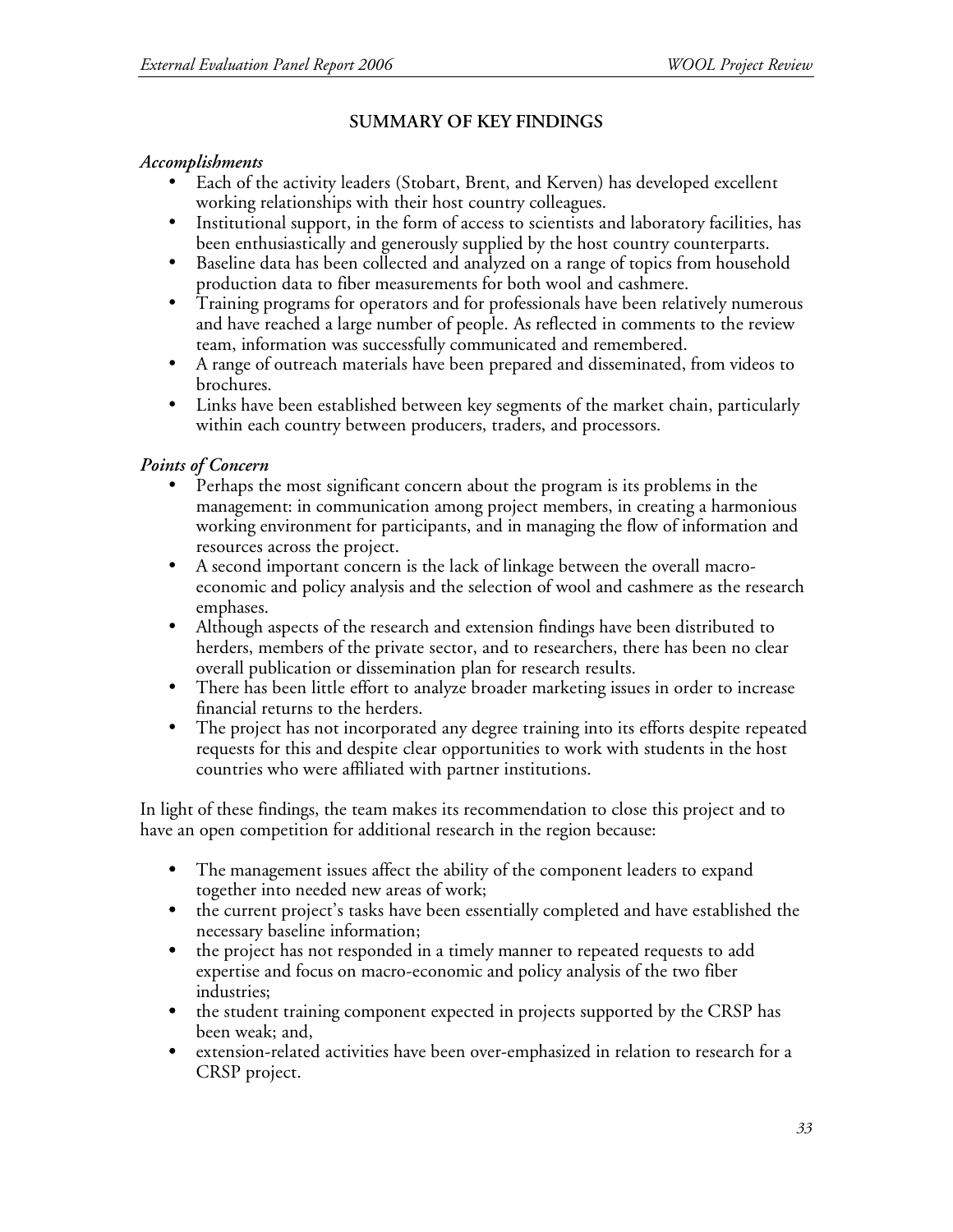# **SUMMARY OF KEY FINDINGS**

#### *Accomplishments*

- Each of the activity leaders (Stobart, Brent, and Kerven) has developed excellent working relationships with their host country colleagues.
- Institutional support, in the form of access to scientists and laboratory facilities, has been enthusiastically and generously supplied by the host country counterparts.
- Baseline data has been collected and analyzed on a range of topics from household production data to fiber measurements for both wool and cashmere.
- Training programs for operators and for professionals have been relatively numerous and have reached a large number of people. As reflected in comments to the review team, information was successfully communicated and remembered.
- A range of outreach materials have been prepared and disseminated, from videos to brochures.
- Links have been established between key segments of the market chain, particularly within each country between producers, traders, and processors.

### *Points of Concern*

- Perhaps the most significant concern about the program is its problems in the management: in communication among project members, in creating a harmonious working environment for participants, and in managing the flow of information and resources across the project.
- A second important concern is the lack of linkage between the overall macroeconomic and policy analysis and the selection of wool and cashmere as the research emphases.
- Although aspects of the research and extension findings have been distributed to herders, members of the private sector, and to researchers, there has been no clear overall publication or dissemination plan for research results.
- There has been little effort to analyze broader marketing issues in order to increase financial returns to the herders.
- The project has not incorporated any degree training into its efforts despite repeated requests for this and despite clear opportunities to work with students in the host countries who were affiliated with partner institutions.

In light of these findings, the team makes its recommendation to close this project and to have an open competition for additional research in the region because:

- The management issues affect the ability of the component leaders to expand together into needed new areas of work;
- the current project's tasks have been essentially completed and have established the necessary baseline information;
- the project has not responded in a timely manner to repeated requests to add expertise and focus on macro-economic and policy analysis of the two fiber industries;
- the student training component expected in projects supported by the CRSP has been weak; and,
- extension-related activities have been over-emphasized in relation to research for a CRSP project.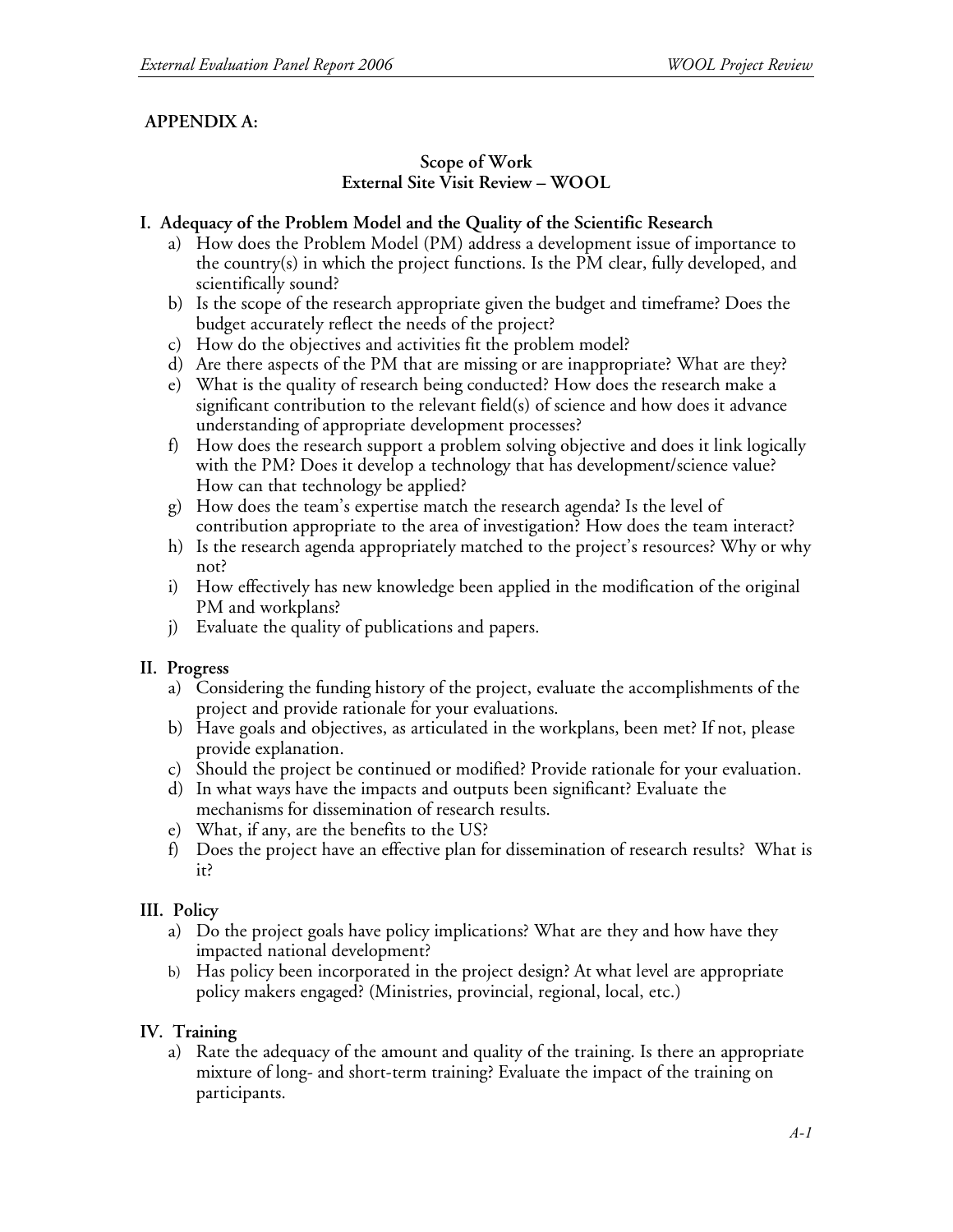## **APPENDIX A:**

#### **Scope of Work External Site Visit Review – WOOL**

#### **I. Adequacy of the Problem Model and the Quality of the Scientific Research**

- a) How does the Problem Model (PM) address a development issue of importance to the country(s) in which the project functions. Is the PM clear, fully developed, and scientifically sound?
- b) Is the scope of the research appropriate given the budget and timeframe? Does the budget accurately reflect the needs of the project?
- c) How do the objectives and activities fit the problem model?
- d) Are there aspects of the PM that are missing or are inappropriate? What are they?
- e) What is the quality of research being conducted? How does the research make a significant contribution to the relevant field(s) of science and how does it advance understanding of appropriate development processes?
- f) How does the research support a problem solving objective and does it link logically with the PM? Does it develop a technology that has development/science value? How can that technology be applied?
- g) How does the team's expertise match the research agenda? Is the level of contribution appropriate to the area of investigation? How does the team interact?
- h) Is the research agenda appropriately matched to the project's resources? Why or why not?
- i) How effectively has new knowledge been applied in the modification of the original PM and workplans?
- j) Evaluate the quality of publications and papers.

#### **II. Progress**

- a) Considering the funding history of the project, evaluate the accomplishments of the project and provide rationale for your evaluations.
- b) Have goals and objectives, as articulated in the workplans, been met? If not, please provide explanation.
- c) Should the project be continued or modified? Provide rationale for your evaluation.
- d) In what ways have the impacts and outputs been significant? Evaluate the mechanisms for dissemination of research results.
- e) What, if any, are the benefits to the US?
- f) Does the project have an effective plan for dissemination of research results? What is it?

#### **III. Policy**

- a) Do the project goals have policy implications? What are they and how have they impacted national development?
- b) Has policy been incorporated in the project design? At what level are appropriate policy makers engaged? (Ministries, provincial, regional, local, etc.)

#### **IV. Training**

a) Rate the adequacy of the amount and quality of the training. Is there an appropriate mixture of long- and short-term training? Evaluate the impact of the training on participants.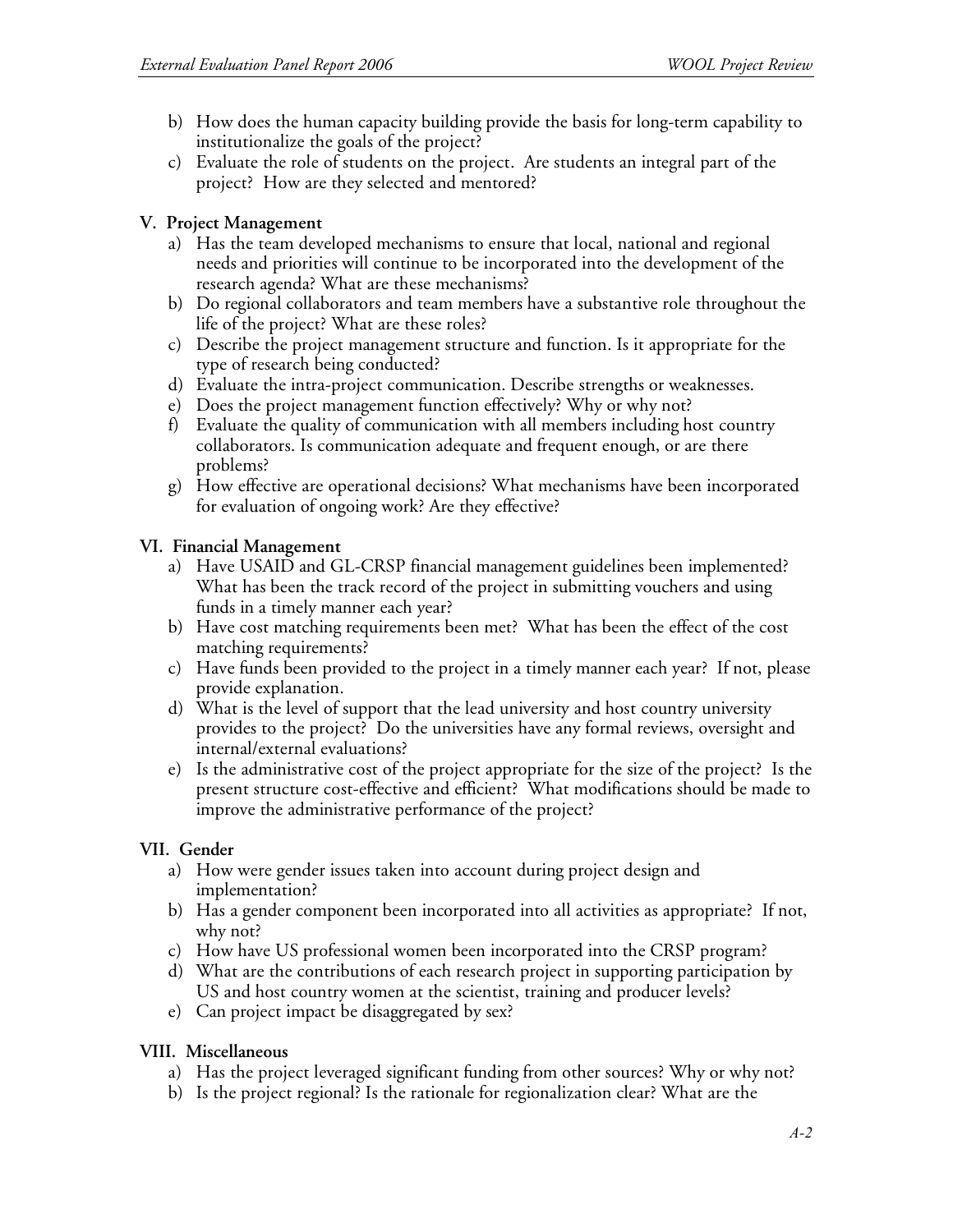- b) How does the human capacity building provide the basis for long-term capability to institutionalize the goals of the project?
- c) Evaluate the role of students on the project. Are students an integral part of the project? How are they selected and mentored?

### **V. Project Management**

- a) Has the team developed mechanisms to ensure that local, national and regional needs and priorities will continue to be incorporated into the development of the research agenda? What are these mechanisms?
- b) Do regional collaborators and team members have a substantive role throughout the life of the project? What are these roles?
- c) Describe the project management structure and function. Is it appropriate for the type of research being conducted?
- d) Evaluate the intra-project communication. Describe strengths or weaknesses.
- e) Does the project management function effectively? Why or why not?
- f) Evaluate the quality of communication with all members including host country collaborators. Is communication adequate and frequent enough, or are there problems?
- g) How effective are operational decisions? What mechanisms have been incorporated for evaluation of ongoing work? Are they effective?

#### **VI. Financial Management**

- a) Have USAID and GL-CRSP financial management guidelines been implemented? What has been the track record of the project in submitting vouchers and using funds in a timely manner each year?
- b) Have cost matching requirements been met? What has been the effect of the cost matching requirements?
- c) Have funds been provided to the project in a timely manner each year? If not, please provide explanation.
- d) What is the level of support that the lead university and host country university provides to the project? Do the universities have any formal reviews, oversight and internal/external evaluations?
- e) Is the administrative cost of the project appropriate for the size of the project? Is the present structure cost-effective and efficient? What modifications should be made to improve the administrative performance of the project?

# **VII. Gender**

- a) How were gender issues taken into account during project design and implementation?
- b) Has a gender component been incorporated into all activities as appropriate? If not, why not?
- c) How have US professional women been incorporated into the CRSP program?
- d) What are the contributions of each research project in supporting participation by US and host country women at the scientist, training and producer levels?
- e) Can project impact be disaggregated by sex?

# **VIII. Miscellaneous**

- a) Has the project leveraged significant funding from other sources? Why or why not?
- b) Is the project regional? Is the rationale for regionalization clear? What are the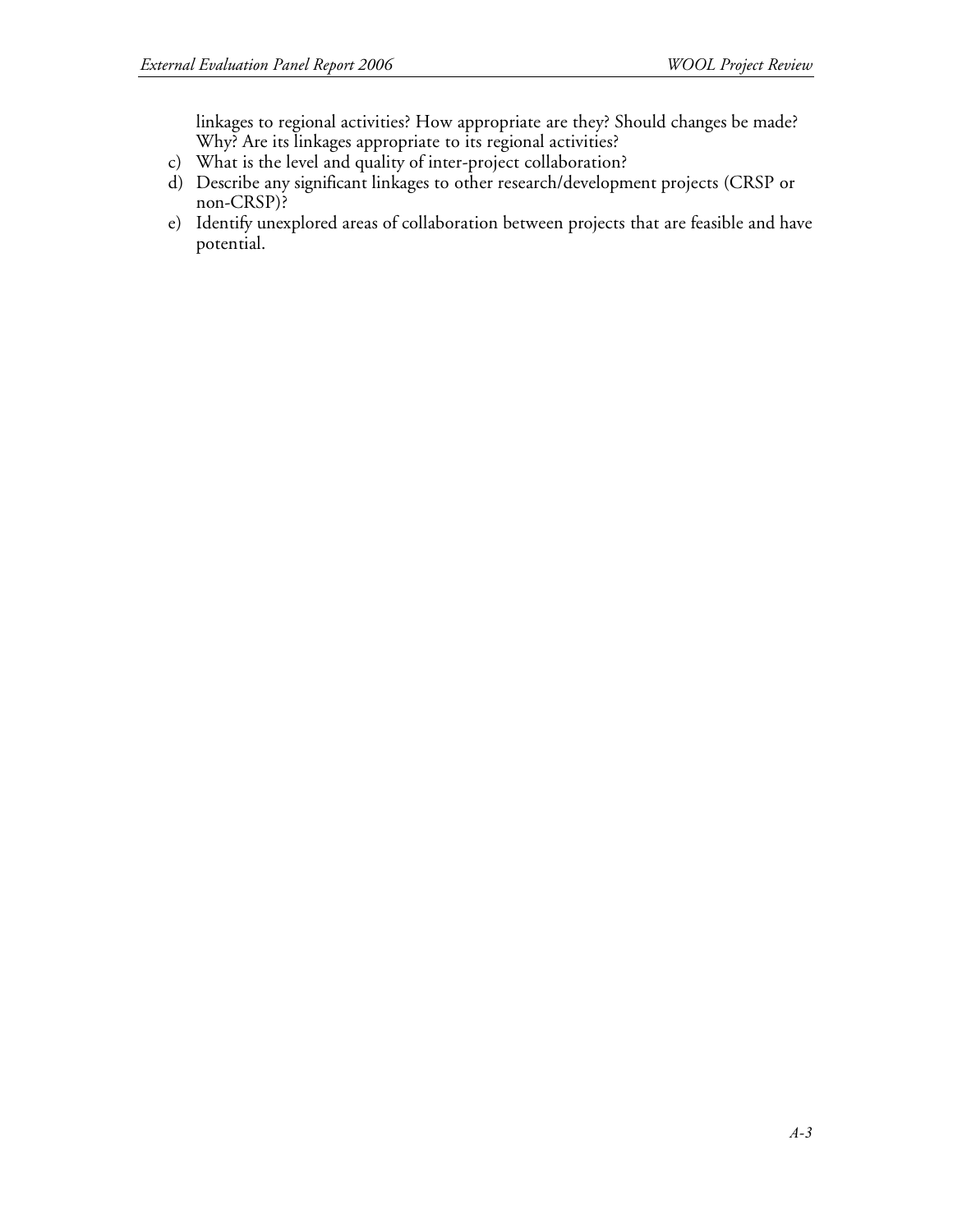linkages to regional activities? How appropriate are they? Should changes be made? Why? Are its linkages appropriate to its regional activities?

- c) What is the level and quality of inter-project collaboration?
- d) Describe any significant linkages to other research/development projects (CRSP or non-CRSP)?
- e) Identify unexplored areas of collaboration between projects that are feasible and have potential.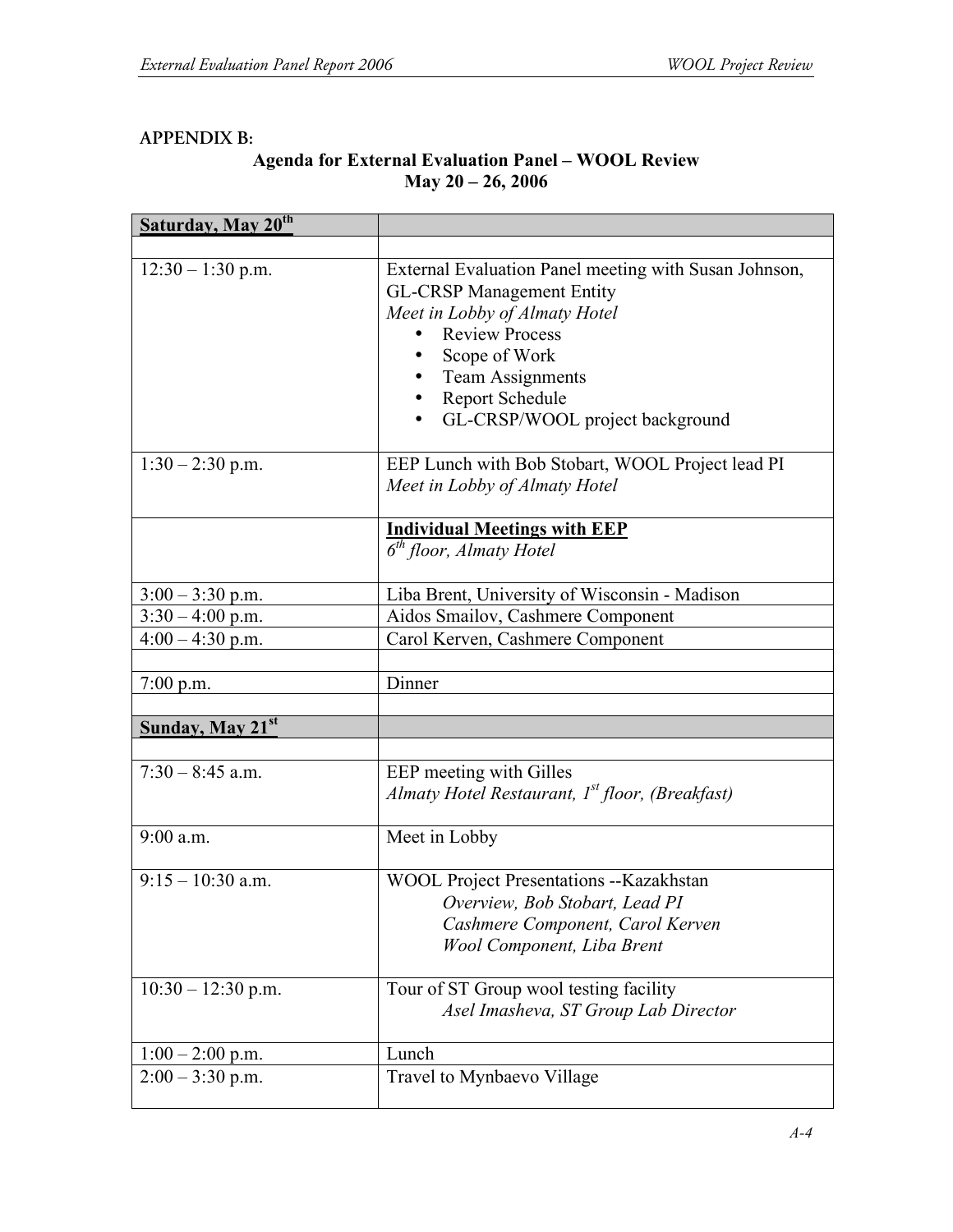### **APPENDIX B:**

## **Agenda for External Evaluation Panel – WOOL Review May 20 – 26, 2006**

| Saturday, May 20 <sup>th</sup> |                                                                                                                                                                                                                           |
|--------------------------------|---------------------------------------------------------------------------------------------------------------------------------------------------------------------------------------------------------------------------|
|                                |                                                                                                                                                                                                                           |
| $12:30 - 1:30$ p.m.            | External Evaluation Panel meeting with Susan Johnson,<br><b>GL-CRSP Management Entity</b><br>Meet in Lobby of Almaty Hotel<br><b>Review Process</b><br>Scope of Work<br><b>Team Assignments</b><br><b>Report Schedule</b> |
|                                | GL-CRSP/WOOL project background                                                                                                                                                                                           |
| $1:30 - 2:30$ p.m.             | EEP Lunch with Bob Stobart, WOOL Project lead PI<br>Meet in Lobby of Almaty Hotel                                                                                                                                         |
|                                | <b>Individual Meetings with EEP</b>                                                                                                                                                                                       |
|                                | $\overline{6}^{th}$ floor, Almaty Hotel                                                                                                                                                                                   |
| $3:00 - 3:30$ p.m.             | Liba Brent, University of Wisconsin - Madison                                                                                                                                                                             |
| $3:30 - 4:00$ p.m.             | Aidos Smailov, Cashmere Component                                                                                                                                                                                         |
| $4:00 - 4:30$ p.m.             | Carol Kerven, Cashmere Component                                                                                                                                                                                          |
|                                |                                                                                                                                                                                                                           |
| $7:00$ p.m.                    | Dinner                                                                                                                                                                                                                    |
|                                |                                                                                                                                                                                                                           |
| Sunday, May 21 <sup>st</sup>   |                                                                                                                                                                                                                           |
|                                |                                                                                                                                                                                                                           |
| $7:30 - 8:45$ a.m.             | EEP meeting with Gilles<br>Almaty Hotel Restaurant, 1st floor, (Breakfast)                                                                                                                                                |
| $9:00$ a.m.                    | Meet in Lobby                                                                                                                                                                                                             |
| $9:15-10:30$ a.m.              | <b>WOOL Project Presentations --Kazakhstan</b><br>Overview, Bob Stobart, Lead PI<br>Cashmere Component, Carol Kerven<br>Wool Component, Liba Brent                                                                        |
| $10:30 - 12:30$ p.m.           | Tour of ST Group wool testing facility<br>Asel Imasheva, ST Group Lab Director                                                                                                                                            |
| $1:00 - 2:00$ p.m.             | Lunch                                                                                                                                                                                                                     |
| $2:00 - 3:30$ p.m.             | Travel to Mynbaevo Village                                                                                                                                                                                                |
|                                |                                                                                                                                                                                                                           |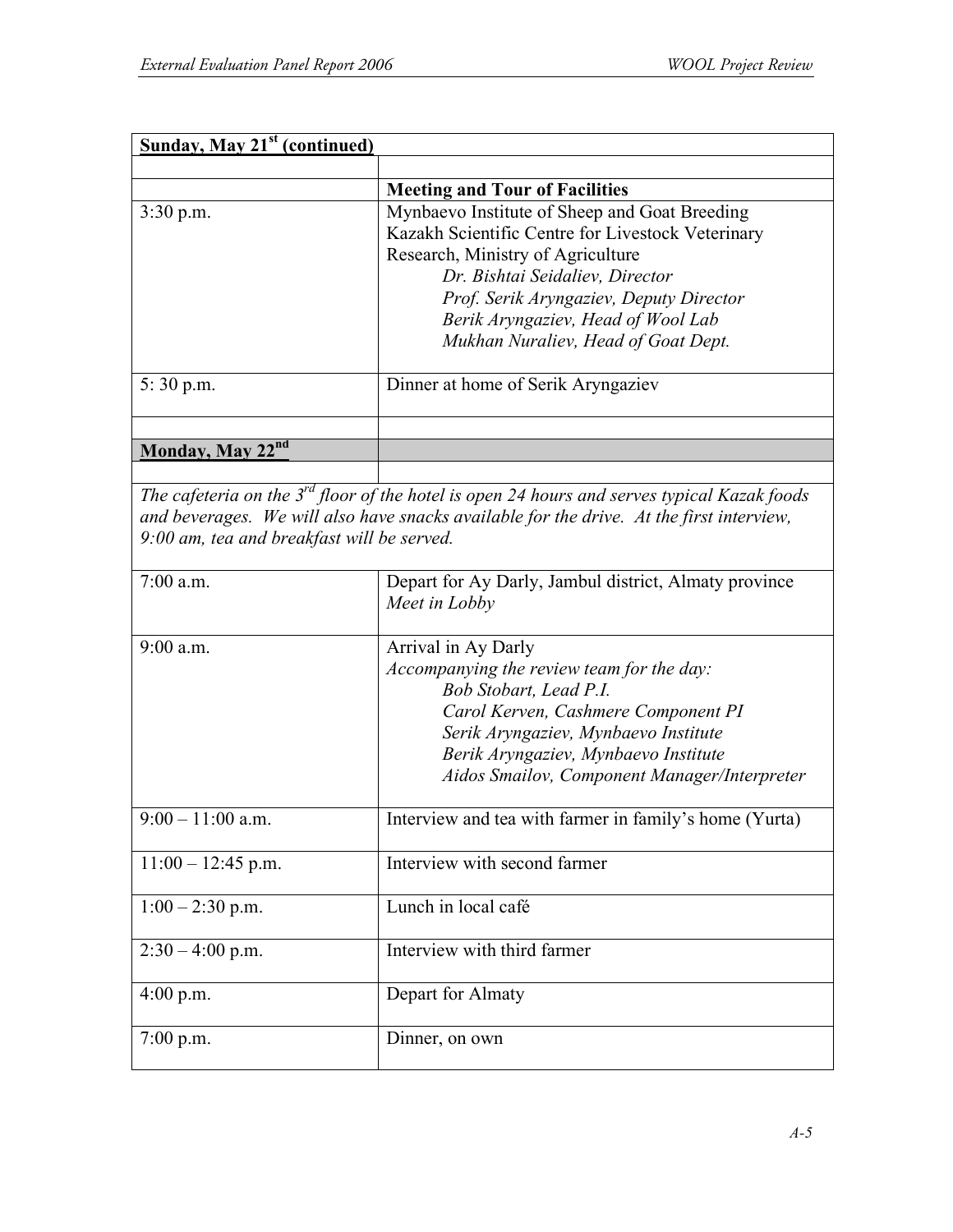| <b>Sunday, May 21st (continued)</b>        |                                                                                                  |
|--------------------------------------------|--------------------------------------------------------------------------------------------------|
|                                            |                                                                                                  |
|                                            | <b>Meeting and Tour of Facilities</b>                                                            |
| $3:30$ p.m.                                | Mynbaevo Institute of Sheep and Goat Breeding                                                    |
|                                            | Kazakh Scientific Centre for Livestock Veterinary                                                |
|                                            | Research, Ministry of Agriculture                                                                |
|                                            | Dr. Bishtai Seidaliev, Director                                                                  |
|                                            | Prof. Serik Aryngaziev, Deputy Director                                                          |
|                                            |                                                                                                  |
|                                            | Berik Aryngaziev, Head of Wool Lab                                                               |
|                                            | Mukhan Nuraliev, Head of Goat Dept.                                                              |
| 5:30 p.m.                                  | Dinner at home of Serik Aryngaziev                                                               |
|                                            |                                                                                                  |
|                                            |                                                                                                  |
| Monday, May 22nd                           |                                                                                                  |
|                                            |                                                                                                  |
|                                            | The cafeteria on the $3^{rd}$ floor of the hotel is open 24 hours and serves typical Kazak foods |
|                                            | and beverages. We will also have snacks available for the drive. At the first interview,         |
| 9:00 am, tea and breakfast will be served. |                                                                                                  |
|                                            |                                                                                                  |
| $7:00$ a.m.                                | Depart for Ay Darly, Jambul district, Almaty province                                            |
|                                            | Meet in Lobby                                                                                    |
|                                            |                                                                                                  |
| $9:00$ a.m.                                | Arrival in Ay Darly                                                                              |
|                                            | Accompanying the review team for the day:                                                        |
|                                            |                                                                                                  |
|                                            | Bob Stobart, Lead P.I.                                                                           |
|                                            | Carol Kerven, Cashmere Component PI                                                              |
|                                            | Serik Aryngaziev, Mynbaevo Institute                                                             |
|                                            | Berik Aryngaziev, Mynbaevo Institute                                                             |
|                                            | Aidos Smailov, Component Manager/Interpreter                                                     |
|                                            |                                                                                                  |
| $9:00 - 11:00$ a.m.                        | Interview and tea with farmer in family's home (Yurta)                                           |
|                                            |                                                                                                  |
| $11:00 - 12:45$ p.m.                       | Interview with second farmer                                                                     |
|                                            |                                                                                                  |
| $1:00 - 2:30$ p.m.                         | Lunch in local café                                                                              |
|                                            |                                                                                                  |
| $2:30 - 4:00$ p.m.                         | Interview with third farmer                                                                      |
|                                            |                                                                                                  |
| $4:00$ p.m.                                | Depart for Almaty                                                                                |
|                                            |                                                                                                  |
| $7:00$ p.m.                                | Dinner, on own                                                                                   |
|                                            |                                                                                                  |
|                                            |                                                                                                  |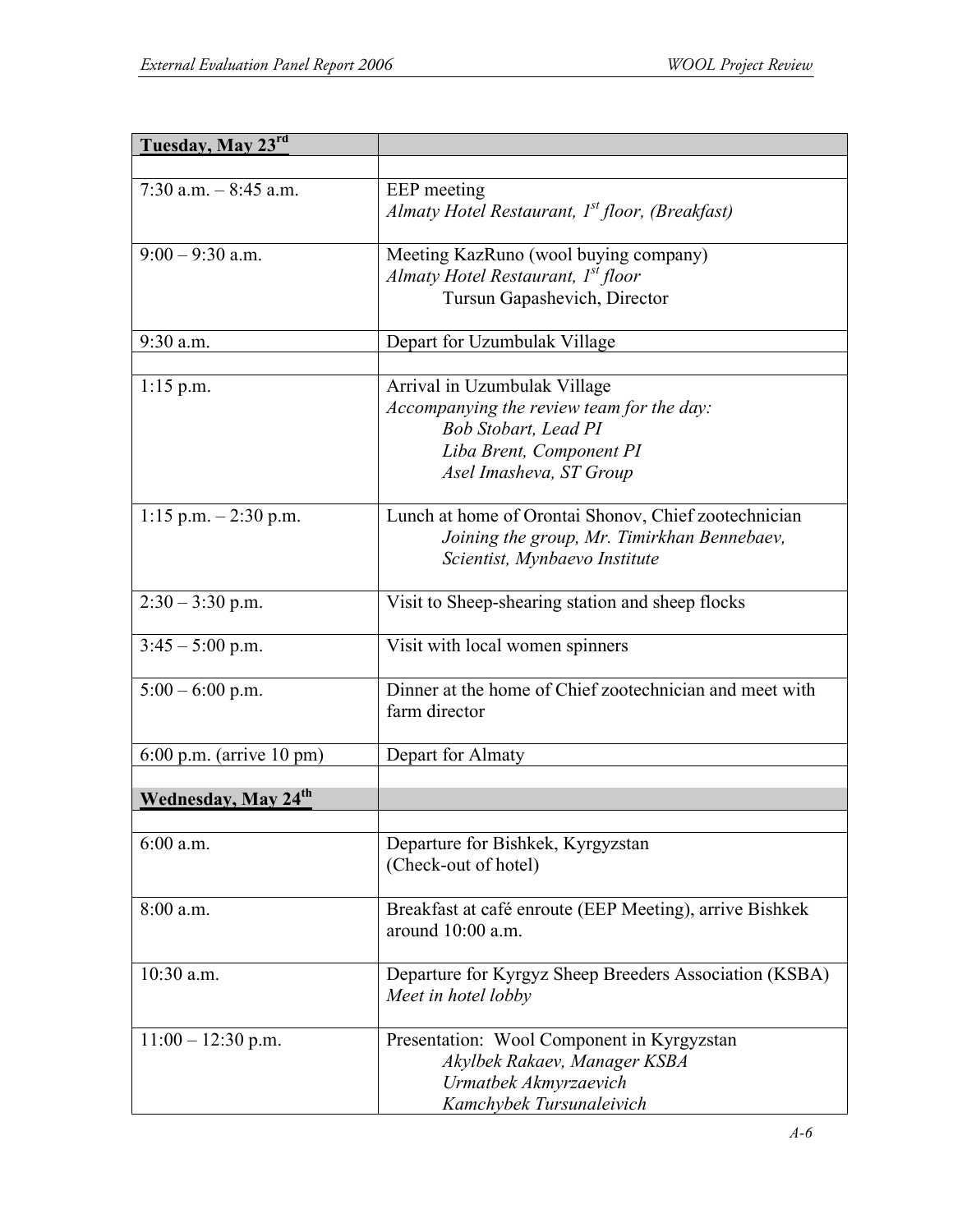| Tuesday, May 23rd                       |                                                                                                                                                                 |
|-----------------------------------------|-----------------------------------------------------------------------------------------------------------------------------------------------------------------|
|                                         |                                                                                                                                                                 |
| 7:30 a.m. $-$ 8:45 a.m.                 | EEP meeting<br>Almaty Hotel Restaurant, 1 <sup>st</sup> floor, (Breakfast)                                                                                      |
| $9:00 - 9:30$ a.m.                      | Meeting KazRuno (wool buying company)<br>Almaty Hotel Restaurant, 1 <sup>st</sup> floor<br>Tursun Gapashevich, Director                                         |
| 9:30 a.m.                               | Depart for Uzumbulak Village                                                                                                                                    |
| $1:15$ p.m.                             | Arrival in Uzumbulak Village<br>Accompanying the review team for the day:<br><b>Bob Stobart, Lead PI</b><br>Liba Brent, Component PI<br>Asel Imasheva, ST Group |
| 1:15 p.m. $-2:30$ p.m.                  | Lunch at home of Orontai Shonov, Chief zootechnician<br>Joining the group, Mr. Timirkhan Bennebaev,<br>Scientist, Mynbaevo Institute                            |
| $2:30 - 3:30$ p.m.                      | Visit to Sheep-shearing station and sheep flocks                                                                                                                |
| $3:45 - 5:00$ p.m.                      | Visit with local women spinners                                                                                                                                 |
| $5:00 - 6:00$ p.m.                      | Dinner at the home of Chief zootechnician and meet with<br>farm director                                                                                        |
| $6:00$ p.m. (arrive 10 pm)              | Depart for Almaty                                                                                                                                               |
| <b>Wednesday</b> , May 24 <sup>th</sup> |                                                                                                                                                                 |
| $6:00$ a.m.                             | Departure for Bishkek, Kyrgyzstan<br>(Check-out of hotel)                                                                                                       |
| 8:00 a.m.                               | Breakfast at café enroute (EEP Meeting), arrive Bishkek<br>around $10:00$ a.m.                                                                                  |
| 10:30 a.m.                              | Departure for Kyrgyz Sheep Breeders Association (KSBA)<br>Meet in hotel lobby                                                                                   |
| $11:00 - 12:30$ p.m.                    | Presentation: Wool Component in Kyrgyzstan<br>Akylbek Rakaev, Manager KSBA<br>Urmatbek Akmyrzaevich<br>Kamchybek Tursunaleivich                                 |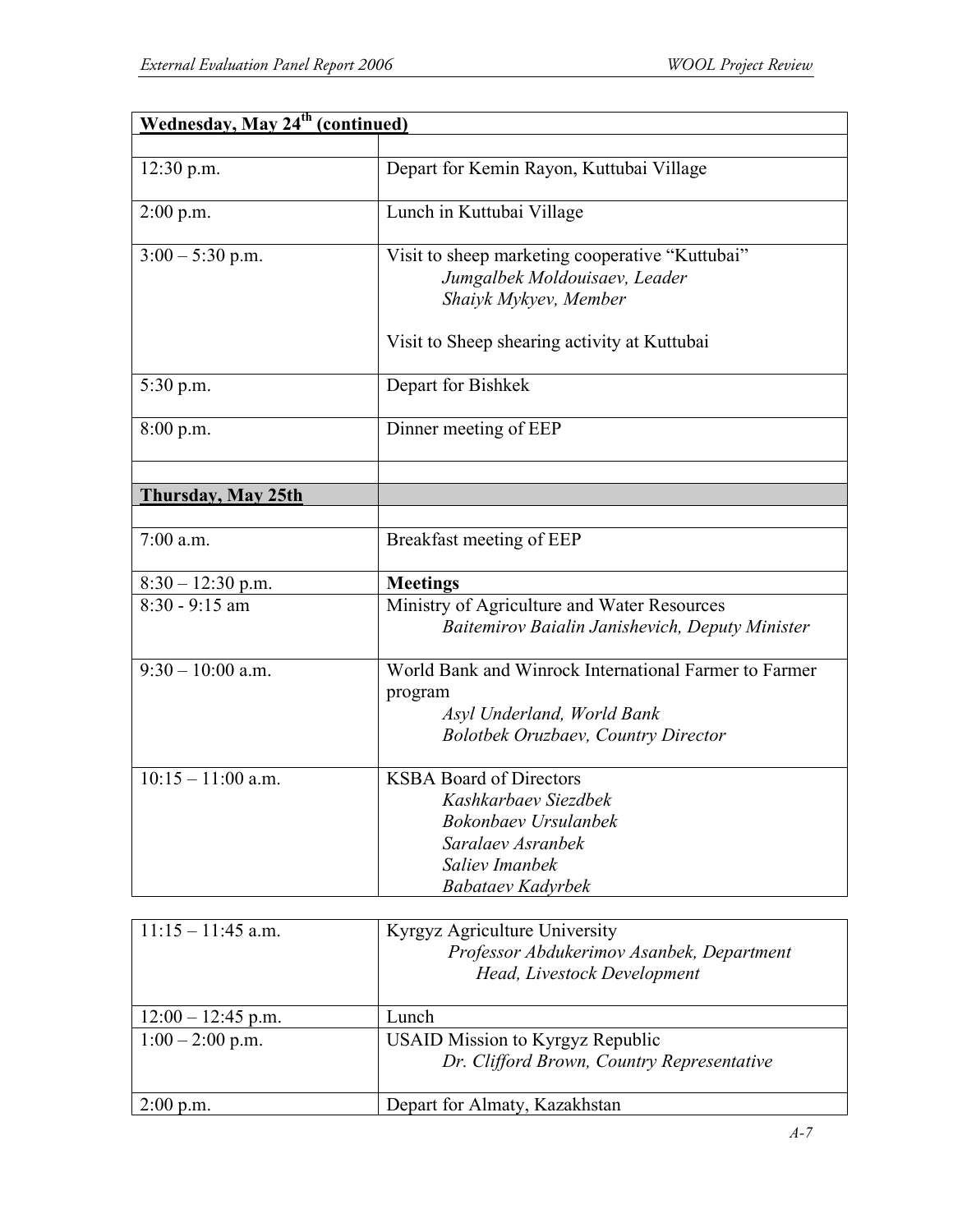| <b>Wednesday, May 24<sup>th</sup> (continued)</b> |                                                                                                                                                           |
|---------------------------------------------------|-----------------------------------------------------------------------------------------------------------------------------------------------------------|
|                                                   |                                                                                                                                                           |
| $12:30$ p.m.                                      | Depart for Kemin Rayon, Kuttubai Village                                                                                                                  |
| 2:00 p.m.                                         | Lunch in Kuttubai Village                                                                                                                                 |
| $3:00 - 5:30$ p.m.                                | Visit to sheep marketing cooperative "Kuttubai"<br>Jumgalbek Moldouisaev, Leader<br>Shaiyk Mykyev, Member<br>Visit to Sheep shearing activity at Kuttubai |
| 5:30 p.m.                                         | Depart for Bishkek                                                                                                                                        |
| 8:00 p.m.                                         | Dinner meeting of EEP                                                                                                                                     |
|                                                   |                                                                                                                                                           |
| Thursday, May 25th                                |                                                                                                                                                           |
|                                                   |                                                                                                                                                           |
| $7:00$ a.m.                                       | Breakfast meeting of EEP                                                                                                                                  |
| $8:30 - 12:30$ p.m.                               | <b>Meetings</b>                                                                                                                                           |
| $8:30 - 9:15$ am                                  | Ministry of Agriculture and Water Resources<br>Baitemirov Baialin Janishevich, Deputy Minister                                                            |
| $\overline{9:30} - 10:00$ a.m.                    | World Bank and Winrock International Farmer to Farmer<br>program<br>Asyl Underland, World Bank<br><b>Bolotbek Oruzbaev, Country Director</b>              |
| $10:15 - 11:00$ a.m.                              | <b>KSBA Board of Directors</b><br>Kashkarbaev Siezdbek<br>Bokonbaev Ursulanbek<br>Saralaev Asranbek<br>Saliev Imanbek<br><b>Babataev Kadyrbek</b>         |

| $11:15 - 11:45$ a.m. | Kyrgyz Agriculture University<br>Professor Abdukerimov Asanbek, Department<br>Head, Livestock Development |
|----------------------|-----------------------------------------------------------------------------------------------------------|
| $12:00 - 12:45$ p.m. | Lunch                                                                                                     |
| $1:00 - 2:00$ p.m.   | <b>USAID Mission to Kyrgyz Republic</b>                                                                   |
|                      | Dr. Clifford Brown, Country Representative                                                                |
|                      |                                                                                                           |
| $2:00$ p.m.          | Depart for Almaty, Kazakhstan                                                                             |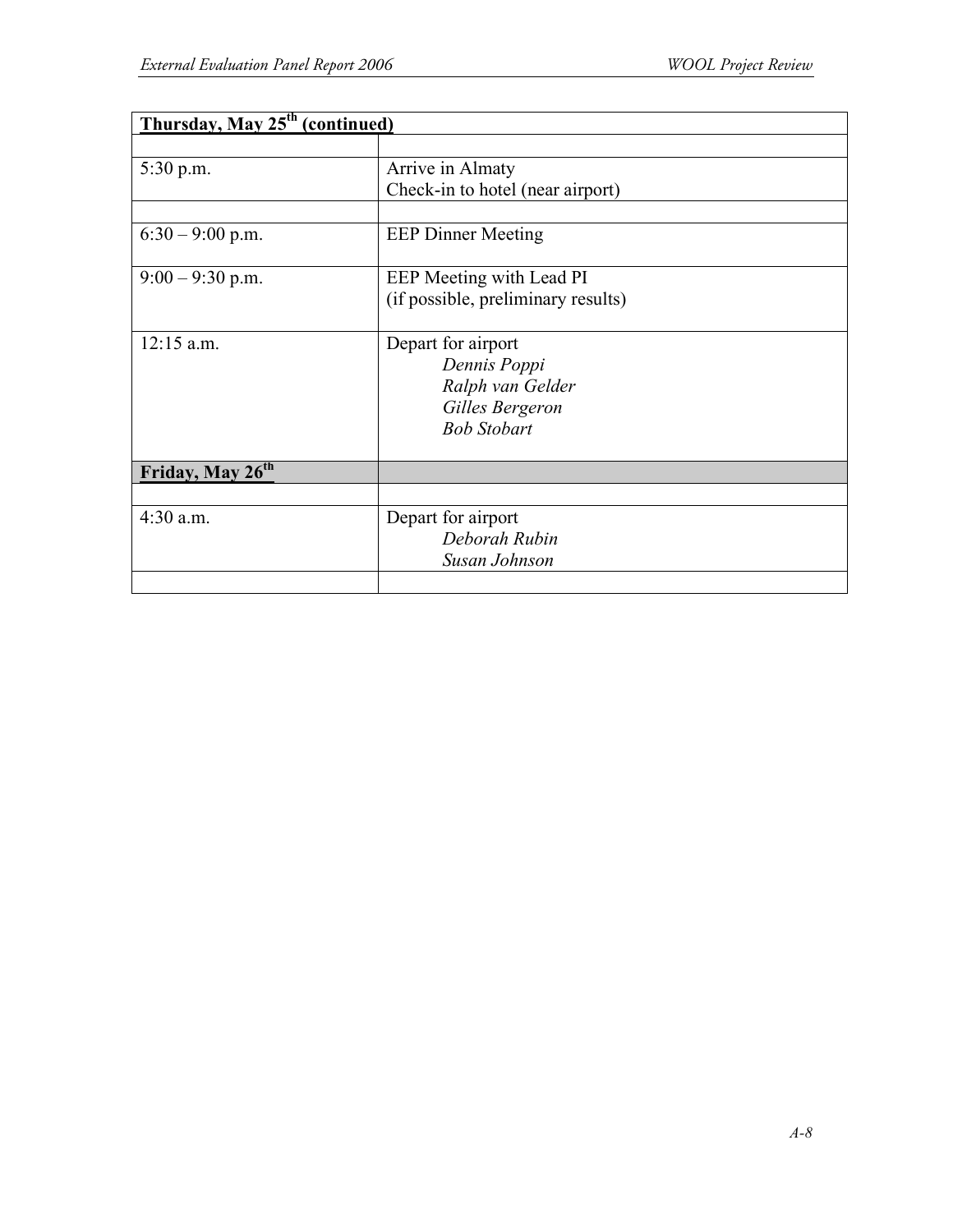| Thursday, May 25 <sup>th</sup> (continued) |                                    |
|--------------------------------------------|------------------------------------|
|                                            |                                    |
| 5:30 p.m.                                  | Arrive in Almaty                   |
|                                            | Check-in to hotel (near airport)   |
|                                            |                                    |
| $6:30 - 9:00$ p.m.                         | <b>EEP Dinner Meeting</b>          |
| $9:00 - 9:30$ p.m.                         | EEP Meeting with Lead PI           |
|                                            | (if possible, preliminary results) |
| $12:15$ a.m.                               | Depart for airport                 |
|                                            | Dennis Poppi                       |
|                                            | Ralph van Gelder                   |
|                                            | Gilles Bergeron                    |
|                                            | <b>Bob Stobart</b>                 |
|                                            |                                    |
| Friday, May 26 <sup>th</sup>               |                                    |
|                                            |                                    |
| $4:30$ a.m.                                | Depart for airport                 |
|                                            | Deborah Rubin                      |
|                                            | Susan Johnson                      |
|                                            |                                    |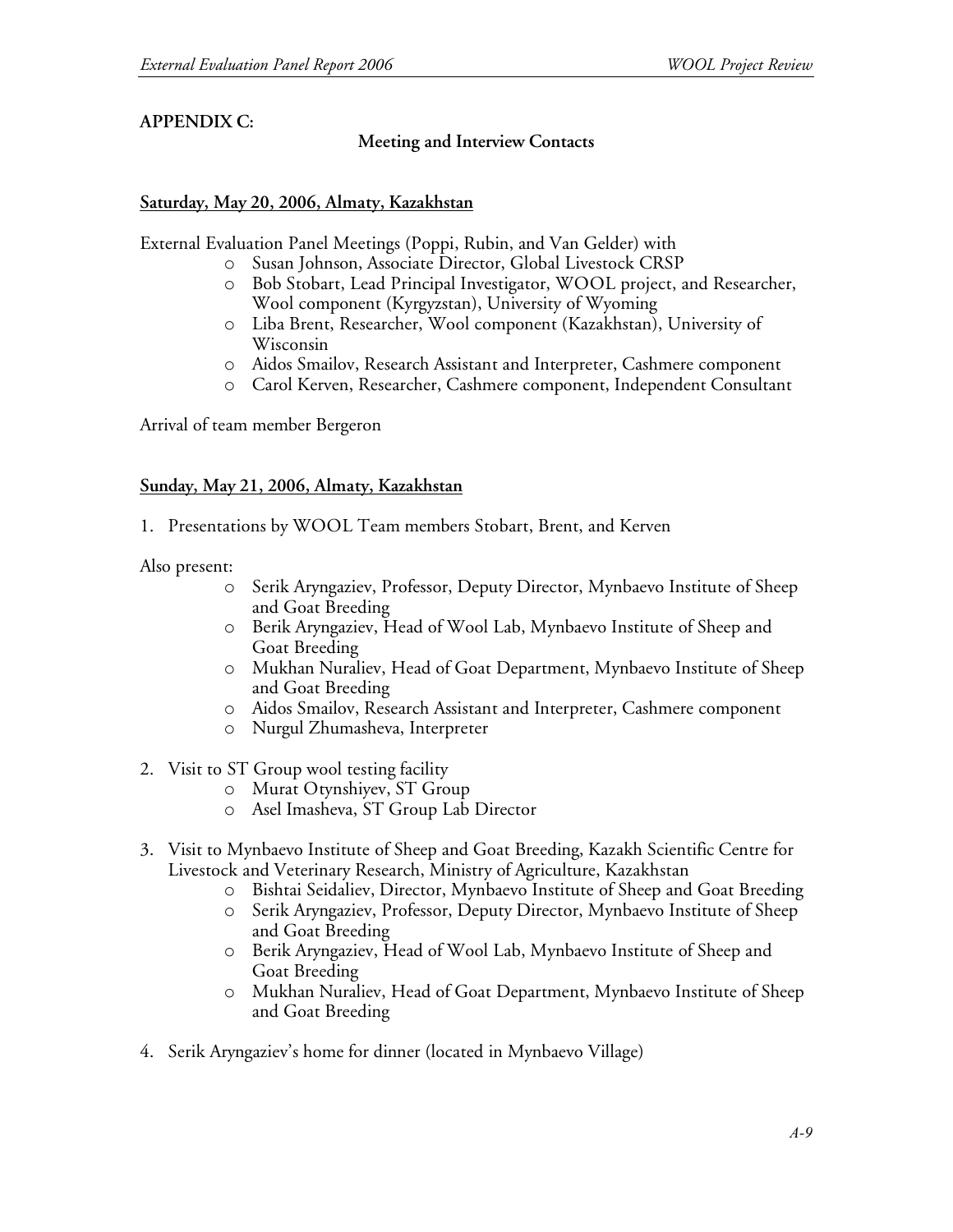### **APPENDIX C:**

#### **Meeting and Interview Contacts**

#### **Saturday, May 20, 2006, Almaty, Kazakhstan**

External Evaluation Panel Meetings (Poppi, Rubin, and Van Gelder) with

- o Susan Johnson, Associate Director, Global Livestock CRSP
- o Bob Stobart, Lead Principal Investigator, WOOL project, and Researcher, Wool component (Kyrgyzstan), University of Wyoming
- o Liba Brent, Researcher, Wool component (Kazakhstan), University of Wisconsin
- o Aidos Smailov, Research Assistant and Interpreter, Cashmere component
- o Carol Kerven, Researcher, Cashmere component, Independent Consultant

Arrival of team member Bergeron

#### **Sunday, May 21, 2006, Almaty, Kazakhstan**

1. Presentations by WOOL Team members Stobart, Brent, and Kerven

Also present:

- o Serik Aryngaziev, Professor, Deputy Director, Mynbaevo Institute of Sheep and Goat Breeding
- o Berik Aryngaziev, Head of Wool Lab, Mynbaevo Institute of Sheep and Goat Breeding
- o Mukhan Nuraliev, Head of Goat Department, Mynbaevo Institute of Sheep and Goat Breeding
- o Aidos Smailov, Research Assistant and Interpreter, Cashmere component
- o Nurgul Zhumasheva, Interpreter
- 2. Visit to ST Group wool testing facility
	- o Murat Otynshiyev, ST Group
	- o Asel Imasheva, ST Group Lab Director
- 3. Visit to Mynbaevo Institute of Sheep and Goat Breeding, Kazakh Scientific Centre for Livestock and Veterinary Research, Ministry of Agriculture, Kazakhstan
	- o Bishtai Seidaliev, Director, Mynbaevo Institute of Sheep and Goat Breeding
	- o Serik Aryngaziev, Professor, Deputy Director, Mynbaevo Institute of Sheep and Goat Breeding
	- o Berik Aryngaziev, Head of Wool Lab, Mynbaevo Institute of Sheep and Goat Breeding
	- o Mukhan Nuraliev, Head of Goat Department, Mynbaevo Institute of Sheep and Goat Breeding
- 4. Serik Aryngaziev's home for dinner (located in Mynbaevo Village)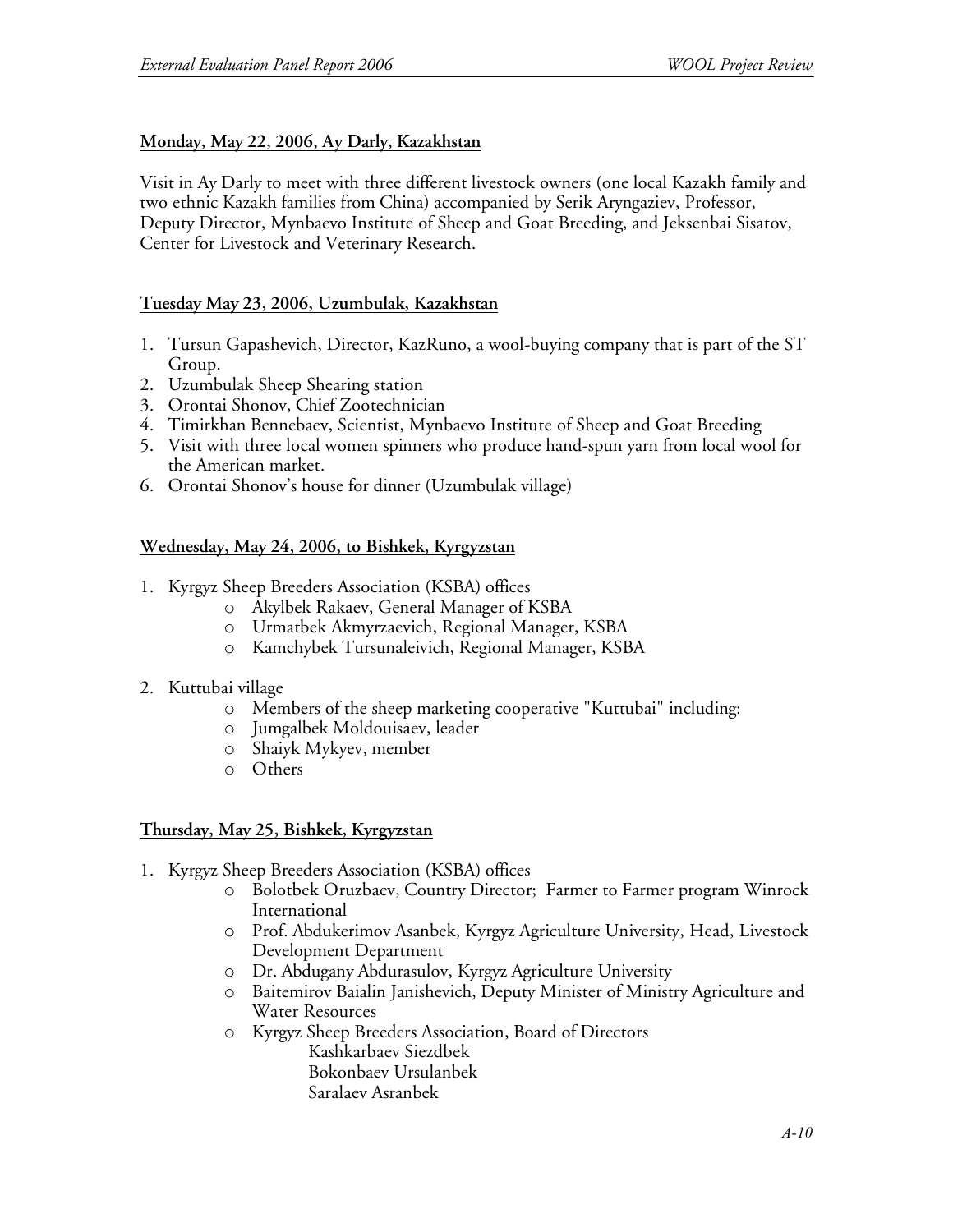### **Monday, May 22, 2006, Ay Darly, Kazakhstan**

Visit in Ay Darly to meet with three different livestock owners (one local Kazakh family and two ethnic Kazakh families from China) accompanied by Serik Aryngaziev, Professor, Deputy Director, Mynbaevo Institute of Sheep and Goat Breeding, and Jeksenbai Sisatov, Center for Livestock and Veterinary Research.

### **Tuesday May 23, 2006, Uzumbulak, Kazakhstan**

- 1. Tursun Gapashevich, Director, KazRuno, a wool-buying company that is part of the ST Group.
- 2. Uzumbulak Sheep Shearing station
- 3. Orontai Shonov, Chief Zootechnician
- 4. Timirkhan Bennebaev, Scientist, Mynbaevo Institute of Sheep and Goat Breeding
- 5. Visit with three local women spinners who produce hand-spun yarn from local wool for the American market.
- 6. Orontai Shonov's house for dinner (Uzumbulak village)

### **Wednesday, May 24, 2006, to Bishkek, Kyrgyzstan**

- 1. Kyrgyz Sheep Breeders Association (KSBA) offices
	- o Akylbek Rakaev, General Manager of KSBA
	- o Urmatbek Akmyrzaevich, Regional Manager, KSBA
	- o Kamchybek Tursunaleivich, Regional Manager, KSBA
- 2. Kuttubai village
	- o Members of the sheep marketing cooperative "Kuttubai" including:
	- o Jumgalbek Moldouisaev, leader
	- o Shaiyk Mykyev, member
	- o Others

#### **Thursday, May 25, Bishkek, Kyrgyzstan**

- 1. Kyrgyz Sheep Breeders Association (KSBA) offices
	- o Bolotbek Oruzbaev, Country Director; Farmer to Farmer program Winrock International
	- o Prof. Abdukerimov Asanbek, Kyrgyz Agriculture University, Head, Livestock Development Department
	- o Dr. Abdugany Abdurasulov, Kyrgyz Agriculture University
	- o Baitemirov Baialin Janishevich, Deputy Minister of Ministry Agriculture and Water Resources
	- o Kyrgyz Sheep Breeders Association, Board of Directors Kashkarbaev Siezdbek
		- Bokonbaev Ursulanbek Saralaev Asranbek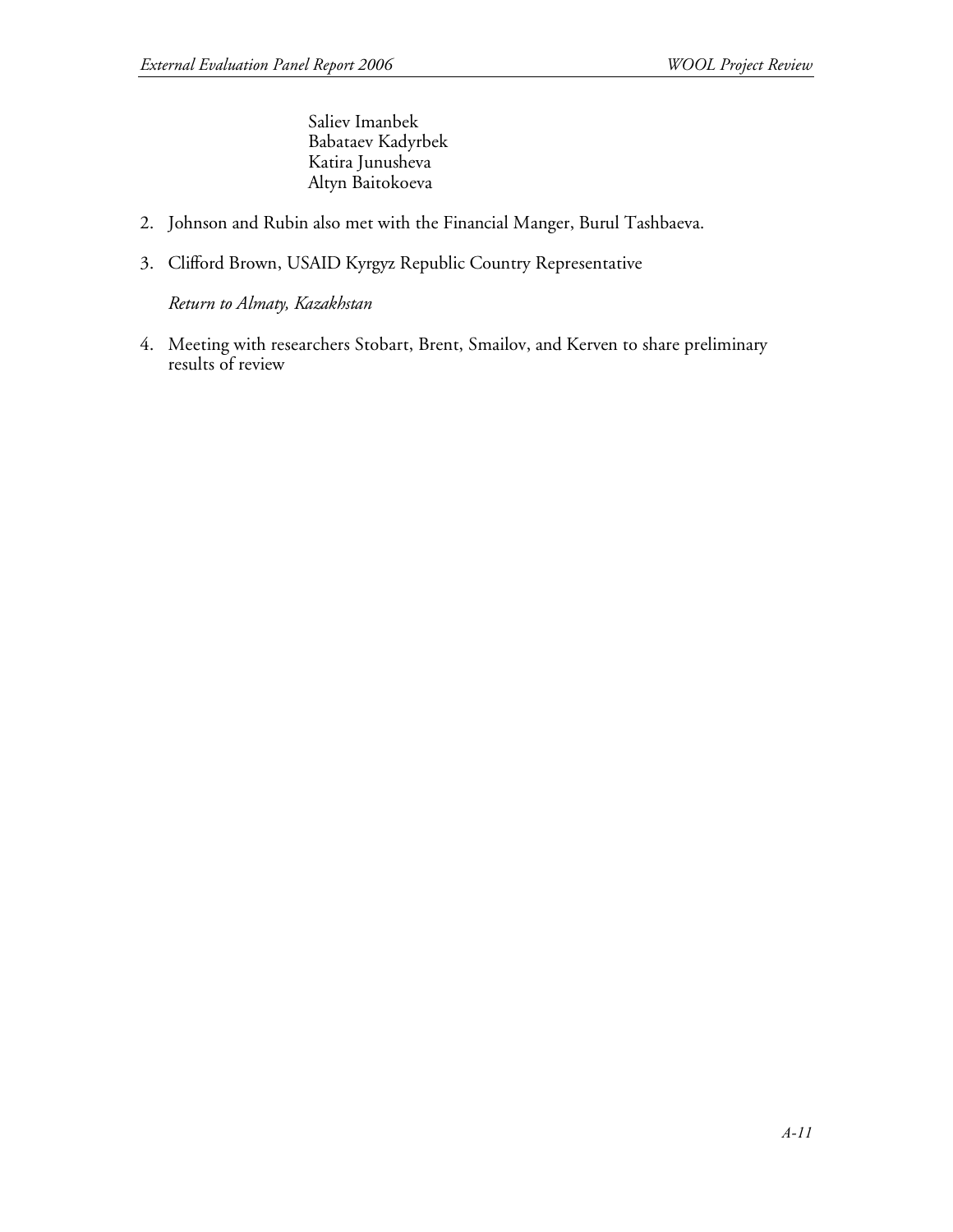Saliev Imanbek Babataev Kadyrbek Katira Junusheva Altyn Baitokoeva

- 2. Johnson and Rubin also met with the Financial Manger, Burul Tashbaeva.
- 3. Clifford Brown, USAID Kyrgyz Republic Country Representative

*Return to Almaty, Kazakhstan*

4. Meeting with researchers Stobart, Brent, Smailov, and Kerven to share preliminary results of review